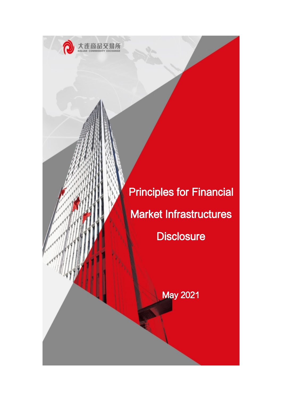

Principles for Financial Market Infrastructures **Disclosure** 

May 2021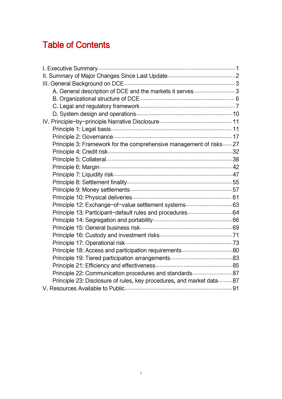# Table of Contents

| Principle 3: Framework for the comprehensive management of risks 27  |  |
|----------------------------------------------------------------------|--|
|                                                                      |  |
|                                                                      |  |
|                                                                      |  |
|                                                                      |  |
|                                                                      |  |
|                                                                      |  |
|                                                                      |  |
|                                                                      |  |
|                                                                      |  |
|                                                                      |  |
|                                                                      |  |
|                                                                      |  |
|                                                                      |  |
|                                                                      |  |
|                                                                      |  |
|                                                                      |  |
| Principle 22: Communication procedures and standards 87              |  |
| Principle 23: Disclosure of rules, key procedures, and market data87 |  |
|                                                                      |  |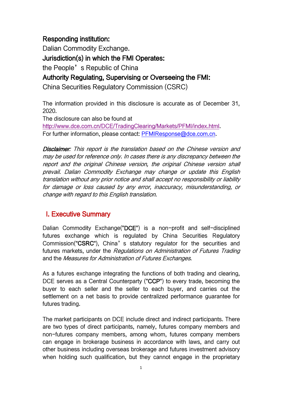# Responding institution:

Dalian Commodity Exchange. Jurisdiction(s) in which the FMI Operates: the People's Republic of China Authority Regulating, Supervising or Overseeing the FMI:

China Securities Regulatory Commission (CSRC)

The information provided in this disclosure is accurate as of December 31, 2020.

The disclosure can also be found at

<http://www.dce.com.cn/DCE/TradingClearing/Markets/PFMI/index.html>. For further information, please contact: [PFMIResponse@dce.com.cn.](PFMIResponse@dce.com.cn)

Disclaimer: This report is the translation based on the Chinese version and may be used for reference only. In cases there is any discrepancy between the report and the original Chinese version, the original Chinese version shall prevail. Dalian Commodity Exchange may change or update this English translation without any prior notice and shall accept no responsibility or liability for damage or loss caused by any error, inaccuracy, misunderstanding, or change with regard to this English translation.

## <span id="page-2-0"></span>I. Executive Summary

Dalian Commodity Exchange("DCE") is a non-profit and self-disciplined futures exchange which is regulated by China Securities Regulatory Commission("CSRC"), China's statutory regulator for the securities and futures markets, under the Regulations on Administration of Futures Trading and the Measures for Administration of Futures Exchanges.

As a futures exchange integrating the functions of both trading and clearing, DCE serves as a Central Counterparty ("CCP") to every trade, becoming the buyer to each seller and the seller to each buyer, and carries out the settlement on a net basis to provide centralized performance guarantee for futures trading.

The market participants on DCE include direct and indirect participants. There are two types of direct participants, namely, futures company members and non-futures company members, among whom, futures company members can engage in brokerage business in accordance with laws, and carry out other business including overseas brokerage and futures investment advisory when holding such qualification, but they cannot engage in the proprietary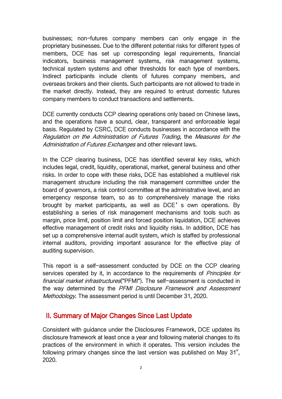businesses; non-futures company members can only engage in the proprietary businesses. Due to the different potential risks for different types of members, DCE has set up corresponding legal requirements, financial indicators, business management systems, risk management systems, technical system systems and other thresholds for each type of members. Indirect participants include clients of futures company members, and overseas brokers and their clients. Such participants are not allowed to trade in the market directly. Instead, they are required to entrust domestic futures company members to conduct transactions and settlements.

DCE currently conducts CCP clearing operations only based on Chinese laws, and the operations have a sound, clear, transparent and enforceable legal basis. Regulated by CSRC, DCE conducts businesses in accordance with the Regulation on the Administration of Futures Trading, the Measures for the Administration of Futures Exchanges and other relevant laws.

In the CCP clearing business, DCE has identified several key risks, which includes legal, credit, liquidity, operational, market, general business and other risks. In order to cope with these risks, DCE has established a multilevel risk management structure including the risk management committee under the board of governors, a risk control committee at the administrative level, and an emergency response team, so as to comprehensively manage the risks brought by market participants, as well as DCE's own operations. By establishing a series of risk management mechanisms and tools such as margin, price limit, position limit and forced position liquidation, DCE achieves effective management of credit risks and liquidity risks. In addition, DCE has set up a comprehensive internal audit system, which is staffed by professional internal auditors, providing important assurance for the effective play of auditing supervision.

This report is a self-assessment conducted by DCE on the CCP clearing services operated by it, in accordance to the requirements of *Principles for* financial market infrastructures ("PFMI"). The self-assessment is conducted in the way determined by the PFMI Disclosure Framework and Assessment Methodology. The assessment period is until December 31, 2020.

### <span id="page-3-0"></span>II. Summary of Major Changes Since Last Update

Consistent with guidance under the Disclosures Framework, DCE updates its disclosure framework at least once a year and following material changes to its practices of the environment in which it operates. This version includes the following primary changes since the last version was published on May 31 $^{\text{st}}$ , 2020.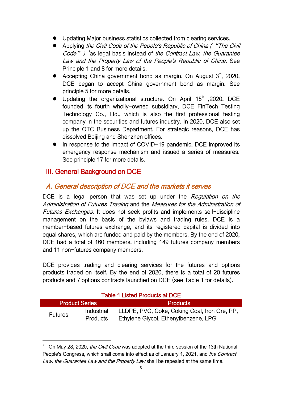- Updating Major business statistics collected from clearing services.
- Applying the Civil Code of the People's Republic of China ("The Civil Code" ) <sup>[1](#page-4-2)</sup> as legal basis instead of the Contract Law, the Guarantee Law and the Property Law of the People's Republic of China. See Principle 1 and 8 for more details.
- Accepting China government bond as margin. On August  $3<sup>rd</sup>$ , 2020, DCE began to accept China government bond as margin. See principle 5 for more details.
- Updating the organizational structure. On April 15<sup>th</sup> ,2020, DCE founded its fourth wholly-owned subsidiary, DCE FinTech Testing Technology Co., Ltd., which is also the first professional testing company in the securities and futures industry. In 2020, DCE also set up the OTC Business Department. For strategic reasons, DCE has dissolved Beijing and Shenzhen offices.
- In response to the impact of COVID-19 pandemic, DCE improved its emergency response mechanism and issued a series of measures. See principle 17 for more details.

### <span id="page-4-0"></span>III. General Background on DCE

### <span id="page-4-1"></span>A. General description of DCE and the markets it serves

DCE is a legal person that was set up under the Regulation on the Administration of Futures Trading and the Measures for the Administration of Futures Exchanges. It does not seek profits and implements self-discipline management on the basis of the bylaws and trading rules. DCE is a member-based futures exchange, and its registered capital is divided into equal shares, which are funded and paid by the members. By the end of 2020, DCE had a total of 160 members, including 149 futures company members and 11 non-futures company members.

DCE provides trading and clearing services for the futures and options products traded on itself. By the end of 2020, there is a total of 20 futures products and 7 options contracts launched on DCE (see Table 1 for details).

| <b>Table 1 Listed Products at DCE</b> |                 |                                              |  |  |  |
|---------------------------------------|-----------------|----------------------------------------------|--|--|--|
| <b>Product Series</b>                 |                 | <b>Products</b>                              |  |  |  |
| <b>Futures</b>                        | Industrial      | LLDPE, PVC, Coke, Coking Coal, Iron Ore, PP, |  |  |  |
|                                       | <b>Products</b> | Ethylene Glycol, Ethenylbenzene, LPG         |  |  |  |

<span id="page-4-2"></span>On May 28, 2020, *the Civil Code* was adopted at the third session of the 13th National People's Congress, which shall come into effect as of January 1, 2021, and *the Contract* Law, the Guarantee Law and the Property Law shall be repealed at the same time.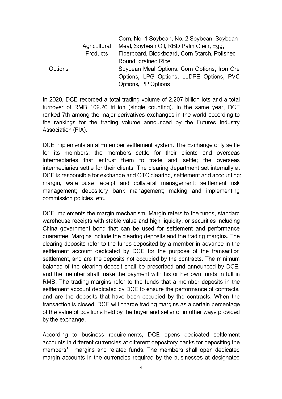|                |                                 | Corn, No. 1 Soybean, No. 2 Soybean, Soybean   |
|----------------|---------------------------------|-----------------------------------------------|
|                | Agricultural<br><b>Products</b> | Meal, Soybean Oil, RBD Palm Olein, Egg,       |
|                |                                 | Fiberboard, Blockboard, Corn Starch, Polished |
|                |                                 | Round-grained Rice                            |
| <b>Options</b> |                                 | Soybean Meal Options, Corn Options, Iron Ore  |
|                |                                 | Options, LPG Options, LLDPE Options, PVC      |
|                |                                 | Options, PP Options                           |

In 2020, DCE recorded a total trading volume of 2.207 billion lots and a total turnover of RMB 109.20 trillion (single counting). In the same year, DCE ranked 7th among the major derivatives exchanges in the world according to the rankings for the trading volume announced by the Futures Industry Association (FIA).

DCE implements an all-member settlement system. The Exchange only settle for its members; the members settle for their clients and overseas intermediaries that entrust them to trade and settle; the overseas intermediaries settle for their clients. The clearing department set internally at DCE is responsible for exchange and OTC clearing, settlement and accounting; margin, warehouse receipt and collateral management; settlement risk management; depository bank management; making and implementing commission policies, etc.

DCE implements the margin mechanism. Margin refers to the funds, standard warehouse receipts with stable value and high liquidity, or securities including China government bond that can be used for settlement and performance guarantee. Margins include the clearing deposits and the trading margins. The clearing deposits refer to the funds deposited by a member in advance in the settlement account dedicated by DCE for the purpose of the transaction settlement, and are the deposits not occupied by the contracts. The minimum balance of the clearing deposit shall be prescribed and announced by DCE, and the member shall make the payment with his or her own funds in full in RMB. The trading margins refer to the funds that a member deposits in the settlement account dedicated by DCE to ensure the performance of contracts, and are the deposits that have been occupied by the contracts. When the transaction isclosed, DCE will charge trading margins as a certain percentage of the value of positions held by the buyer and seller or in other ways provided by the exchange.

According to business requirements, DCE opens dedicated settlement accounts in different currencies at different depository banks for depositing the members' margins and related funds. The members shall open dedicated margin accounts in the currencies required by the businesses at designated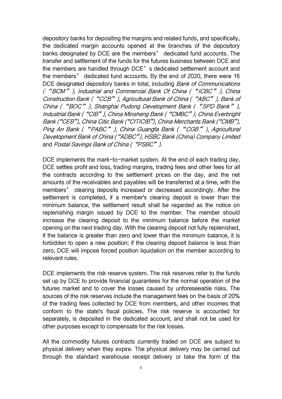depository banks for depositing the margins and related funds, and specifically, the dedicated margin accounts opened at the branches of the depository banks designated by DCE are the members' dedicated fund accounts. The transfer and settlement of the funds for the futures business between DCE and the members are handled through DCE's dedicated settlement account and the members' dedicated fund accounts. By the end of 2020, there were 16 DCE designated depository banks in total, including Bank of Communications ("BCM"), Industrial and Commercial Bank Of China ("ICBC"), China Construction Bank ("CCB"), Agricultural Bank of China ("ABC"), Bank of China ("BOC"), Shanghai Pudong Development Bank ("SPD Bank"), Industrial Bank ("CIB"), China Minsheng Bank ("CMBC"), China Everbright Bank ("CEB"), China Citic Bank ("CITICIB"), China Merchants Bank ("CMB"), Ping An Bank ("PABC"), China Guangfa Bank ("CGB"), Agricultural Development Bank of China ("ADBC"), HSBC Bank (China) Company Limited and Postal Savings Bank of China ("PSBC").

DCE implements the mark-to-market system. At the end of each trading day, DCE settles profit and loss, trading margins, trading fees and other fees for all the contracts according to the settlement prices on the day, and the net amounts of the receivables and payables will be transferred at a time, with the members' clearing deposits increased or decreased accordingly. After the settlement is completed, if a member's clearing deposit is lower than the minimum balance, the settlement result shall be regarded as the notice on replenishing margin issued by DCE to the member. The member should increase the clearing deposit to the minimum balance before the market opening on the next trading day. With the clearing deposit not fully replenished, if the balance is greater than zero and lower than the minimum balance, it is forbidden to open a new position; if the clearing deposit balance is less than zero, DCE will impose forced position liquidation on the member according to relevant rules.

DCE implements the risk reserve system. The risk reserves refer to the funds set up by DCE to provide financial guarantees for the normal operation of the futures market and to cover the losses caused by unforeseeable risks. The sources of the risk reserves include the management fees on the basis of 20% of the trading fees collected by DCE from members, and other incomes that conform to the state's fiscal policies. The risk reserve is accounted for separately, is deposited in the dedicated account, and shall not be used for other purposes except to compensate for the risk losses.

All the commodity futures contracts currently traded on DCE are subject to physical delivery when they expire. The physical delivery may be carried out through the standard warehouse receipt delivery or take the form of the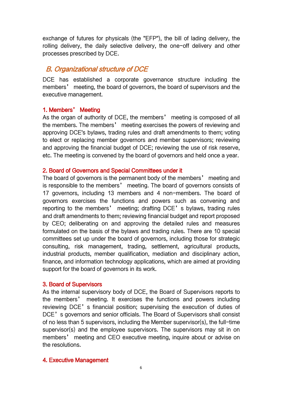exchange of futures for physicals (the "EFP"), the bill of lading delivery, the rolling delivery, the daily selective delivery, the one-off delivery and other processes prescribed by DCE.

### <span id="page-7-0"></span>B. Organizational structure of DCE

DCE has established a corporate governance structure including the members' meeting, the board of governors, the board of supervisors and the executive management.

#### 1. Members' Meeting

As the organ of authority of DCE, the members' meeting is composed of all the members. The members' meeting exercises the powers of reviewing and approving DCE's bylaws, trading rules and draft amendments to them; voting to elect or replacing member governors and member supervisors; reviewing and approving the financial budget of DCE; reviewing the use of risk reserve, etc. The meeting is convened by the board of governors and held once a year.

#### 2. Board of Governors and Special Committees under it

The board of governors is the permanent body of the members' meeting and is responsible to the members' meeting. The board of governors consists of 17 governors, including 13 members and 4 non-members. The board of governors exercises the functions and powers such as convening and reporting to the members' meeting; drafting DCE's bylaws, trading rules and draft amendments to them; reviewing financial budget and report proposed by CEO; deliberating on and approving the detailed rules and measures formulated on the basis of the bylaws and trading rules. There are 10 special committees set up under the board of governors, including those for strategic consulting, risk management, trading, settlement, agricultural products, industrial products, member qualification, mediation and disciplinary action, finance, and information technology applications, which are aimed at providing support for the board of governors in its work.

#### 3. Board of Supervisors

As the internal supervisory body of DCE, the Board of Supervisors reports to the members' meeting. It exercises the functions and powers including reviewing DCE's financial position; supervising the execution of duties of DCE's governors and senior officials. The Board of Supervisors shall consist of no less than 5 supervisors, including the Member supervisor(s), the full-time supervisor(s) and the employee supervisors. The supervisors may sit in on members' meeting and CEO executive meeting, inquire about or advise on the resolutions.

#### 4. Executive Management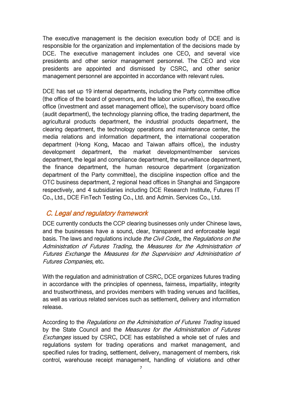The executive management is the decision execution body of DCE and is responsible for the organization and implementation of the decisions made by DCE. The executive management includes one CEO, and several vice presidents and other senior management personnel. The CEO and vice presidents are appointed and dismissed by CSRC, and other senior management personnel are appointed in accordance with relevant rules.

DCE has set up 19 internal departments, including the Party committee office (the office of the board of governors, and the labor union office), the executive office (investment and asset management office), the supervisory board office (audit department), the technology planning office, the trading department, the agricultural products department, the industrial products department, the clearing department, the technology operations and maintenance center, the media relations and information department, the international cooperation department (Hong Kong, Macao and Taiwan affairs office), the industry development department, the market development/member services department, the legal and compliance department, the surveillance department, the finance department, the human resource department (organization department of the Party committee), the discipline inspection office and the OTC business department, 2 regional head offices in Shanghai and Singapore respectively, and 4 subsidiaries including DCE Research Institute, Futures IT Co., Ltd., DCE FinTech Testing Co., Ltd. and Admin. Services Co., Ltd.

### <span id="page-8-0"></span>C. Legal and regulatory framework

DCE currently conducts the CCP clearing businesses only under Chinese laws, and the businesses have a sound, clear, transparent and enforceable legal basis. The laws and regulations include the Civil Code,, the Regulations on the Administration of Futures Trading, the Measures for the Administration of Futures Exchange the Measures for the Supervision and Administration of Futures Companies, etc.

With the regulation and administration of CSRC, DCE organizes futures trading in accordance with the principles of openness, fairness, impartiality, integrity and trustworthiness, and provides members with trading venues and facilities, as well as various related services such as settlement, delivery and information release.

According to the Regulations on the Administration of Futures Trading issued by the State Council and the Measures for the Administration of Futures Exchanges issued by CSRC, DCE has established a whole set of rules and regulations system for trading operations and market management, and specified rules for trading, settlement, delivery, management of members, risk control, warehouse receipt management, handling of violations and other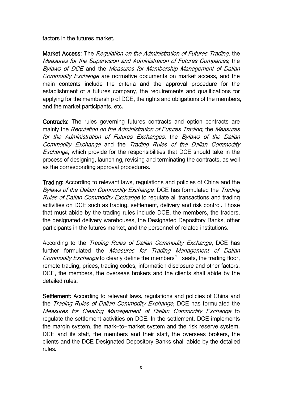factors in the futures market.

Market Access: The *Regulation on the Administration of Futures Trading*, the Measures for the Supervision and Administration of Futures Companies, the Bylaws of DCE and the Measures for Membership Management of Dalian Commodity Exchange are normative documents on market access, and the main contents include the criteria and the approval procedure for the establishment of a futures company, the requirements and qualifications for applying for the membership of DCE, the rights and obligations of the members, and the market participants, etc.

Contracts: The rules governing futures contracts and option contracts are mainly the Regulation on the Administration of Futures Trading, the Measures for the Administration of Futures Exchanges, the Bylaws of the Dalian Commodity Exchange and the Trading Rules of the Dalian Commodity Exchange, which provide for the responsibilities that DCE should take in the process of designing, launching, revising and terminating the contracts, as well as the corresponding approval procedures.

Trading: According to relevant laws, regulations and policies of China and the Bylaws of the Dalian Commodity Exchange, DCE has formulated the Trading Rules of Dalian Commodity Exchange to regulate all transactions and trading activities on DCE such as trading, settlement, delivery and risk control. Those that must abide by the trading rules include DCE, the members, the traders, the designated delivery warehouses, the Designated Depository Banks, other

participants in the futures market, and the personnel of related institutions.<br>According to the *Trading Rules of Dalian Commodity Exchange*, DCE has further formulated the Measures for Trading Management of Dalian Commodity Exchange to clearly define the members' seats, the trading floor, remote trading, prices, trading codes, information disclosure and other factors. DCE, the members, the overseas brokers and the clients shall abide by the detailed rules.

Settlement: According to relevant laws, regulations and policies of China and the *Trading Rules of Dalian Commodity Exchange*, DCE has formulated the Measures for Clearing Management of Dalian Commodity Exchange to regulate the settlement activities on DCE. In the settlement, DCE implements the margin system, the mark-to-market system and the risk reserve system. DCE and its staff, the members and their staff, the overseas brokers, the clients and the DCE Designated Depository Banks shall abide by the detailed rules.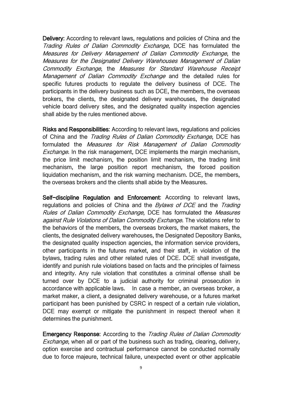Delivery: According to relevant laws, regulations and policies of China and the Trading Rules of Dalian Commodity Exchange, DCE has formulated the Measures for Delivery Management of Dalian Commodity Exchange, the Measures for the Designated Delivery Warehouses Management of Dalian Commodity Exchange, the Measures for Standard Warehouse Receipt Management of Dalian Commodity Exchange and the detailed rules for specific futures products to regulate the delivery business of DCE. The participants in the delivery business such as DCE, the members, the overseas brokers, the clients, the designated delivery warehouses, the designated vehicle board delivery sites, and the designated quality inspection agencies shall abide by the rules mentioned above.

Risks and Responsibilities: According to relevant laws, regulations and policies of China and the *Trading Rules of Dalian Commodity Exchange*, DCE has formulated the Measures for Risk Management of Dalian Commodity Exchange. In the risk management, DCE implements the margin mechanism, the price limit mechanism, the position limit mechanism, the trading limit mechanism, the large position report mechanism, the forced position liquidation mechanism, and the risk warning mechanism. DCE, the members, the overseas brokers and the clients shall abide by the Measures.

Self-discipline Regulation and Enforcement: According to relevant laws, regulations and policies of China and the *Bylaws of DCE* and the Trading Rules of Dalian Commodity Exchange, DCE has formulated the Measures against Rule Violations of Dalian Commodity Exchange. The violations refer to the behaviors of the members, the overseas brokers, the market makers, the clients, the designated delivery warehouses, the Designated Depository Banks, the designated quality inspection agencies, the information service providers, other participants in the futures market, and their staff, in violation of the bylaws, trading rules and other related rules of DCE. DCE shall investigate, identify and punish rule violations based on facts and the principles of fairness and integrity. Any rule violation that constitutes a criminal offense shall be turned over by DCE to a judicial authority for criminal prosecution in accordance with applicable laws. In case a member, an overseas broker, a market maker, a client, a designated delivery warehouse, or a futures market participant has been punished by CSRC in respect of a certain rule violation, DCE may exempt or mitigate the punishment in respect thereof when it determines the punishment.

Emergency Response: According to the Trading Rules of Dalian Commodity Exchange, when all or part of the business such as trading, clearing, delivery, option exercise and contractual performance cannot be conducted normally due to force majeure, technical failure, unexpected event or other applicable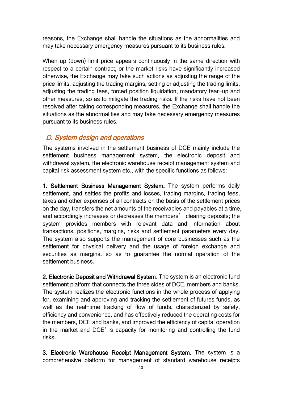reasons, the Exchange shall handle the situations as the abnormalities and may take necessary emergency measures pursuant to its business rules.

When up (down) limit price appears continuously in the same direction with respect to a certain contract, or the market risks have significantly increased otherwise, the Exchange may take such actions as adjusting the range of the price limits, adjusting the trading margins, setting or adjusting the trading limits, adjusting the trading fees, forced position liquidation, mandatory tear-up and other measures, so as to mitigate the trading risks. If the risks have not been resolved after taking corresponding measures, the Exchange shall handle the situations as the abnormalities and may take necessary emergency measures pursuant to its business rules.

### <span id="page-11-0"></span>D. System design and operations

The systems involved in the settlement business of DCE mainly include the settlement business management system, the electronic deposit and withdrawal system, the electronic warehouse receipt management system and capital risk assessment system etc., with the specific functions as follows:

1. Settlement Business Management System. The system performs daily settlement, and settles the profits and losses, trading margins, trading fees, taxes and other expenses of all contracts on the basis of the settlement prices on the day, transfers the net amounts of the receivables and payables at a time, and accordingly increases or decreases the members' clearing deposits; the system provides members with relevant data and information about transactions, positions, margins, risks and settlement parameters every day. The system also supports the management of core businesses such as the settlement for physical delivery and the usage of foreign exchange and securities as margins, so as to guarantee the normal operation of the settlement business.

2. Electronic Deposit and Withdrawal System. The system is an electronic fund settlement platform that connects the three sides of DCE, members and banks. The system realizes the electronic functions in the whole process of applying for, examining and approving and tracking the settlement of futures funds, as well as the real-time tracking of flow of funds, characterized by safety, efficiency and convenience, and has effectively reduced the operating costs for the members, DCE and banks, and improved the efficiency of capital operation in the market and DCE's capacity for monitoring and controlling the fund risks.

3. Electronic Warehouse Receipt Management System. The system is a comprehensive platform for management of standard warehouse receipts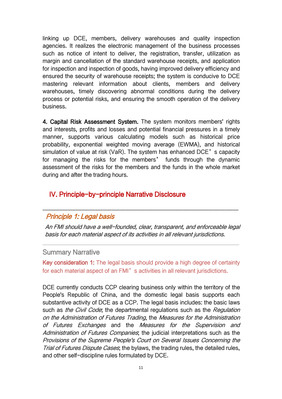linking up DCE, members, delivery warehouses and quality inspection agencies. It realizes the electronic management of the business processes such as notice of intent to deliver, the registration, transfer, utilization as margin and cancellation of the standard warehouse receipts, and application for inspection and inspection of goods, having improved delivery efficiency and ensured the security of warehouse receipts; the system is conducive to DCE mastering relevant information about clients, members and delivery warehouses, timely discovering abnormal conditions during the delivery process or potential risks, and ensuring the smooth operation of the delivery business.

4. Capital Risk Assessment System. The system monitors members' rights and interests, profits and losses and potential financial pressures in a timely manner, supports various calculating models such as historical price probability, exponential weighted moving average (EWMA), and historical simulation of value at risk (VaR). The system has enhanced DCE's capacity for managing the risks for the members' funds through the dynamic assessment of the risks for the members and the funds in the whole market during and after the trading hours.

### <span id="page-12-0"></span>IV. Principle-by-principle Narrative Disclosure

### <span id="page-12-1"></span>Principle 1: Legal basis

An FMI should have <sup>a</sup> well-founded, clear, transparent, and enforceable legal basis for each material aspect of its activities in all relevant jurisdictions.

\_\_\_\_\_\_\_\_\_\_\_\_\_\_\_\_\_\_\_\_\_\_\_\_\_\_\_\_\_\_\_\_\_\_\_\_\_\_\_\_\_\_\_\_\_\_\_\_\_\_\_\_\_\_\_\_\_\_\_\_\_\_\_\_\_\_\_\_\_\_\_

#### Summary Narrative

Key consideration 1: The legal basis should provide a high degree of certainty for each material aspect of an FMI's activities in all relevant jurisdictions.

DCE currently conducts CCP clearing business only within the territory of the People's Republic of China, and the domestic legal basis supports each substantive activity of DCE as a CCP. The legal basis includes: the basic laws such as *the Civil Code*; the departmental regulations such as the *Regulation* on the Administration of Futures Trading, the Measures for the Administration of Futures Exchanges and the Measures for the Supervision and Administration of Futures Companies, the judicial interpretations such as the Provisions of the Supreme People's Court on Several Issues Concerning the Trial of Futures Dispute Cases, the bylaws, the trading rules, the detailed rules, and other self-discipline rules formulated by DCE.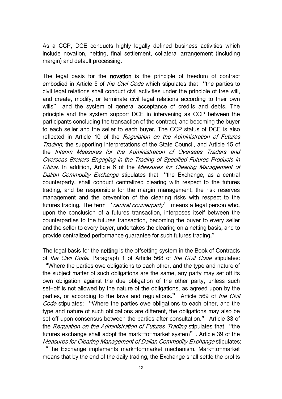As a CCP, DCE conducts highly legally defined business activities which include novation, netting, final settlement, collateral arrangement (including margin) and default processing.

The legal basis for the novation is the principle of freedom of contract embodied in Article 5 of *the Civil Code* which stipulates that "the parties to civil legal relations shall conduct civil activities under the principle of free will, and create, modify, or terminate civil legal relations according to their own wills" and the system of general acceptance of credits and debts. The principle and the system support DCE in intervening as CCP between the participants concluding the transaction of the contract, and becoming the buyer to each seller and the seller to each buyer. The CCP status of DCE is also reflected in Article 10 of the Regulation on the Administration of Futures Trading, the supporting interpretations of the State Council, and Article 15 of the Interim Measures for the Administration of Overseas Traders and Overseas Brokers Engaging in the Trading of Specified Futures Products in China. In addition, Article 6 of the Measures for Clearing Management of Dalian Commodity Exchange stipulates that "the Exchange, as a central counterparty, shall conduct centralized clearing with respect to the futures trading, and be responsible for the margin management, the risk reserves management and the prevention of the clearing risks with respect to the futures trading. The term *'central counterparty'* means a legal person who, upon the conclusion of a futures transaction, interposes itself between the counterparties to the futures transaction, becoming the buyer to every seller and the seller to every buyer, undertakes the clearing on a netting basis, and to provide centralized performance guarantee for such futures trading."

The legal basis for the netting is the offsetting system in the Book of Contracts of the Civil Code. Paragraph 1 of Article 568 of the Civil Code stipulates: "Where the parties owe obligations to each other, and the type and nature of the subject matter of such obligations are the same, any party may set off its own obligation against the due obligation of the other party, unless such set-off is not allowed by the nature of the obligations, as agreed upon by the parties, or according to the laws and regulations." Article 569 of the Civil Code stipulates: "Where the parties owe obligations to each other, and the type and nature of such obligations are different, the obligations may also be set off upon consensus between the parties after consultation." Article 33 of the Regulation on the Administration of Futures Trading stipulates that "the futures exchange shall adopt the mark-to-market system". Article 39 of the Measures for Clearing Management of Dalian Commodity Exchange stipulates:

"The Exchange implements mark-to-market mechanism. Mark-to-market means that by the end of the daily trading, the Exchange shall settle the profits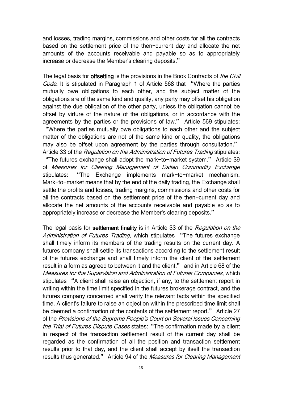and losses, trading margins, commissions and other costs for all the contracts based on the settlement price of the then-current day and allocate the net amounts of the accounts receivable and payable so as to appropriately increase or decrease the Member's clearing deposits."

The legal basis for **offsetting** is the provisions in the Book Contracts of *the Civil* Code. It is stipulated in Paragraph 1 of Article 568 that "Where the parties mutually owe obligations to each other, and the subject matter of the obligations are of the same kind and quality, any party may offset his obligation against the due obligation of the other party, unless the obligation cannot be offset by virture of the nature of the obligations, or in accordance with the agreements by the parties or the provisions of law." Article 569 stipulates:

"Where the parties mutually owe obligations to each other and the subject matter of the obligations are not of the same kind or quality, the obligations may also be offset upon agreement by the parties through consultation." Article 33 of the Regulation on the Administration of Futures Trading stipulates: "The futures exchange shall adopt the mark-to-market system." Article 39 of Measures for Clearing Management of Dalian Commodity Exchange stipulates: "The Exchange implements mark-to-market mechanism. Mark-to-market means that by the end of the daily trading, the Exchange shall settle the profits and losses, trading margins, commissions and other costs for all the contracts based on the settlement price of the then-current day and allocate the net amounts of the accounts receivable and payable so as to appropriately increase or decrease the Member's clearing deposits."

The legal basis for settlement finality is in Article 33 of the Regulation on the Administration of Futures Trading, which stipulates "The futures exchange shall timely inform its members of the trading results on the current day. A futures company shall settle its transactions according to the settlement result of the futures exchange and shall timely inform the client of the settlement result in a form as agreed to between it and the client." and in Article 68 of the Measures for the Supervision and Administration of Futures Companies, which stipulates "A client shall raise an objection, if any, to the settlement report in writing within the time limit specified in the futures brokerage contract, and the futures company concerned shall verify the relevant facts within the specified time. A client's failure to raise an objection within the prescribed time limit shall be deemed a confirmation of the contents of the settlement report." Article 27 of the Provisions of the Supreme People's Court on Several Issues Concerning the Trial of Futures Dispute Cases states: "The confirmation made by a client in respect of the transaction settlement result of the current day shall be regarded as the confirmation of all the position and transaction settlement results prior to that day, and the client shall accept by itself the transaction results thus generated." Article 94 of the Measures for Clearing Management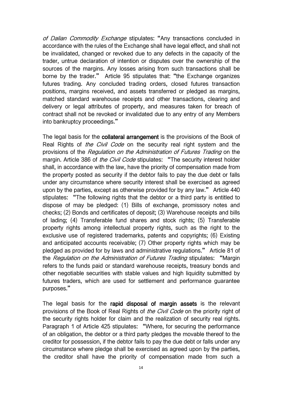of Dalian Commodity Exchange stipulates: "Any transactions concluded in accordance with the rules of the Exchange shall have legal effect, and shall not be invalidated, changed or revoked due to any defects in the capacity of the trader, untrue declaration of intention or disputes over the ownership of the sources of the margins. Any losses arising from such transactions shall be borne by the trader." Article 95 stipulates that: "the Exchange organizes futures trading. Any concluded trading orders, closed futures transaction positions, margins received, and assets transferred or pledged as margins, matched standard warehouse receipts and other transactions, clearing and delivery or legal attributes of property, and measures taken for breach of contract shall not be revoked or invalidated due to any entry of any Members into bankruptcy proceedings."

The legal basis for the collateral arrangement is the provisions of the Book of Real Rights of the Civil Code on the security real right system and the provisions of the Regulation on the Administration of Futures Trading on the margin. Article 386 of the Civil Code stipulates: "The security interest holder shall, in accordance with the law, have the priority of compensation made from the property posted as security if the debtor fails to pay the due debt or falls under any circumstance where security interest shall be exercised as agreed upon by the parties, except as otherwise provided for by any law." Article 440 stipulates: "The following rights that the debtor or a third party is entitled to dispose of may be pledged: (1) Bills of exchange, promissory notes and checks; (2) Bonds and certificates of deposit; (3) Warehouse receipts and bills of lading; (4) Transferable fund shares and stock rights; (5) Transferable property rights among intellectual property rights, such as the right to the exclusive use of registered trademarks, patents and copyrights; (6) Existing and anticipated accounts receivable; (7) Other property rights which may be pledged as provided for by laws and administrative regulations." Article 81 of the Regulation on the Administration of Futures Trading stipulates: "Margin refers to the funds paid or standard warehouse receipts, treasury bonds and other negotiable securities with stable values and high liquidity submitted by futures traders, which are used for settlement and performance guarantee purposes."

The legal basis for the rapid disposal of margin assets is the relevant provisions of the Book of Real Rights of the Civil Code on the priority right of the security rights holder for claim and the realization of security real rights. Paragraph 1 of Article 425 stipulates: "Where, for securing the performance of an obligation, the debtor or a third party pledges the movable thereof to the creditor for possession, if the debtor fails to pay the due debt or falls under any circumstance where pledge shall be exercised as agreed upon by the parties, the creditor shall have the priority of compensation made from such a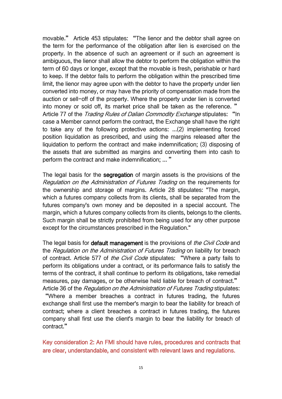movable." Article 453 stipulates: "The lienor and the debtor shall agree on the term for the performance of the obligation after lien is exercised on the property. In the absence of such an agreement or if such an agreement is ambiguous, the lienor shall allow the debtor to perform the obligation within the term of 60 days or longer, except that the movable is fresh, perishable or hard to keep. If the debtor fails to perform the obligation within the prescribed time limit, the lienor may agree upon with the debtor to have the property under lien converted into money, or may have the priority of compensation made from the auction or sell-off of the property. Where the property under lien is converted into money or sold off, its market price shall be taken as the reference. " Article 77 of the *Trading Rules of Dalian Commodity Exchange* stipulates: "In case a Member cannot perform the contract, the Exchange shall have the right to take any of the following protective actions: ...(2) implementing forced position liquidation as prescribed, and using the margins released after the liquidation to perform the contract and make indemnification; (3) disposing of the assets that are submitted as margins and converting them into cash to perform the contract and make indemnification; ... "

The legal basis for the segregation of margin assets is the provisions of the Regulation on the Administration of Futures Trading on the requirements for the ownership and storage of margins. Article 28 stipulates: "The margin, which a futures company collects from its clients, shall be separated from the futures company's own money and be deposited in a special account. The margin, which a futures company collects from its clients, belongs to the clients. Such margin shall be strictly prohibited from being used for any other purpose except for the circumstances prescribed in the Regulation."

The legal basis for **default management** is the provisions of *the Civil Code* and the Regulation on the Administration of Futures Trading on liability for breach of contract. Article 577 of the Civil Code stipulates: "Where a party fails to perform its obligations under a contract, or its performance fails to satisfy the terms of the contract, it shall continue to perform its obligations, take remedial measures, pay damages, or be otherwise held liable for breach of contract." Article 36 of the Regulation on the Administration of Futures Trading stipulates:

"Where a member breaches a contract in futures trading, the futures exchange shall first use the member's margin to bear the liability for breach of contract; where a client breaches a contract in futures trading, the futures company shall first use the client's margin to bear the liability for breach of contract."

Key consideration 2: An FMI should have rules, procedures and contracts that are clear, understandable, and consistent with relevant laws and regulations.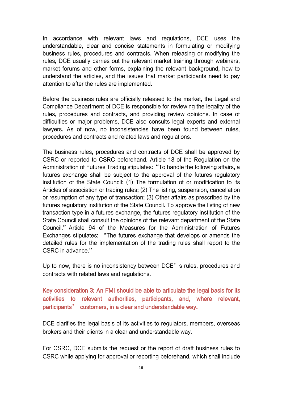In accordance with relevant laws and regulations, DCE uses the understandable, clear and concise statements in formulating or modifying business rules, procedures and contracts. When releasing or modifying the rules, DCE usually carries out the relevant market training through webinars, market forums and other forms, explaining the relevant background, how to understand the articles, and the issues that market participants need to pay attention to after the rules are implemented.

Before the business rules are officially released to the market, the Legal and Compliance Department of DCE is responsible for reviewing the legality of the rules, procedures and contracts, and providing review opinions. In case of difficulties or major problems, DCE also consults legal experts and external lawyers. As of now, no inconsistencies have been found between rules, procedures and contracts and related laws and regulations.

The business rules, procedures and contracts of DCE shall be approved by CSRC or reported to CSRC beforehand. Article 13 of the Regulation on the Administration of Futures Trading stipulates: "To handle the following affairs, a futures exchange shall be subject to the approval of the futures regulatory institution of the State Council: (1) The formulation of or modification to its Articles of association or trading rules: (2) The listing, suspension, cancellation or resumption of any type of transaction; (3) Other affairs as prescribed by the futures regulatory institution of the State Council. To approve the listing of new transaction type in a futures exchange, the futures regulatory institution of the State Council shall consult the opinions of the relevant department of the State Council."Article 94 of the Measures for the Administration of Futures Exchanges stipulates: "The futures exchange that develops or amends the detailed rules for the implementation of the trading rules shall report to the CSRC in advance."

Up to now, there is no inconsistency between DCE's rules, procedures and contracts with related laws and regulations.

### Key consideration 3: An FMI should be able to articulate the legal basis for its activities to relevant authorities, participants, and, where relevant, participants' customers, in a clear and understandable way.

DCE clarifies the legal basis of its activities to regulators, members, overseas brokers and their clients in a clear and understandable way.

For CSRC, DCE submits the request or the report of draft business rules to CSRC while applying for approval or reporting beforehand, which shall include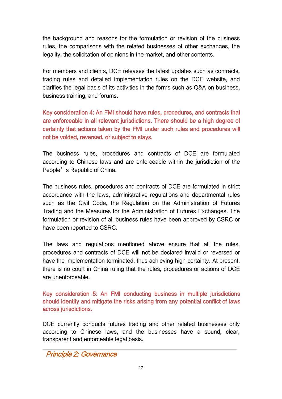the background and reasons for the formulation or revision of the business rules, the comparisons with the related businesses of other exchanges, the legality, the solicitation of opinions in the market, and other contents.

For members and clients, DCE releases the latest updates such as contracts, trading rules and detailed implementation rules on the DCE website, and clarifies the legal basis of its activities in the forms such as Q&A on business, business training, and forums.

Key consideration 4: An FMI should have rules, procedures, and contracts that are enforceable in all relevant jurisdictions. There should be a high degree of certainty that actions taken by the FMI under such rules and procedures will not be voided, reversed, or subject to stays.

The business rules, procedures and contracts of DCE are formulated according to Chinese laws and are enforceable within the jurisdiction of the People's Republic of China.

The business rules, procedures and contracts of DCE are formulated in strict accordance with the laws, administrative regulations and departmental rules such as the Civil Code, the Regulation on the Administration of Futures Trading and the Measures for the Administration of Futures Exchanges. The formulation or revision of all business rules have been approved by CSRC or have been reported to CSRC.

The laws and regulations mentioned above ensure that all the rules, procedures and contracts of DCE will not be declared invalid or reversed or have the implementation terminated, thus achieving high certainty. At present, there is no court in China ruling that the rules, procedures or actions of DCE are unenforceable.

Key consideration 5: An FMI conducting business in multiple jurisdictions should identify and mitigate the risks arising from any potential conflict of laws across jurisdictions.

DCE currently conducts futures trading and other related businesses only according to Chinese laws, and the businesses have a sound, clear, transparent and enforceable legal basis.

<span id="page-18-0"></span>Principle 2: Governance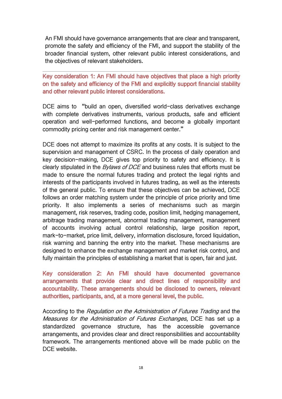An FMI should have governance arrangements that are clear and transparent, promote the safety and efficiency of the FMI, and support the stability of the broader financial system, other relevant public interest considerations, and the objectives of relevant stakeholders.

Key consideration 1: An FMI should have objectives that place a high priority on the safety and efficiency of the FMI and explicitly support financial stability and other relevant public interest considerations.

DCE aims to "build an open, diversified world-class derivatives exchange with complete derivatives instruments, various products, safe and efficient operation and well-performed functions, and become a globally important commodity pricing center and risk management center."

DCE does not attempt to maximize its profits at any costs. It is subject to the supervision and management of CSRC. In the process of daily operation and key decision-making, DCE gives top priority to safety and efficiency. It is clearly stipulated in the *Bylaws of DCE* and business rules that efforts must be made to ensure the normal futures trading and protect the legal rights and interests of the participants involved in futures trading, as well as the interests of the general public. To ensure that these objectives can be achieved, DCE follows an order matching system under the principle of price priority and time priority. It also implements a series of mechanisms such as margin management, risk reserves, trading code, position limit, hedging management, arbitrage trading management, abnormal trading management, management of accounts involving actual control relationship, large position report, mark-to-market, price limit, delivery, information disclosure, forced liquidation, risk warning and banning the entry into the market. These mechanisms are designed to enhance the exchange management and market risk control, and fully maintain the principles of establishing a market that is open, fair and just.

Key consideration 2: An FMI should have documented governance arrangements that provide clear and direct lines of responsibility and accountability. These arrangements should be disclosed to owners, relevant authorities, participants, and, at a more general level, the public.

According to the Regulation on the Administration of Futures Trading and the Measures for the Administration of Futures Exchanges, DCE has set up a standardized governance structure, has the accessible governance arrangements, and provides clear and direct responsibilities and accountability framework. The arrangements mentioned above will be made public on the DCE website.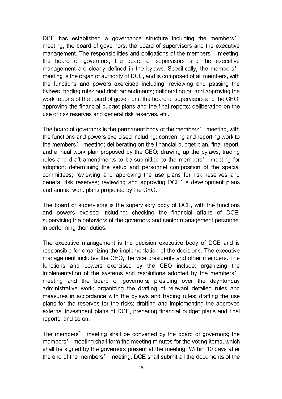DCE has established a governance structure including the members' meeting, the board of governors, the board of supervisors and the executive management. The responsibilities and obligations of the members' meeting, the board of governors, the board of supervisors and the executive management are clearly defined in the bylaws. Specifically, the members' meeting is the organ of authority of DCE, and is composed of all members, with the functions and powers exercised including: reviewing and passing the bylaws, trading rules and draft amendments; deliberating on and approving the work reports of the board of governors, the board of supervisors and the CEO; approving the financial budget plans and the final reports; deliberating on the use of risk reserves and general risk reserves, etc.

The board of governors is the permanent body of the members' meeting, with the functions and powers exercised including: convening and reporting work to the members' meeting; deliberating on the financial budget plan, final report, and annual work plan proposed by the CEO; drawing up the bylaws, trading rules and draft amendments to be submitted to the members' meeting for adoption; determining the setup and personnel composition of the special committees; reviewing and approving the use plans for risk reserves and general risk reserves; reviewing and approving DCE's development plans and annual work plans proposed by the CEO.

The board of supervisors is the supervisory body of DCE, with the functions and powers excised including: checking the financial affairs of DCE; supervising the behaviors of the governors and senior management personnel in performing their duties.

The executive management is the decision executive body of DCE and is responsible for organizing the implementation of the decisions. The executive management includes the CEO, the vice presidents and other members. The functions and powers exercised by the CEO include: organizing the implementation of the systems and resolutions adopted by the members' meeting and the board of governors; presiding over the day-to-day administrative work; organizing the drafting of relevant detailed rules and measures in accordance with the bylaws and trading rules; drafting the use plans for the reserves for the risks; drafting and implementing the approved external investment plans of DCE, preparing financial budget plans and final reports, and so on.

The members' meeting shall be convened by the board of governors; the members' meeting shall form the meeting minutes for the voting items, which shall be signed by the governors present at the meeting. Within 10 days after the end of the members' meeting, DCE shall submit all the documents of the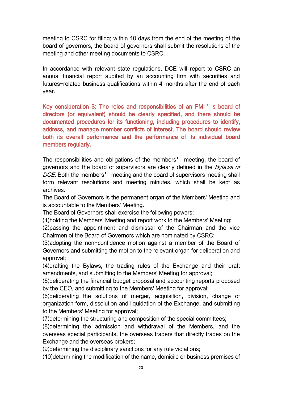meeting to CSRC for filing; within 10 days from the end of the meeting of the board of governors, the board of governors shall submit the resolutions of the meeting and other meeting documents to CSRC.

In accordance with relevant state regulations, DCE will report to CSRC an annual financial report audited by an accounting firm with securities and futures-related business qualifications within 4 months after the end of each year.

Key consideration 3: The roles and responsibilities of an FMI ' s board of directors (or equivalent) should be clearly specified, and there should be documented procedures for its functioning, including procedures to identify, address, and manage member conflicts of interest. The board should review both its overall performance and the performance of its individual board members regularly.

The responsibilities and obligations of the members' meeting, the board of governors and the board of supervisors are clearly defined in the *Bylaws of* DCE. Both the members' meeting and the board of supervisors meeting shall form relevant resolutions and meeting minutes, which shall be kept as archives.

The Board of Governors is the permanent organ of the Members' Meeting and is accountable to the Members' Meeting.

The Board of Governors shall exercise the following powers:

(1)holding the Members' Meeting and report work to the Members' Meeting;

(2)passing the appointment and dismissal of the Chairman and the vice Chairmen of the Board of Governors which are nominated by CSRC;

(3)adopting the non-confidence motion against a member of the Board of Governors and submitting the motion to the relevant organ for deliberation and approval;

(4)drafting the Bylaws, the trading rules of the Exchange and their draft amendments, and submitting to the Members' Meeting for approval;

(5)deliberating the financial budget proposal and accounting reports proposed by the CEO, and submitting to the Members' Meeting for approval;

(6)deliberating the solutions of merger, acquisition, division, change of organization form, dissolution and liquidation of the Exchange, and submitting to the Members' Meeting for approval;

(7)determining the structuring and composition of the special committees;

(8)determining the admission and withdrawal of the Members, and the overseas special participants, the overseas traders that directly trades on the Exchange and the overseas brokers;

(9)determining the disciplinary sanctions for any rule violations;

(10)determining the modification of the name, domicile or business premises of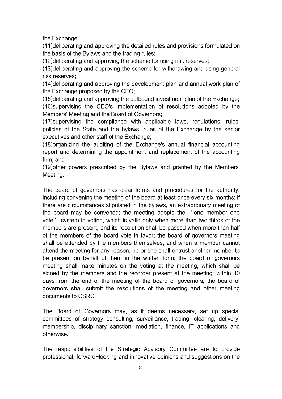the Exchange;

(11)deliberating and approving the detailed rules and provisions formulated on the basis of the Bylaws and the trading rules;

(12)deliberating and approving the scheme for using risk reserves;

(13)deliberating and approving the scheme for withdrawing and using general risk reserves;

(14)deliberating and approving the development plan and annual work plan of the Exchange proposed by the CEO;

(15)deliberating and approving the outbound investment plan of the Exchange; (16)supervising the CEO's implementation of resolutions adopted by the Members' Meeting and the Board of Governors;

(17)supervising the compliance with applicable laws, regulations, rules, policies of the State and the bylaws, rules of the Exchange by the senior executives and other staff of the Exchange;

(18)organizing the auditing of the Exchange's annual financial accounting report and determining the appointment and replacement of the accounting firm; and

(19)other powers prescribed by the Bylaws and granted by the Members' Meeting.

The board of governors has clear forms and procedures for the authority, including convening the meeting of the board at least once every six months; if there are circumstances stipulated in the bylaws, an extraordinary meeting of the board may be convened; the meeting adopts the "one member one vote" system in voting, which is valid only when more than two thirds of the members are present, and its resolution shall be passed when more than half of the members of the board vote in favor; the board of governors meeting shall be attended by the members themselves, and when a member cannot attend the meeting for any reason, he or she shall entrust another member to be present on behalf of them in the written form; the board of governors meeting shall make minutes on the voting at the meeting, which shall be signed by the members and the recorder present at the meeting; within 10 days from the end of the meeting of the board of governors, the board of governors shall submit the resolutions of the meeting and other meeting documents to CSRC.

The Board of Governors may, as it deems necessary, set up special committees of strategy consulting, surveillance, trading, clearing, delivery, membership, disciplinary sanction, mediation, finance, IT applications and otherwise.

The responsibilities of the Strategic Advisory Committee are to provide professional, forward-looking and innovative opinions and suggestions on the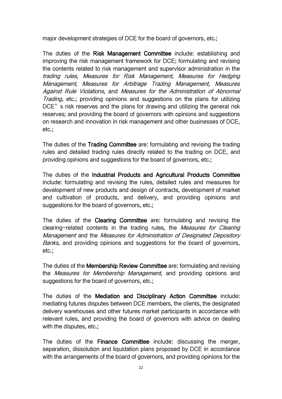major development strategies of DCE for the board of governors, etc.;

The duties of the Risk Management Committee include: establishing and improving the risk management framework for DCE; formulating and revising the contents related to risk management and supervisor administration in the trading rules, Measures for Risk Management, Measures for Hedging Management, Measures for Arbitrage Trading Management, Measures Against Rule Violations, and Measures for the Administration of Abnormal Trading, etc.; providing opinions and suggestions on the plans for utilizing DCE's risk reserves and the plans for drawing and utilizing the general risk reserves; and providing the board of governors with opinions and suggestions on research and innovation in risk management and other businesses of DCE, etc.;

The duties of the Trading Committee are: formulating and revising the trading rules and detailed trading rules directly related to the trading on DCE, and providing opinions and suggestions for the board of governors, etc.;

The duties of the Industrial Products and Agricultural Products Committee include: formulating and revising the rules, detailed rules and measures for development of new productsand design of contracts, development of market and cultivation of products, and delivery, and providing opinions and suggestions for the board of governors, etc.;

The duties of the Clearing Committee are: formulating and revising the clearing-related contents in the trading rules, the Measures for Clearing Management and the Measures for Administration of Designated Depository Banks, and providing opinions and suggestions for the board of governors, etc.;

The duties of the Membership Review Committee are: formulating and revising the Measures for Membership Management, and providing opinions and suggestions for the board of governors, etc.;

The duties of the Mediation and Disciplinary Action Committee include: mediating futures disputes between DCE members, the clients, the designated delivery warehouses and other futures market participants in accordance with relevant rules, and providing the board of governors with advice on dealing with the disputes, etc.;

The duties of the **Finance Committee** include: discussing the merger, separation, dissolution and liquidation plans proposed by DCE in accordance with the arrangements of the board of governors, and providing opinions for the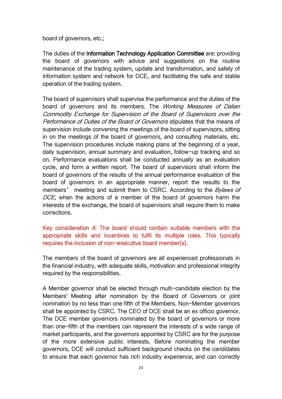board of governors, etc.;

The duties of the Information Technology Application Committee are: providing the board of governors with advice and suggestions on the routine maintenance of the trading system, update and transformation, and safety of information system and network for DCE, and facilitating the safe and stable operation of the trading system.

The board of supervisors shall supervise the performance and the duties of the board of governors and its members. The Working Measures of Dalian Commodity Exchange for Supervision of the Board of Supervisors over the Performance of Duties of the Board of Governors stipulates that the means of supervision include convening the meetings of the board of supervisors, sitting in on the meetings of the board of governors, and consulting materials, etc. The supervision procedures include making plans at the beginning of a year, daily supervision, annual summary and evaluation, follow-up tracking and so on. Performance evaluations shall be conducted annually as an evaluation cycle, and form a written report. The board of supervisors shall inform the board of governors of the results of the annual performance evaluation of the board of governors in an appropriate manner, report the results to the members' meeting and submit them to CSRC. According to the *Bylaws of* DCE, when the actions of a member of the board of governors harm the interests of the exchange, the board of supervisors shall require them to make corrections.

#### Key consideration 4: The board should contain suitable members with the appropriate skills and incentives to fulfil its multiple roles. This typically requires the inclusion of non-executive board member(s).

The members of the board of governors are all experienced professionals in the financial industry, with adequate skills, motivation and professional integrity required by the responsibilities.

A Member governor shall be elected through multi-candidate election by the Members' Meeting after nomination by the Board of Governors or joint nomination by no less than one fifth of the Members. Non-Member governors shall be appointed by CSRC. The CEO of DCE shall be an ex officio governor. The DCE member governors nominated by the board of governors or more than one-fifth of the members can represent the interests of a wide range of market participants, and the governors appointed by CSRC are for the purpose of the more extensive public interests. Before nominating the member governors, DCE will conduct sufficient background checks on the candidates to ensure that each governor has rich industry experience, and can correctly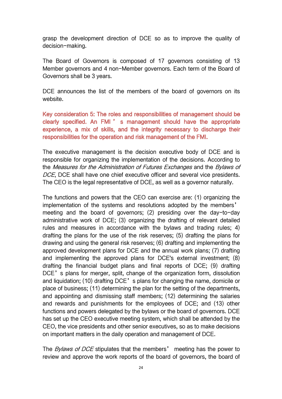grasp the development direction of DCE so as to improve the quality of decision-making.

The Board of Governors is composed of 17 governors consisting of 13 Member governors and 4 non-Member governors. Each term of the Board of Governors shall be 3 years.

DCE announces the list of the members of the board of governors on its website.

Key consideration 5: The roles and responsibilities of management should be clearly specified. An FMI ' s management should have the appropriate experience, a mix of skills, and the integrity necessary to discharge their responsibilities for the operation and risk management of the FMI.

The executive management is the decision executive body of DCE and is responsible for organizing the implementation of the decisions. According to the Measures for the Administration of Futures Exchanges and the Bylaws of DCE, DCE shall have one chief executive officer and several vice presidents.<br>The CEO is the legal representative of DCE, as well as a governor naturally.

The functions and powers that the CEO can exercise are: (1) organizing the implementation of the systems and resolutions adopted by the members' meeting and the board of governors; (2) presiding over the day-to-day administrative work of DCE; (3) organizing the drafting of relevant detailed rules and measures in accordance with the bylaws and trading rules; 4) drafting the plans for the use of the risk reserves; (5) drafting the plans for drawing and using the general risk reserves; (6) drafting and implementing the approved development plans for DCE and the annual work plans; (7) drafting and implementing the approved plans for DCE's external investment; (8) drafting the financial budget plans and final reports of DCE; (9) drafting DCE's plans for merger, split, change of the organization form, dissolution and liquidation; (10) drafting DCE's plans for changing the name, domicile or place of business; (11) determining the plan for the setting of the departments, and appointing and dismissing staff members; (12) determining the salaries and rewards and punishments for the employees of DCE; and (13) other functions and powers delegated by the bylaws or the board of governors. DCE has set up the CEO executive meeting system, which shall be attended by the CEO, the vice presidents and other senior executives, so as to make decisions on important matters in the daily operation and management of DCE.

The *Bylaws of DCE* stipulates that the members' meeting has the power to review and approve the work reports of the board of governors, the board of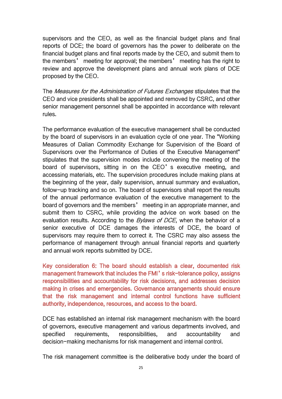supervisors and the CEO, as well as the financial budget plans and final reports of DCE; the board of governors has the power to deliberate on the financial budget plans and final reports made by the CEO, and submit them to the members' meeting for approval; the members' meeting has the right to review and approve the development plans and annual work plans of DCE proposed by the CEO.

The Measures for the Administration of Futures Exchanges stipulates that the CEO and vice presidents shall be appointed and removed by CSRC, and other senior management personnel shall be appointed in accordance with relevant rules.

The performance evaluation of the executive management shall be conducted by the board of supervisors in an evaluation cycle of one year. The "Working Measures of Dalian Commodity Exchange for Supervision of the Board of Supervisors over the Performance of Duties of the Executive Management" stipulates that the supervision modes include convening the meeting of the board of supervisors, sitting in on the CEO's executive meeting, and accessing materials, etc. The supervision procedures include making plans at the beginning of the year, daily supervision, annual summary and evaluation, follow-up tracking and so on. The board of supervisors shall report the results of the annual performance evaluation of the executive management to the board of governors and the members' meeting in an appropriate manner, and submit them to CSRC, while providing the advice on work based on the evaluation results. According to the *Bylaws of DCE*, when the behavior of a senior executive of DCE damages the interests of DCE, the board of supervisors may require them to correct it. The CSRC may also assess the performance of management through annual financial reports and quarterly and annual work reports submitted by DCE.

Key consideration 6: The board should establish a clear, documented risk management framework that includes the FMI's risk-tolerance policy, assigns responsibilities and accountability for risk decisions, and addresses decision making in crises and emergencies. Governance arrangements should ensure that the risk management and internal control functions have sufficient authority, independence, resources, and access to the board.

DCE has established an internal risk management mechanism with the board of governors, executive management and various departments involved, and specified requirements, responsibilities, and accountability and decision-making mechanisms for risk management and internal control.

The risk management committee is the deliberative body under the board of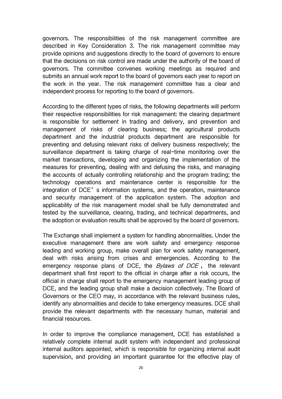governors. The responsibilities of the risk management committee are described in Key Consideration 3. The risk management committee may provide opinions and suggestions directly to the board of governors to ensure that the decisions on risk control are made under the authority of the board of governors. The committee convenes working meetings as required and submits an annual work report to the board of governors each year to report on the work in the year. The risk management committee has a clear and independent process for reporting to the board of governors.

According to the different types of risks, the following departments will perform their respective responsibilities for risk management: the clearing department is responsible for settlement in trading and delivery, and prevention and management of risks of clearing business; the agricultural products department and the industrial products department are responsible for preventing and defusing relevant risks of delivery business respectively; the surveillance department is taking charge of real-time monitoring over the market transactions, developing and organizing the implementation of the measures for preventing, dealing with and defusing the risks, and managing the accounts of actually controlling relationship and the program trading; the technology operations and maintenance center is responsible for the integration of DCE's information systems, and the operation, maintenance and security management of the application system. The adoption and applicability of the risk management model shall be fully demonstrated and tested by the surveillance, clearing, trading, and technical departments, and the adoption or evaluation results shall be approved by the board of governors.

The Exchange shall implement a system for handling abnormalities. Under the executive management there are work safety and emergency response leading and working group, make overall plan for work safety management, deal with risks arising from crises and emergencies. According to the emergency response plans of DCE, the  $Bylaws$  of DCE, the relevant department shall first report to the official in charge after a risk occurs, the official in charge shall report to the emergency management leading group of DCE, and the leading group shall make a decision collectively. The Board of Governors or the CEO may, in accordance with the relevant business rules, identify any abnormalities and decide to take emergency measures. DCE shall provide the relevant departments with the necessary human, material and financial resources.

In order to improve the compliance management, DCE has established a relatively complete internal audit system with independent and professional internal auditors appointed, which is responsible for organizing internal audit supervision, and providing an important guarantee for the effective play of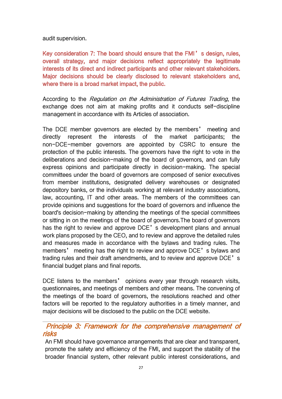audit supervision.

Key consideration 7: The board should ensure that the FMI's design, rules, overall strategy, and major decisions reflect appropriately the legitimate interests of its direct and indirect participants and other relevant stakeholders. Major decisions should be clearly disclosed to relevant stakeholders and, where there is a broad market impact, the public.

According to the Regulation on the Administration of Futures Trading, the exchange does not aim at making profits and it conducts self-discipline management in accordance with its Articles of association.

The DCE member governors are elected by the members' meeting and directly represent the interests of the market participants; the non-DCE-member governors are appointed by CSRC to ensure the protection of the public interests. The governors have the right to vote in the deliberations and decision-making of the board of governors, and can fully express opinions and participate directly in decision-making. The special committees under the board of governors are composed of senior executives from member institutions, designated delivery warehouses or designated depository banks, or the individuals working at relevant industry associations, law, accounting, IT and other areas. The members of the committees can provide opinions and suggestions for the board of governors and influence the board's decision-making by attending the meetings of the special committees or sitting in on the meetings of the board of governors.The board of governors has the right to review and approve DCE's development plans and annual work plans proposed by the CEO, and to review and approve the detailed rules and measures made in accordance with the bylaws and trading rules. The members' meeting has the right to review and approve DCE's bylaws and trading rules and their draft amendments, and to review and approve DCE's financial budget plans and final reports.

DCE listens to the members' opinions every year through research visits, questionnaires, and meetings of members and other means. The convening of the meetings of the board of governors, the resolutions reached and other factors will be reported to the regulatory authorities in a timely manner, and major decisions will be disclosed to the public on the DCE website.

### <span id="page-28-0"></span>Principle 3: Framework for the comprehensive management of risks

An FMI should have governance arrangements that are clear and transparent, promote the safety and efficiency of the FMI, and support the stability of the broader financial system, other relevant public interest considerations, and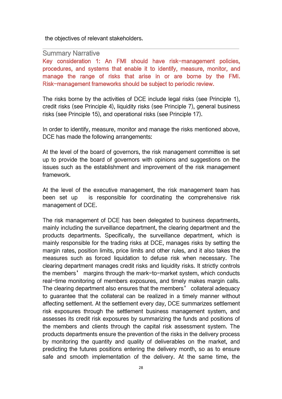the objectives of relevant stakeholders.

#### Summary Narrative

Key consideration 1: An FMI should have risk-management policies, procedures, and systems that enable it to identify, measure, monitor, and manage the range of risks that arise in or are borne by the FMI. Risk-management frameworks should be subject to periodic review.

The risks borne by the activities of DCE include legal risks (see Principle 1), credit risks (see Principle 4), liquidity risks (see Principle 7), general business risks (see Principle 15), and operational risks (see Principle 17).

In order to identify, measure, monitor and manage the risks mentioned above, DCE has made the following arrangements:

At the level of the board of governors, the risk management committee is set up to provide the board of governors with opinions and suggestions on the issues such as the establishment and improvement of the risk management framework.

At the level of the executive management, the risk management team has been set up is responsible for coordinating the comprehensive risk management of DCE.

The risk management of DCE has been delegated to business departments, mainly including the surveillance department, the clearing department and the products departments. Specifically, the surveillance department, which is mainly responsible for the trading risks at DCE, manages risks by setting the margin rates, position limits, price limits and other rules, and it also takes the measures such as forced liquidation to defuse risk when necessary. The clearing department manages credit risks and liquidity risks. It strictly controls the members' margins through the mark-to-market system, which conducts real-time monitoring of members exposures, and timely makes margin calls. The clearing department also ensures that the members' collateral adequacy to guarantee that the collateral can be realized in a timely manner without affecting settlement. At the settlement every day, DCE summarizes settlement risk exposures through the settlement business management system, and assesses its credit risk exposures by summarizing the funds and positions of the members and clients through the capital risk assessment system. The products departments ensure the prevention of the risks in the delivery process by monitoring the quantity and quality of deliverables on the market, and predicting the futures positions entering the delivery month, so as to ensure safe and smooth implementation of the delivery. At the same time, the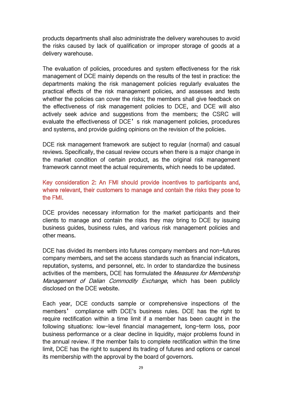products departments shall also administrate the delivery warehouses to avoid the risks caused by lack of qualification or improper storage of goods at a delivery warehouse.

The evaluation of policies, procedures and system effectiveness for the risk management of DCE mainly depends on the results of the test in practice: the departments making the risk management policies regularly evaluates the practical effects of the risk management policies, and assesses and tests whether the policies can cover the risks; the members shall give feedback on the effectiveness of risk management policies to DCE, and DCE will also actively seek advice and suggestions from the members; the CSRC will evaluate the effectiveness of DCE's risk management policies, procedures and systems, and provide guiding opinions on the revision of the policies.

DCE risk management framework are subject to regular (normal) and casual reviews. Specifically, the casual review occurs when there is a major change in the market condition of certain product, as the original risk management framework cannot meet the actual requirements, which needs to be updated.

### Key consideration 2: An FMI should provide incentives to participants and, where relevant, their customers to manage and contain the risks they pose to the FMI.

DCE provides necessary information for the market participants and their clients to manage and contain the risks they may bring to DCE by issuing business guides, business rules, and various risk management policies and other means.

DCE has divided its members into futures company members and non-futures company members, and set the access standards such as financial indicators, reputation, systems, and personnel, etc. In order to standardize the business activities of the members, DCE has formulated the Measures for Membership Management of Dalian Commodity Exchange, which has been publicly disclosed on the DCE website.

Each year, DCE conducts sample or comprehensive inspections of the members' compliance with DCE's business rules. DCE has the right to require rectification within a time limit if a member has been caught in the following situations: low-level financial management, long-term loss, poor business performance or a clear decline in liquidity, major problems found in the annual review. If the member fails to complete rectification within the time limit, DCE has the right to suspend its trading of futures and options or cancel its membership with the approval by the board of governors.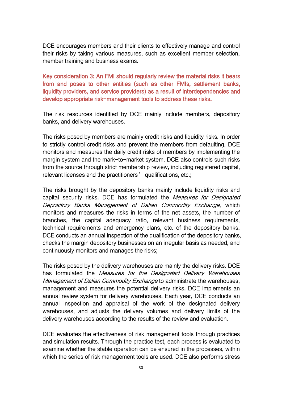DCE encourages members and their clients to effectively manage and control their risks by taking various measures, such as excellent member selection, member training and business exams.

Key consideration 3: An FMI should regularly review the material risks it bears from and poses to other entities (such as other FMIs, settlement banks, liquidity providers, and service providers) as a result of interdependencies and develop appropriate risk-management tools to address these risks.

The risk resources identified by DCE mainly include members, depository banks, and delivery warehouses.

The risks posed by members are mainly credit risks and liquidity risks. In order to strictly control credit risks and prevent the members from defaulting, DCE monitors and measures the daily credit risks of members by implementing the margin system and the mark-to-market system. DCE also controls such risks from the source through strict membership review, including registered capital, relevant licenses and the practitioners' qualifications, etc.;

The risks brought by the depository banks mainly include liquidity risks and capital security risks. DCE has formulated the *Measures for Designated* Depository Banks Management of Dalian Commodity Exchange, which monitors and measures the risks in terms of the net assets, the number of branches, the capital adequacy ratio, relevant business requirements, technical requirements and emergency plans, etc. of the depository banks. DCE conducts an annual inspection of the qualification of the depository banks, checks the margin depository businesses on an irregular basis as needed, and continuously monitors and manages the risks;

The risks posed by the delivery warehouses are mainly the delivery risks. DCE has formulated the Measures for the Designated Delivery Warehouses Management of Dalian Commodity Exchange to administrate the warehouses, management and measures the potential delivery risks. DCE implements an annual review system for delivery warehouses. Each year, DCE conducts an annual inspection and appraisal of the work of the designated delivery warehouses, and adjusts the delivery volumes and delivery limits of the delivery warehouses according to the results of the review and evaluation.

DCE evaluates the effectiveness of risk management tools through practices and simulation results. Through the practice test, each process is evaluated to examine whether the stable operation can be ensured in the processes, within which the series of risk management tools are used. DCE also performs stress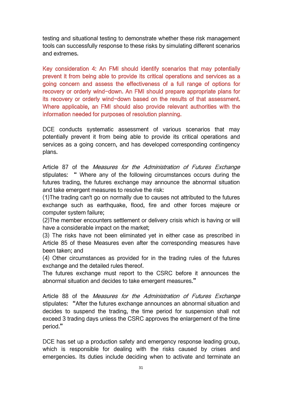testing and situational testing to demonstrate whether these risk management tools can successfully response to these risks by simulating different scenarios and extremes.

Key consideration 4: An FMI should identify scenarios that may potentially prevent it from being able to provide its critical operations and services as a going concern and assess the effectiveness of a full range of options for recovery or orderly wind-down. An FMI should prepare appropriate plans for its recovery or orderly wind-down based on the results of that assessment. Where applicable, an FMI should also provide relevant authorities with the information needed for purposes of resolution planning.

DCE conducts systematic assessment of various scenarios that may potentially prevent it from being able to provide its critical operations and services as a going concern, and has developed corresponding contingency plans.

Article 87 of the *Measures for the Administration of Futures Exchange* stipulates: " Where any of the following circumstances occurs during the futures trading, the futures exchange may announce the abnormal situation and take emergent measures to resolve the risk:

(1)The trading can't go on normally due to causes not attributed to the futures exchange such as earthquake, flood, fire and other forces majeure or computer system failure;

(2) The member encounters settlement or delivery crisis which is having or will have a considerable impact on the market;

(3) The risks have not been eliminated yet in either case as prescribed in Article 85 of these Measures even after the corresponding measures have been taken; and

(4) Other circumstances as provided for in the trading rules of the futures exchange and the detailed rules thereof.

The futures exchange must report to the CSRC before it announces the abnormal situation and decides to take emergent measures."

Article 88 of the *Measures for the Administration of Futures Exchange* stipulates: "After the futures exchange announces an abnormal situation and decides to suspend the trading, the time period for suspension shall not exceed 3 trading days unless the CSRC approves the enlargement of the time period."

DCE has set up a production safety and emergency response leading group, which is responsible for dealing with the risks caused by crises and emergencies. Its duties include deciding when to activate and terminate an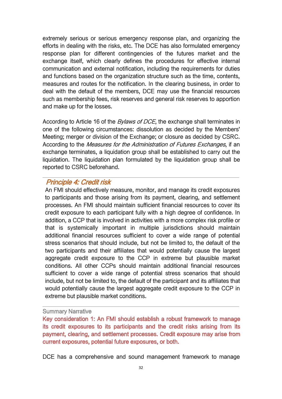extremely serious or serious emergency response plan, and organizing the efforts in dealing with the risks, etc. The DCE has also formulated emergency response plan for different contingencies of the futures market and the exchange itself, which clearly defines the procedures for effective internal communication and external notification, including the requirements for duties and functions based on the organization structure such as the time, contents, measures and routes for the notification. In the clearing business, in order to deal with the default of the members, DCE may use the financial resources such as membership fees, risk reserves and general risk reserves to apportion and make up for the losses.

According to Article 16 of the *Bylaws of DCE*, the exchange shall terminates in one of the following circumstances: dissolution as decided by the Members' Meeting; merger or division of the Exchange; or closure as decided by CSRC. According to the *Measures for the Administration of Futures Exchanges*, if an exchange terminates, a liquidation group shall be established to carry out the liquidation. The liquidation plan formulated by the liquidation group shall be reported to CSRC beforehand.

### <span id="page-33-0"></span>Principle 4: Credit risk

An FMI should effectively measure, monitor, and manage its credit exposures to participants and those arising from its payment, clearing, and settlement processes. An FMI should maintain sufficient financial resources to cover its credit exposure to each participant fully with a high degree of confidence. In addition, a CCP that is involved in activities with a more complex risk profile or that is systemically important in multiple jurisdictions should maintain additional financial resources sufficient to cover a wide range of potential stress scenarios that should include, but not be limited to, the default of the two participants and their affiliates that would potentially cause the largest aggregate credit exposure to the CCP in extreme but plausible market conditions. All other CCPs should maintain additional financial resources sufficient to cover a wide range of potential stress scenarios that should include, but not be limited to, the default of the participant and its affiliates that would potentially cause the largest aggregate credit exposure to the CCP in extreme but plausible market conditions.

#### Summary Narrative

Key consideration 1: An FMI should establish a robust framework to manage its credit exposures to its participants and the credit risks arising from its payment, clearing, and settlement processes. Credit exposure may arise from current exposures, potential future exposures, or both.

DCE has a comprehensive and sound management framework to manage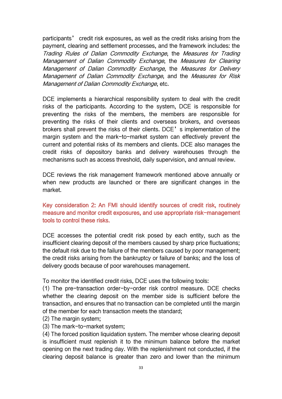participants' credit risk exposures, as well as the credit risks arising from the payment, clearing and settlement processes, and the framework includes: the Trading Rules of Dalian Commodity Exchange, the Measures for Trading Management of Dalian Commodity Exchange, the Measures for Clearing Management of Dalian Commodity Exchange, the Measures for Delivery Management of Dalian Commodity Exchange, and the Measures for Risk Management of Dalian Commodity Exchange, etc.

DCE implements a hierarchical responsibility system to deal with the credit risks of the participants. According to the system, DCE is responsible for preventing the risks of the members, the members are responsible for preventing the risks of their clients and overseas brokers, and overseas brokers shall prevent the risks of their clients. DCE's implementation of the margin system and the mark-to-market system can effectively prevent the current and potential risks of its members and clients. DCE also manages the credit risks of depository banks and delivery warehouses through the mechanisms such as access threshold, daily supervision, and annual review.

DCE reviews the risk management framework mentioned above annually or when new products are launched or there are significant changes in the market.

### Key consideration 2: An FMI should identify sources of credit risk, routinely measure and monitor credit exposures, and use appropriate risk-management tools to control these risks.

DCE accesses the potential credit risk posed by each entity, such as the insufficient clearing deposit of the members caused by sharp price fluctuations; the default risk due to the failure of the members caused by poor management; the credit risks arising from the bankruptcy or failure of banks; and the loss of delivery goods because of poor warehouses management.

To monitor the identified credit risks, DCE uses the following tools:

(1) The pre-transaction order-by-order risk control measure. DCE checks whether the clearing deposit on the member side is sufficient before the transaction, and ensures that no transaction can be completed until the margin of the member for each transaction meets the standard;

- (2) The margin system;
- (3) The mark-to-market system;

(4) The forced position liquidation system. The member whose clearing deposit is insufficient must replenish it to the minimum balance before the market opening on the next trading day. With the replenishment not conducted, if the clearing deposit balance is greater than zero and lower than the minimum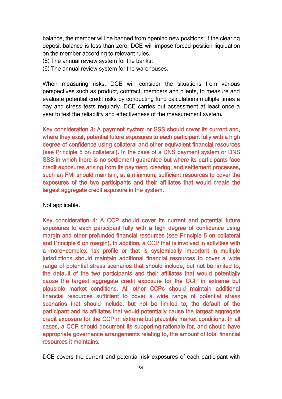balance, the member will be banned from opening new positions; if the clearing deposit balance is less than zero, DCE will impose forced position liquidation on the member according to relevant rules.

- (5) The annual review system for the banks;
- (6) The annual review system for the warehouses.

When measuring risks, DCE will consider the situations from various perspectives such as product, contract, members and clients, to measure and evaluate potential credit risks by conducting fund calculations multiple times a day and stress tests regularly. DCE carries out assessment at least once a year to test the reliability and effectiveness of the measurement system.

Key consideration 3: A payment system or SSS should cover its current and, where they exist, potential future exposures to each participant fully with a high degree of confidence using collateral and other equivalent financial resources (see Principle 5 on collateral). In the case of a DNS payment system or DNS SSS in which there is no settlement quarantee but where its participants face credit exposures arising from its payment, clearing, and settlement processes, such an FMI should maintain, at a minimum, sufficient resources to cover the exposures of the two participants and their affiliates that would create the largest aggregate credit exposure in the system.

Not applicable.

Key consideration 4: A CCP should cover its current and potential future exposures to each participant fully with a high degree of confidence using margin and other prefunded financial resources (see Principle 5 on collateral and Principle 6 on margin). In addition, a CCP that is involved in activities with a more-complex risk profile or that is systemically important in multiple jurisdictions should maintain additional financial resources to cover a wide range of potential stress scenarios that should include, but not be limited to, the default of the two participants and their affiliates that would potentially cause the largest aggregate credit exposure for the CCP in extreme but plausible market conditions. All other CCPs should maintain additional financial resources sufficient to cover a wide range of potential stress scenarios that should include, but not be limited to, the default of the participant and its affiliates that would potentially cause the largest aggregate credit exposure for the CCP in extreme but plausible market conditions. In all cases, a CCP should document its supporting rationale for, and should have appropriate governance arrangements relating to, the amount of total financial resources it maintains.

DCE covers the current and potential risk exposures of each participant with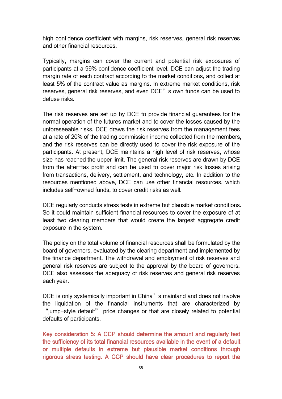high confidence coefficient with margins, risk reserves, general risk reserves and other financial resources.

Typically, margins can cover the current and potential risk exposures of participants at a 99% confidence coefficient level. DCE can adjust the trading margin rate of each contract according to the market conditions, and collect at least 5% of the contract value as margins. In extreme market conditions, risk reserves, general risk reserves, and even DCE's own funds can be used to defuse risks.

The risk reserves are set up by DCE to provide financial guarantees for the normal operation of the futures market and to cover the losses caused by the unforeseeable risks. DCE draws the risk reserves from the management fees at a rate of 20% of the trading commission income collected from the members, and the risk reserves can be directly used to cover the risk exposure of the participants. At present, DCE maintains a high level of risk reserves, whose size has reached the upper limit. The general risk reserves are drawn by DCE from the after-tax profit and can be used to cover major risk losses arising from transactions, delivery, settlement, and technology, etc. In addition to the resources mentioned above, DCE can use other financial resources, which includes self-owned funds, to cover credit risks as well.

DCE regularly conducts stress tests in extreme but plausible market conditions. So it could maintain sufficient financial resources to cover the exposure of at least two clearing members that would create the largest aggregate credit exposure in the system.

The policy on the total volume of financial resources shall be formulated by the board of governors, evaluated by the clearing department and implemented by the finance department. The withdrawal and employment of risk reserves and general risk reserves are subject to the approval by the board of governors. DCE also assesses the adequacy of risk reserves and general risk reserves each year.

DCE is only systemically important in China's mainland and does not involve the liquidation of the financial instruments that are characterized by "jump-style default" price changes or that are closely related to potential defaults of participants.

Key consideration 5: A CCP should determine the amount and regularly test the sufficiency of its total financial resources available in the event of a default or multiple defaults in extreme but plausible market conditions through rigorous stress testing. A CCP should have clear procedures to report the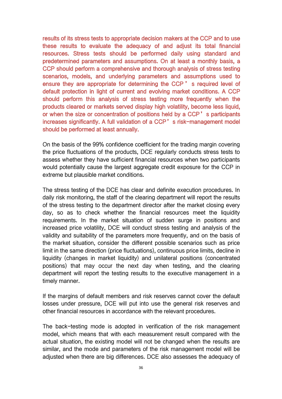results of its stress tests to appropriate decision makers at the CCP and to use these results to evaluate the adequacy of and adjust its total financial resources. Stress tests should be performed daily using standard and predetermined parameters and assumptions. On at least a monthly basis, a CCP should perform a comprehensive and thorough analysis of stress testing scenarios, models, and underlying parameters and assumptions used to ensure they are appropriate for determining the CCP ' s required level of default protection in light of current and evolving market conditions. A CCP should perform this analysis of stress testing more frequently when the products cleared or markets served display high volatility, become less liquid, or when the size or concentration of positions held by a CCP's participants increases significantly. A full validation of a CCP's risk-management model should be performed at least annually.

On the basis of the 99% confidence coefficient for the trading margin covering the price fluctuations of the products, DCE regularly conducts stress tests to assess whether they have sufficient financial resources when two participants would potentially cause the largest aggregate credit exposure for the CCP in extreme but plausible market conditions.

The stress testing of the DCE has clear and definite execution procedures. In daily risk monitoring, the staff of the clearing department will report the results of the stress testing to the department director after the market closing every day, so as to check whether the financial resources meet the liquidity requirements. In the market situation of sudden surge in positions and increased price volatility, DCE will conduct stress testing and analysis of the validity and suitability of the parameters more frequently, and on the basis of the market situation, consider the different possible scenarios such as price limit in the same direction (price fluctuations), continuous price limits, decline in liquidity (changes in market liquidity) and unilateral positions (concentrated positions) that may occur the next day when testing, and the clearing department will report the testing results to the executive management in a timely manner.

If the margins of default members and risk reserves cannot cover the default losses under pressure, DCE will put into use the general risk reserves and other financial resources in accordance with the relevant procedures.

The back-testing mode is adopted in verification of the risk management model, which means that with each measurement result compared with the actual situation, the existing model will not be changed when the results are similar, and the mode and parameters of the risk management model will be adjusted when there are big differences. DCE also assesses the adequacy of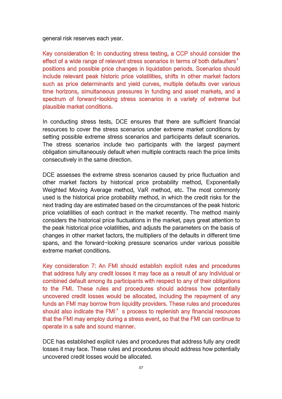general risk reserves each year.

Key consideration 6: In conducting stress testing, a CCP should consider the effect of a wide range of relevant stress scenarios in terms of both defaulters' positions and possible price changes in liquidation periods. Scenarios should include relevant peak historic price volatilities, shifts in other market factors such as price determinants and yield curves, multiple defaults over various time horizons, simultaneous pressures in funding and asset markets, and a spectrum of forward-looking stress scenarios in a variety of extreme but plausible market conditions.

In conducting stress tests, DCE ensures that there are sufficient financial resources to cover the stress scenarios under extreme market conditions by setting possible extreme stress scenarios and participants default scenarios. The stress scenarios include two participants with the largest payment obligation simultaneously default when multiple contracts reach the price limits consecutively in the same direction.

DCE assesses the extreme stress scenarios caused by price fluctuation and other market factors by historical price probability method, Exponentially Weighted Moving Average method, VaR method, etc. The most commonly used is the historical price probability method, in which the credit risks for the next trading day are estimated based on the circumstances of the peak historic price volatilities of each contract in the market recently. The method mainly considers the historical price fluctuations in the market, pays great attention to the peak historical price volatilities, and adjusts the parameters on the basis of changes in other market factors, the multipliers of the defaults in different time spans, and the forward-looking pressure scenarios under various possible extreme market conditions.

Key consideration 7: An FMI should establish explicit rules and procedures that address fully any credit losses it may face as a result of any individual or combined default among its participants with respect to any of their obligations to the FMI. These rules and procedures should address how potentially uncovered credit losses would be allocated, including the repayment of any funds an FMI may borrow from liquidity providers. These rules and procedures should also indicate the FMI's process to replenish any financial resources that the FMI may employ during a stress event, so that the FMI can continue to operate in a safe and sound manner.

DCE has established explicit rules and procedures that address fully any credit losses it may face. These rules and procedures should address how potentially uncovered credit losses would be allocated.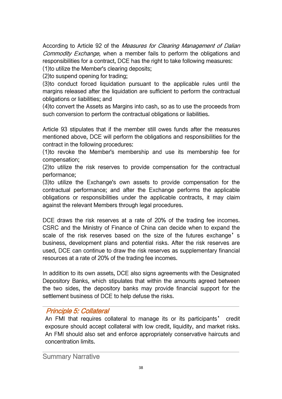According to Article 92 of the Measures for Clearing Management of Dalian Commodity Exchange, when a member fails to perform the obligations and responsibilities for a contract, DCE has the right to take following measures:

(1)to utilize the Member's clearing deposits;

(2)to suspend opening for trading;

(3)to conduct forced liquidation pursuant to the applicable rules until the margins released after the liquidation are sufficient to perform the contractual obligations or liabilities; and

(4)to convert the Assets as Margins into cash, so as to use the proceeds from such conversion to perform the contractual obligations or liabilities.

Article 93 stipulates that if the member still owes funds after the measures mentioned above, DCE will perform the obligations and responsibilities for the contract in the following procedures:

(1)to revoke the Member's membership and use its membership fee for compensation;

(2)to utilize the risk reserves to provide compensation for the contractual performance;

(3)to utilize the Exchange's own assets to provide compensation for the contractual performance; and after the Exchange performs the applicable obligations or responsibilities under the applicable contracts, it may claim against the relevant Members through legal procedures.

DCE draws the risk reserves at a rate of 20% of the trading fee incomes. CSRC and the Ministry of Finance of China can decide when to expand the scale of the risk reserves based on the size of the futures exchange's business, development plans and potential risks. After the risk reserves are used, DCE can continue to draw the risk reserves as supplementary financial resources at a rate of 20% of the trading fee incomes.

In addition to its own assets, DCE also signs agreements with the Designated Depository Banks, which stipulates that within the amounts agreed between the two sides, the depository banks may provide financial support for the settlement business of DCE to help defuse the risks.

# Principle 5: Collateral

An FMI that requires collateral to manage its or its participants' credit exposure should accept collateral with low credit, liquidity, and market risks. An FMI should also set and enforce appropriately conservative haircuts and concentration limits.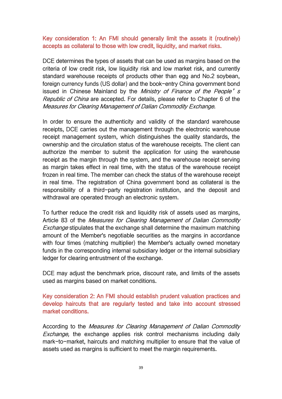### Key consideration 1: An FMI should generally limit the assets it (routinely) accepts as collateral to those with low credit, liquidity, and market risks.

DCE determines the types of assets that can be used as margins based on the criteria of low credit risk, low liquidity risk and low market risk, and currently standard warehouse receipts of products other than egg and No.2 soybean, foreign currency funds (US dollar) and the book-entry China government bond issued in Chinese Mainland by the Ministry of Finance of the People's Republic of China are accepted. For details, please refer to Chapter 6 of the Measures for Clearing Management of Dalian Commodity Exchange.

In order to ensure the authenticity and validity of the standard warehouse receipts, DCE carries out the management through the electronic warehouse receipt management system, which distinguishes the quality standards, the ownership and the circulation status of the warehouse receipts. The client can authorize the member to submit the application for using the warehouse receipt as the margin through the system, and the warehouse receipt serving as margin takes effect in real time, with the status of the warehouse receipt frozen in real time. The member can check the status of the warehouse receipt in real time. The registration of China government bond as collateral is the responsibility of a third-party registration institution, and the deposit and withdrawal are operated through an electronic system.

To further reduce the credit risk and liquidity risk of assets used as margins,<br>Article 83 of the *Measures for Clearing Management of Dalian Commodity* Exchange stipulates that the exchange shall determine the maximum matching amount of the Member's negotiable securities as the margins in accordance with four times (matching multiplier) the Member's actually owned monetary funds in the corresponding internal subsidiary ledger or the internal subsidiary ledger for clearing entrustment of the exchange.

DCE may adjust the benchmark price, discount rate, and limits of the assets used as margins based on market conditions.

Key consideration 2: An FMI should establish prudent valuation practices and develop haircuts that are regularly tested and take into account stressed market conditions.

According to the Measures for Clearing Management of Dalian Commodity Exchange, the exchange applies risk control mechanisms including daily mark-to-market, haircuts and matching multiplier to ensure that the value of assets used as margins is sufficient to meet the margin requirements.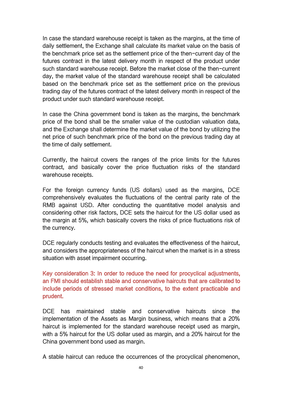In case the standard warehouse receipt is taken as the margins, at the time of daily settlement, the Exchange shall calculate its market value on the basis of the benchmark price set as the settlement price of the then-current day of the futures contract in the latest delivery month in respect of the product under such standard warehouse receipt. Before the market close of the then-current day, the market value of the standard warehouse receipt shall be calculated based on the benchmark price set as the settlement price on the previous trading day of the futures contract of the latest delivery month in respect of the product under such standard warehouse receipt.

In case the China government bond is taken as the margins, the benchmark price of the bond shall be the smaller value of the custodian valuation data, and the Exchange shall determine the market value of the bond by utilizing the net price of such benchmark price of the bond on the previous trading day at the time of daily settlement.

Currently, the haircut covers the ranges of the price limits for the futures contract, and basically cover the price fluctuation risks of the standard warehouse receipts.

For the foreign currency funds (US dollars) used as the margins, DCE comprehensively evaluates the fluctuations of the central parity rate of the RMB against USD. After conducting the quantitative model analysis and considering other risk factors, DCE sets the haircut for the US dollar used as the margin at 5%, which basically covers the risks of price fluctuations risk of the currency.

DCE regularly conducts testing and evaluates the effectiveness of the haircut. and considers the appropriateness of the haircut when the market is in a stress situation with asset impairment occurring.

Key consideration 3: In order to reduce the need for procyclical adjustments, an FMI should establish stable and conservative haircuts that are calibrated to include periods of stressed market conditions, to the extent practicable and prudent.

DCE has maintained stable and conservative haircuts since the implementation of the Assets as Margin business, which means that a 20% haircut is implemented for the standard warehouse receipt used as margin, with a 5% haircut for the US dollar used as margin, and a 20% haircut for the China government bond used as margin.

A stable haircut can reduce the occurrences of the procyclical phenomenon,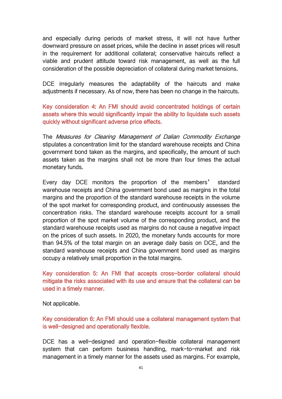and especially during periods of market stress, it will not have further downward pressure on asset prices, while the decline in asset prices will result in the requirement for additional collateral; conservative haircuts reflect a viable and prudent attitude toward risk management, as well as the full consideration of the possible depreciation of collateral during market tensions.

DCE irregularly measures the adaptability of the haircuts and make adjustments if necessary. As of now, there has been no change in the haircuts.

Key consideration 4: An FMI should avoid concentrated holdings of certain assets where this would significantly impair the ability to liquidate such assets quickly without significant adverse price effects.

The Measures for Clearing Management of Dalian Commodity Exchange stipulates a concentration limit for the standard warehouse receipts and China government bond taken as the margins, and specifically, the amount of such assets taken as the margins shall not be more than four times the actual monetary funds.

Every day DCE monitors the proportion of the members' standard warehouse receipts and China government bond used as margins in the total margins and the proportion of the standard warehouse receipts in the volume of the spot market for corresponding product, and continuously assesses the concentration risks. The standard warehouse receipts account for a small proportion of the spot market volume of the corresponding product, and the standard warehouse receipts used as margins do not cause a negative impact on the prices of such assets. In 2020, the monetary funds accounts for more than 94.5% of the total margin on an average daily basis on DCE, and the standard warehouse receipts and China government bond used as margins occupy a relatively small proportion in the total margins.

Key consideration 5: An FMI that accepts cross-border collateral should mitigate the risks associated with its use and ensure that the collateral can be used in a timely manner.

Not applicable.

Key consideration 6: An FMI should use a collateral management system that is well-designed and operationally flexible.

DCE has a well-designed and operation-flexible collateral management system that can perform business handling, mark-to-market and risk management in a timely manner for the assets used as margins. For example,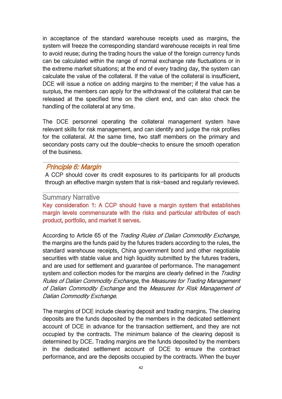in acceptance of the standard warehouse receipts used as margins, the system will freeze the corresponding standard warehouse receipts in real time to avoid reuse; during the trading hours the value of the foreign currency funds can be calculated within the range of normal exchange rate fluctuations or in the extreme market situations; at the end of every trading day, the system can calculate the value of the collateral. If the value of the collateral is insufficient, DCE will issue a notice on adding margins to the member; if the value has a surplus, the members can apply for the withdrawal of the collateral that can be released at the specified time on the client end, and can also check the handling of the collateral at any time.

The DCE personnel operating the collateral management system have relevant skills for risk management, and can identify and judge the risk profiles for the collateral. At the same time, two staff members on the primary and secondary posts carry out the double-checks to ensure the smooth operation of the business.

## Principle 6: Margin

A CCP should cover its credit exposures to its participants for all products through an effective margin system that is risk-based and regularly reviewed.

### Summary Narrative

Key consideration 1: A CCP should have a margin system that establishes margin levels commensurate with the risks and particular attributes of each product, portfolio, and market it serves.

According to Article 65 of the Trading Rules of Dalian Commodity Exchange, the margins are the funds paid by the futures traders according to the rules, the standard warehouse receipts, China government bond and other negotiable securities with stable value and high liquidity submitted by the futures traders, and are used for settlement and guarantee of performance. The management system and collection modes for the margins are clearly defined in the Trading Rules of Dalian Commodity Exchange, the Measures for Trading Management of Dalian Commodity Exchange and the Measures for Risk Management of Dalian Commodity Exchange.

The margins of DCE include clearing deposit and trading margins. The clearing deposits are the funds deposited by the members in the dedicated settlement account of DCE in advance for the transaction settlement, and they are not occupied by the contracts. The minimum balance of the clearing deposit is determined by DCE. Trading margins are the funds deposited by the members in the dedicated settlement account of DCE to ensure the contract performance, and are the deposits occupied by the contracts. When the buyer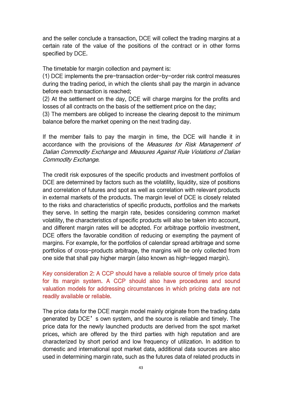and the seller conclude a transaction, DCE will collect the trading margins at a certain rate of the value of the positions of the contract or in other forms specified by DCE.

The timetable for margin collection and payment is:

(1) DCE implements the pre-transaction order-by-order risk control measures during the trading period, in which the clients shall pay the margin in advance before each transaction is reached;

(2) At the settlement on the day, DCE will charge margins for the profits and losses of all contracts on the basis of the settlement price on the day;

(3) The members are obliged to increase the clearing deposit to the minimum balance before the market opening on the next trading day.

If the member fails to pay the margin in time, the DCE will handle it in accordance with the provisions of the Measures for Risk Management of Dalian Commodity Exchange and Measures Against Rule Violations of Dalian Commodity Exchange.

The credit risk exposures of the specific products and investment portfolios of DCE are determined by factors such as the volatility, liquidity, size of positions and correlation of futures and spot as well as correlation with relevant products in external markets of the products. The margin level of DCE is closely related to the risks and characteristics of specific products, portfolios and the markets they serve. In setting the margin rate, besides considering common market volatility, the characteristics of specific products will also be taken into account, and different margin rates will be adopted. For arbitrage portfolio investment, DCE offers the favorable condition of reducing or exempting the payment of margins. For example, for the portfolios of calendar spread arbitrage and some portfolios of cross-products arbitrage, the margins will be only collected from one side that shall pay higher margin (also known as high-legged margin).

Key consideration 2: A CCP should have a reliable source of timely price data for its margin system. A CCP should also have procedures and sound valuation models for addressing circumstances in which pricing data are not readily available or reliable.

The price data for the DCE margin model mainly originate from the trading data generated by DCE's own system, and the source is reliable and timely. The price data for the newly launched products are derived from the spot market prices, which are offered by the third parties with high reputation and are characterized by short period and low frequency of utilization. In addition to domestic and international spot market data, additional data sources are also used in determining margin rate, such as the futures data of related products in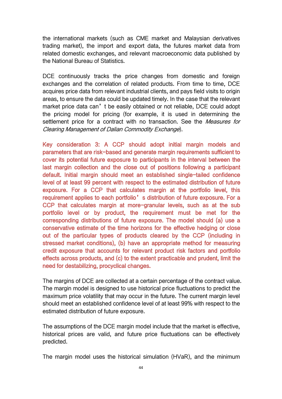the international markets (such as CME market and Malaysian derivatives trading market), the import and export data, the futures market data from related domestic exchanges, and relevant macroeconomic data published by the National Bureau of Statistics.

DCE continuously tracks the price changes from domestic and foreign exchanges and the correlation of related products. From time to time, DCE acquires price data from relevant industrial clients, and pays field visits to origin areas, to ensure the data could be updated timely. In the case that the relevant market price data can't be easily obtained or not reliable, DCE could adopt the pricing model for pricing (for example, it is used in determining the settlement price for a contract with no transaction. See the Measures for Clearing Management of Dalian Commodity Exchange).

Key consideration 3: A CCP should adopt initial margin models and parameters that are risk-based and generate margin requirements sufficient to cover its potential future exposure to participants in the interval between the last margin collection and the close out of positions following a participant default. Initial margin should meet an established single-tailed confidence level of at least 99 percent with respect to the estimated distribution of future exposure. For a CCP that calculates margin at the portfolio level, this requirement applies to each portfolio's distribution of future exposure. For a CCP that calculates margin at more-granular levels, such as at the sub portfolio level or by product, the requirement must be met for the corresponding distributions of future exposure. The model should (a) use a conservative estimate of the time horizons for the effective hedging or close out of the particular types of products cleared by the CCP (including in stressed market conditions), (b) have an appropriate method for measuring credit exposure that accounts for relevant product risk factors and portfolio effects across products, and (c) to the extent practicable and prudent, limit the need for destabilizing, procyclical changes.

The margins of DCE are collected at a certain percentage of the contract value. The margin model is designed to use historical price fluctuations to predict the maximum price volatility that may occur in the future. The current margin level should meet an established confidence level of at least 99% with respect to the estimated distribution of future exposure.

The assumptions of the DCE margin model include that the market is effective, historical prices are valid, and future price fluctuations can be effectively predicted.

The margin model uses the historical simulation (HVaR), and the minimum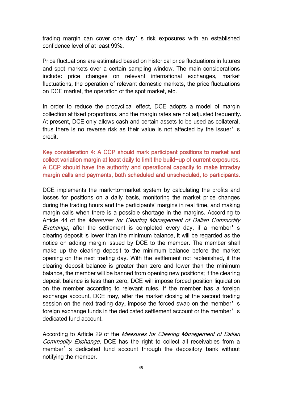trading margin can cover one day's risk exposures with an established confidence level of at least 99%.

Price fluctuations are estimated based on historical price fluctuations in futures and spot markets over a certain sampling window. The main considerations include: price changes on relevant international exchanges, market fluctuations, the operation of relevant domestic markets, the price fluctuations on DCE market, the operation of the spot market, etc.

In order to reduce the procyclical effect, DCE adopts a model of margin collection at fixed proportions, and the margin rates are not adjusted frequently. At present, DCE only allows cash and certain assets to be used as collateral, thus there is no reverse risk as their value is not affected by the issuer's credit.

Key consideration 4: A CCP should mark participant positions to market and collect variation margin at least daily to limit the build-up of current exposures. A CCP should have the authority and operational capacity to make intraday margin calls and payments, both scheduled and unscheduled, to participants.

DCE implements the mark-to-market system by calculating the profits and losses for positions on a daily basis, monitoring the market price changes during the trading hours and the participants' margins in real time, and making margin calls when there is a possible shortage in the margins. According to Article 44 of the Measures for Clearing Management of Dalian Commodity Exchange, after the settlement is completed every day, if a member's clearing deposit is lower than the minimum balance, it will be regarded as the notice on adding margin issued by DCE to the member. The member shall make up the clearing deposit to the minimum balance before the market opening on the next trading day. With the settlement not replenished, if the clearing deposit balance is greater than zero and lower than the minimum balance, the member will be banned from opening new positions; if the clearing deposit balance is less than zero, DCE will impose forced position liquidation on the member according to relevant rules. If the member has a foreign exchange account, DCE may, after the market closing at the second trading session on the next trading day, impose the forced swap on the member's foreign exchange funds in the dedicated settlement account or the member's dedicated fund account.

According to Article 29 of the Measures for Clearing Management of Dalian Commodity Exchange, DCE has the right to collect all receivables from a member's dedicated fund account through the depository bank without notifying the member.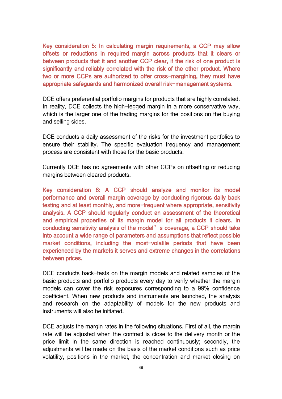Key consideration 5: In calculating margin requirements, a CCP may allow offsets or reductions in required margin across products that it clears or between products that it and another CCP clear, if the risk of one product is significantly and reliably correlated with the risk of the other product. Where two or more CCPs are authorized to offer cross-margining, they must have appropriate safeguards and harmonized overall risk-management systems.

DCE offers preferential portfolio margins for products that are highly correlated. In reality. DCE collects the high-legged margin in a more conservative way. which is the larger one of the trading margins for the positions on the buying and selling sides.

DCE conducts a daily assessment of the risks for the investment portfolios to ensure their stability. The specific evaluation frequency and management process are consistent with those for the basic products.

Currently DCE has no agreements with other CCPs on offsetting or reducing margins between cleared products.

Key consideration 6: A CCP should analyze and monitor its model performance and overall margin coverage by conducting rigorous daily back testing and at least monthly, and more-frequent where appropriate, sensitivity analysis. A CCP should regularly conduct an assessment of the theoretical and empirical properties of its margin model for all products it clears. In conducting sensitivity analysis of the model's coverage, a CCP should take into account a wide range of parameters and assumptions that reflect possible market conditions, including the most-volatile periods that have been experienced by the markets it serves and extreme changes in the correlations between prices.

DCE conducts back-tests on the margin models and related samples of the basic products and portfolio products every day to verify whether the margin models can cover the risk exposures corresponding to a 99% confidence coefficient. When new products and instruments are launched, the analysis and research on the adaptability of models for the new products and instruments will also be initiated.

DCE adjusts the margin rates in the following situations. First of all, the margin rate will be adjusted when the contract is close to the delivery month or the price limit in the same direction is reached continuously; secondly, the adjustments will be made on the basis of the market conditions such as price volatility, positions in the market, the concentration and market closing on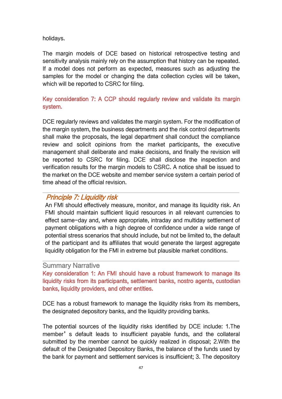holidays.

The margin models of DCE based on historical retrospective testing and sensitivity analysis mainly rely on the assumption that history can be repeated. If a model does not perform as expected, measures such as adjusting the samples for the model or changing the data collection cycles will be taken, which will be reported to CSRC for filing.

## Key consideration 7: A CCP should regularly review and validate its margin system.

DCE regularly reviews and validates the margin system. For the modification of the margin system, the business departments and the risk control departments shall make the proposals, the legal department shall conduct the compliance review and solicit opinions from the market participants, the executive management shall deliberate and make decisions, and finally the revision will be reported to CSRC for filing. DCE shall disclose the inspection and verification results for the margin models to CSRC. A notice shall be issued to the market on the DCE website and member service system a certain period of time ahead of the official revision.

# Principle 7: Liquidity risk

An FMI should effectively measure, monitor, and manage its liquidity risk. An FMI should maintain sufficient liquid resources in all relevant currencies to effect same-day and, where appropriate, intraday and multiday settlement of payment obligations with a high degree of confidence under a wide range of potential stress scenarios that should include, but not be limited to, the default of the participant and its affiliates that would generate the largest aggregate liquidity obligation for the FMI in extreme but plausible market conditions.

### Summary Narrative

Key consideration 1: An FMI should have a robust framework to manage its liquidity risks from its participants, settlement banks, nostro agents, custodian banks, liquidity providers, and other entities.

DCE has a robust framework to manage the liquidity risks from its members, the designated depository banks, and the liquidity providing banks.

The potential sources of the liquidity risks identified by DCE include: 1.The member's default leads to insufficient payable funds, and the collateral submitted by the member cannot be quickly realized in disposal; 2.With the default of the Designated Depository Banks, the balance of the funds used by the bank for payment and settlement services is insufficient; 3. The depository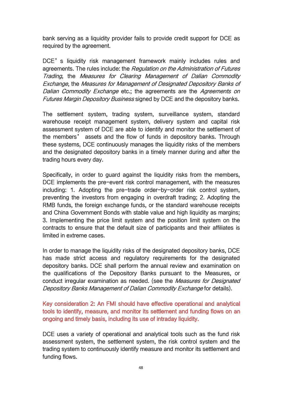bank serving as a liquidity provider fails to provide credit support for DCE as required by the agreement.

DCE's liquidity risk management framework mainly includes rules and agreements. The rules include: the Regulation on the Administration of Futures Trading, the Measures for Clearing Management of Dalian Commodity Exchange, the Measures for Management of Designated Depository Banks of Dalian Commodity Exchange etc.; the agreements are the Agreements on Futures Margin Depository Business signed by DCE and the depository banks.

The settlement system, trading system, surveillance system, standard warehouse receipt management system, delivery system and capital risk assessment system of DCE are able to identify and monitor the settlement of the members' assets and the flow of funds in depository banks. Through these systems, DCE continuously manages the liquidity risks of the members and the designated depository banks in a timely manner during and after the trading hours every day.

Specifically, in order to guard against the liquidity risks from the members, DCE implements the pre-event risk control management, with the measures including: 1. Adopting the pre-trade order-by-order risk control system, preventing the investors from engaging in overdraft trading; 2. Adopting the RMB funds, the foreign exchange funds, or the standard warehouse receipts and China Government Bonds with stable value and high liquidity as margins; 3. Implementing the price limit system and the position limit system on the contracts to ensure that the default size of participants and their affiliates is limited in extreme cases.

In order to manage the liquidity risks of the designated depository banks, DCE has made strict access and regulatory requirements for the designated depository banks. DCE shall perform the annual review and examination on the qualifications of the Depository Banks pursuant to the Measures, or conduct irregular examination as needed. (see the Measures for Designated Depository Banks Management of Dalian Commodity Exchange for details).

Key consideration 2: An FMI should have effective operational and analytical tools to identify, measure, and monitor its settlement and funding flows on an ongoing and timely basis, including its use of intraday liquidity.

DCE uses a variety of operational and analytical tools such as the fund risk assessment system, the settlement system, the risk control system and the trading system to continuously identify measure and monitor its settlement and funding flows.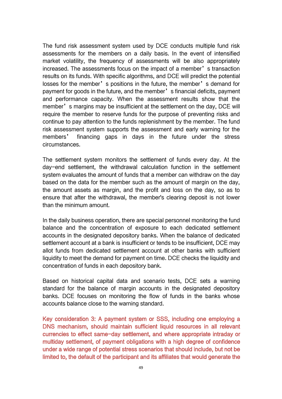The fund risk assessment system used by DCE conducts multiple fund risk assessments for the members on a daily basis. In the event of intensified market volatility, the frequency of assessments will be also appropriately increased. The assessments focus on the impact of a member's transaction results on its funds. With specific algorithms, and DCE will predict the potential losses for the member's positions in the future, the member's demand for payment for goods in the future, and the member's financial deficits, payment and performance capacity. When the assessment results show that the member's margins may be insufficient at the settlement on the day, DCE will require the member to reserve funds for the purpose of preventing risks and continue to pay attention to the funds replenishment by the member. The fund risk assessment system supports the assessment and early warning for the members' financing gaps in days in the future under the stress circumstances.

The settlement system monitors the settlement of funds every day. At the day-end settlement, the withdrawal calculation function in the settlement system evaluates the amount of funds that a member can withdraw on the day based on the data for the member such as the amount of margin on the day, the amount assets as margin, and the profit and loss on the day, so as to ensure that after the withdrawal, the member's clearing deposit is not lower than the minimum amount.

In the daily business operation, there are special personnel monitoring the fund balance and the concentration of exposure to each dedicated settlement accounts in the designated depository banks. When the balance of dedicated settlement account at a bank is insufficient or tends to be insufficient. DCE may allot funds from dedicated settlement account at other banks with sufficient liquidity to meet the demand for payment on time. DCE checks the liquidity and concentration of funds in each depository bank.

Based on historical capital data and scenario tests, DCE sets a warning standard for the balance of margin accounts in the designated depository banks. DCE focuses on monitoring the flow of funds in the banks whose accounts balance close to the warning standard.

Key consideration 3: A payment system or SSS, including one employing a DNS mechanism, should maintain sufficient liquid resources in all relevant currencies to effect same-day settlement, and where appropriate intraday or multiday settlement, of payment obligations with a high degree of confidence under a wide range of potential stress scenarios that should include, but not be limited to, the default of the participant and its affiliates that would generate the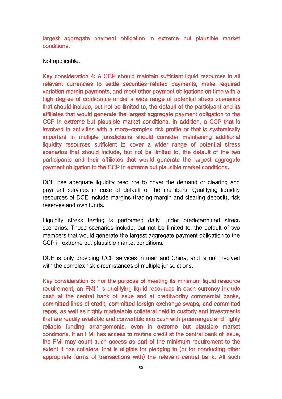largest aggregate payment obligation in extreme but plausible market conditions.

Not applicable.

Key consideration 4: A CCP should maintain sufficient liquid resources in all relevant currencies to settle securities-related payments, make required variation margin payments, and meet other payment obligations on time with a high degree of confidence under a wide range of potential stress scenarios that should include, but not be limited to, the default of the participant and its affiliates that would generate the largest aggregate payment obligation to the CCP in extreme but plausible market conditions. In addition, a CCP that is involved in activities with a more-complex risk profile or that is systemically important in multiple jurisdictions should consider maintaining additional liquidity resources sufficient to cover a wider range of potential stress scenarios that should include, but not be limited to, the default of the two participants and their affiliates that would generate the largest aggregate payment obligation to the CCP in extreme but plausible market conditions.

DCE has adequate liquidity resource to cover the demand of clearing and payment services in case of default of the members. Qualifying liquidity resources of DCE include margins (trading margin and clearing deposit), risk reserves and own funds.

Liquidity stress testing is performed daily under predetermined stress scenarios. Those scenarios include, but not be limited to, the default of two members that would generate the largest aggregate payment obligation to the CCP in extreme but plausible market conditions.

DCE is only providing CCP services in mainland China, and is not involved with the complex risk circumstances of multiple jurisdictions.

Key consideration 5: For the purpose of meeting its minimum liquid resource requirement, an FMI's qualifying liquid resources in each currency include cash at the central bank of issue and at creditworthy commercial banks, committed lines of credit, committed foreign exchange swaps, and committed repos, as well as highly marketable collateral held in custody and investments that are readily available and convertible into cash with prearranged and highly reliable funding arrangements, even in extreme but plausible market conditions. If an FMI has access to routine credit at the central bank of issue, the FMI may count such access as part of the minimum requirement to the extent it has collateral that is eligible for pledging to (or for conducting other appropriate forms of transactions with) the relevant central bank. All such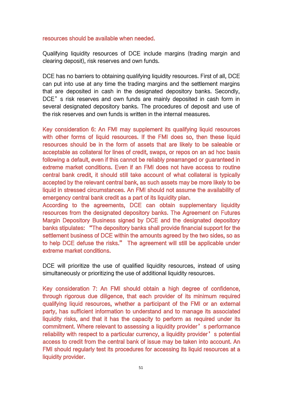#### resources should be available when needed.

Qualifying liquidity resources of DCE include margins (trading margin and clearing deposit), risk reserves and own funds.

DCE has no barriers to obtaining qualifying liquidity resources. First of all, DCE can put into use at any time the trading margins and the settlement margins that are deposited in cash in the designated depository banks. Secondly, DCE's risk reserves and own funds are mainly deposited in cash form in several designated depository banks. The procedures of deposit and use of the risk reserves and own funds is written in the internal measures.

Key consideration 6: An FMI may supplement its qualifying liquid resources with other forms of liquid resources. If the FMI does so, then these liquid resources should be in the form of assets that are likely to be saleable or acceptable as collateral for lines of credit, swaps, or repos on an ad hoc basis following a default, even if this cannot be reliably prearranged or guaranteed in extreme market conditions. Even if an FMI does not have access to routine central bank credit, it should still take account of what collateral is typically accepted by the relevant central bank, as such assets may be more likely to be liquid in stressed circumstances. An FMI should not assume the availability of emergency central bank credit as a part of its liquidity plan.

According to the agreements, DCE can obtain supplementary liquidity resources from the designated depository banks. The Agreement on Futures Margin Depository Business signed by DCE and the designated depository banks stipulates: "The depository banks shall provide financial support for the settlement business of DCE within the amounts agreed by the two sides, so as to help DCE defuse the risks." The agreement will still be applicable under extreme market conditions.

DCE will prioritize the use of qualified liquidity resources, instead of using simultaneously or prioritizing the use of additional liquidity resources.

Key consideration 7: An FMI should obtain a high degree of confidence, through rigorous due diligence, that each provider of its minimum required qualifying liquid resources, whether a participant of the FMI or an external party, has sufficient information to understand and to manage its associated liquidity risks, and that it has the capacity to perform as required under its commitment. Where relevant to assessing a liquidity provider's performance reliability with respect to a particular currency, a liquidity provider's potential access to credit from the central bank of issue may be taken into account. An FMI should regularly test its procedures for accessing its liquid resources at a liquidity provider.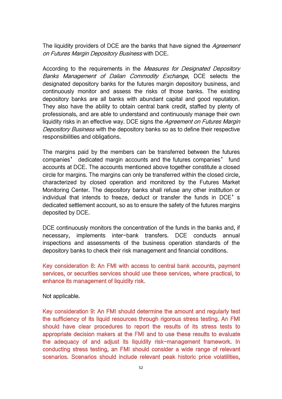The liquidity providers of DCE are the banks that have signed the *Agreement* on Futures Margin Depository Business with DCE.

According to the requirements in the Measures for Designated Depository Banks Management of Dalian Commodity Exchange, DCE selects the designated depository banks for the futures margin depository business, and continuously monitor and assess the risks of those banks. The existing depository banks are all banks with abundant capital and good reputation. They also have the ability to obtain central bank credit, staffed by plenty of professionals, and are able to understand and continuously manage their own liquidity risks in an effective way. DCE signs the Agreement on Futures Margin Depository Business with the depository banks so as to define their respective responsibilities and obligations.

The margins paid by the members can be transferred between the futures companies' dedicated margin accounts and the futures companies' fund accounts at DCE. The accounts mentioned above together constitute a closed circle for margins. The margins can only be transferred within the closed circle, characterized by closed operation and monitored by the Futures Market Monitoring Center. The depository banks shall refuse any other institution or individual that intends to freeze, deduct or transfer the funds in DCE's dedicated settlement account, so as to ensure the safety of the futures margins deposited by DCE.

DCE continuously monitors the concentration of the funds in the banks and, if necessary, implements inter-bank transfers. DCE conducts annual inspections and assessments of the business operation standards of the depository banks to check their risk management and financial conditions.

Key consideration 8: An FMI with access to central bank accounts, payment services, or securities services should use these services, where practical, to enhance its management of liquidity risk.

Not applicable.

Key consideration 9: An FMI should determine the amount and regularly test the sufficiency of its liquid resources through rigorous stress testing. An FMI should have clear procedures to report the results of its stress tests to appropriate decision makers at the FMI and to use these results to evaluate the adequacy of and adjust its liquidity risk-management framework. In conducting stress testing, an FMI should consider a wide range of relevant scenarios. Scenarios should include relevant peak historic price volatilities,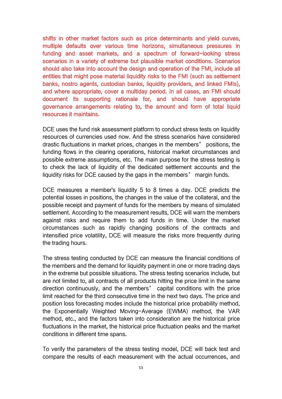shifts in other market factors such as price determinants and yield curves, multiple defaults over various time horizons, simultaneous pressures in funding and asset markets, and a spectrum of forward-looking stress scenarios in a variety of extreme but plausible market conditions. Scenarios should also take into account the design and operation of the FMI, include all entities that might pose material liquidity risks to the FMI (such as settlement banks, nostro agents, custodian banks, liquidity providers, and linked FMIs), and where appropriate, cover a multiday period. In all cases, an FMI should document its supporting rationale for, and should have appropriate governance arrangements relating to, the amount and form of total liquid resources it maintains.

DCE uses the fund risk assessment platform to conduct stress tests on liquidity resources of currencies used now. And the stress scenarios have considered drastic fluctuations in market prices, changes in the members' positions, the funding flows in the clearing operations, historical market circumstances and possible extreme assumptions, etc. The main purpose for the stress testing is to check the lack of liquidity of the dedicated settlement accounts and the liquidity risks for DCE caused by the gaps in the members' margin funds.

DCE measures a member's liquidity 5 to 8 times a day. DCE predicts the potential losses in positions, the changes in the value of the collateral, and the possible receipt and payment of funds for the members by means of simulated settlement. According to the measurement results, DCE will warn the members against risks and require them to add funds in time. Under the market circumstances such as rapidly changing positions of the contracts and intensified price volatility, DCE will measure the risks more frequently during the trading hours.

The stress testing conducted by DCE can measure the financial conditions of the members and the demand for liquidity payment in one or more trading days in the extreme but possible situations. The stress testing scenarios include, but are not limited to, all contracts of all products hitting the price limit in the same direction continuously, and the members' capital conditions with the price limit reached for the third consecutive time in the next two days. The price and position loss forecasting modes include the historical price probability method, the Exponentially Weighted Moving-Average (EWMA) method, the VAR method, etc., and the factors taken into consideration are the historical price fluctuations in the market, the historical price fluctuation peaks and the market conditions in different time spans.

To verify the parameters of the stress testing model, DCE will back test and compare the results of each measurement with the actual occurrences, and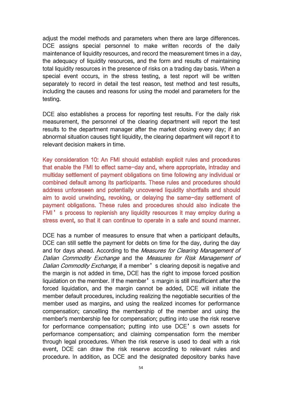adjust the model methods and parameters when there are large differences. DCE assigns special personnel to make written records of the daily maintenance of liquidity resources, and record the measurement times in a day, the adequacy of liquidity resources, and the form and results of maintaining total liquidity resources in the presence of risks on a trading day basis. When a special event occurs, in the stress testing, a test report will be written separately to record in detail the test reason, test method and test results, including the causes and reasons for using the model and parameters for the testing.

DCE also establishes a process for reporting test results. For the daily risk measurement, the personnel of the clearing department will report the test results to the department manager after the market closing every day; if an abnormal situation causes tight liquidity, the clearing department will report it to relevant decision makers in time.

Key consideration 10: An FMI should establish explicit rules and procedures that enable the FMI to effect same-day and, where appropriate, intraday and multiday settlement of payment obligations on time following any individual or combined default among its participants. These rules and procedures should address unforeseen and potentially uncovered liquidity shortfalls and should aim to avoid unwinding, revoking, or delaying the same-day settlement of payment obligations. These rules and procedures should also indicate the FMI's process to replenish any liquidity resources it may employ during a stress event, so that it can continue to operate in a safe and sound manner.

DCE has a number of measures to ensure that when a participant defaults, DCE can still settle the payment for debts on time for the day, during the day and for days ahead. According to the Measures for Clearing Management of Dalian Commodity Exchange and the Measures for Risk Management of Dalian Commodity Exchange, if a member's clearing deposit is negative and the margin is not added in time, DCE has the right to impose forced position liquidation on the member. If the member's margin is still insufficient after the forced liquidation, and the margin cannot be added, DCE will initiate the member default procedures, including realizing the negotiable securities of the member used as margins, and using the realized incomes for performance compensation; cancelling the membership of the member and using the member's membership fee for compensation; putting into use the risk reserve for performance compensation; putting into use DCE's own assets for performance compensation; and claiming compensation form the member through legal procedures. When the risk reserve is used to deal with a risk event, DCE can draw the risk reserve according to relevant rules and procedure. In addition, as DCE and the designated depository banks have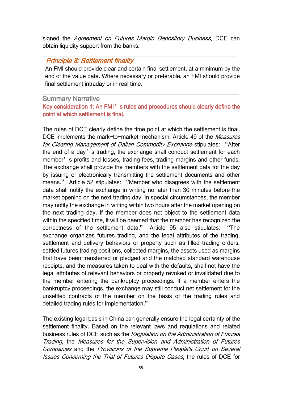signed the *Agreement on Futures Margin Depository Business*, DCE can obtain liquidity support from the banks.

## Principle 8: Settlement finality

An FMI should provide clear and certain final settlement, at a minimum by the end of the value date. Where necessary or preferable, an FMI should provide final settlement intraday or in real time.

## Summary Narrative

## Key consideration 1: An FMI's rules and procedures should clearly define the point at which settlement is final.

The rules of DCE clearly define the time point at which the settlement is final. DCE implements the mark-to-market mechanism. Article 49 of the *Measures* for Clearing Management of Dalian Commodity Exchange stipulates: "After the end of a day's trading, the exchange shall conduct settlement for each member's profits and losses, trading fees, trading margins and other funds. The exchange shall provide the members with the settlement data for the day by issuing or electronically transmitting the settlement documents and other means." Article 52 stipulates: "Member who disagrees with the settlement data shall notify the exchange in writing no later than 30 minutes before the market opening on the next trading day. In special circumstances, the member may notify the exchange in writing within two hours after the market opening on the next trading day. If the member does not object to the settlement data within the specified time, it will be deemed that the member has recognized the correctness of the settlement data." Article 95 also stipulates: "The exchange organizes futures trading, and the legal attributes of the trading, settlement and delivery behaviors or property such as filled trading orders, settled futures trading positions, collected margins, the assets used as margins that have been transferred or pledged and the matched standard warehouse receipts, and the measures taken to deal with the defaults, shall not have the legal attributes of relevant behaviors or property revoked or invalidated due to the member entering the bankruptcy proceedings. If a member enters the bankruptcy proceedings, the exchange may still conduct net settlement for the unsettled contracts of the member on the basis of the trading rules and detailed trading rules for implementation."

The existing legal basis in China can generally ensure the legal certainty of the settlement finality. Based on the relevant laws and regulations and related business rules of DCE such as the Regulation on the Administration of Futures Trading, the Measures for the Supervision and Administration of Futures Companies and the Provisions of the Supreme People's Court on Several Issues Concerning the Trial of Futures Dispute Cases, the rules of DCE for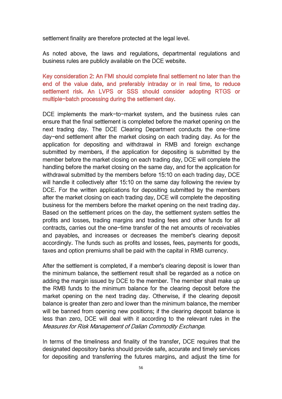settlement finality are therefore protected at the legal level.

As noted above, the laws and regulations, departmental regulations and business rules are publicly available on the DCE website.

Key consideration 2: An FMI should complete final settlement no later than the end of the value date, and preferably intraday or in real time, to reduce settlement risk. An LVPS or SSS should consider adopting RTGS or multiple-batch processing during the settlement day.

DCE implements the mark-to-market system, and the business rules can ensure that the final settlement is completed before the market opening on the next trading day. The DCE Clearing Department conducts the one-time day-end settlement after the market closing on each trading day. As for the application for depositing and withdrawal in RMB and foreign exchange submitted by members, if the application for depositing is submitted by the member before the market closing on each trading day, DCE will complete the handling before the market closing on the same day, and for the application for withdrawal submitted by the members before 15:10 on each trading day, DCE will handle it collectively after 15:10 on the same day following the review by DCE. For the written applications for depositing submitted by the members after the market closing on each trading day, DCE will complete the depositing business for the members before the market opening on the next trading day. Based on the settlement prices on the day, the settlement system settles the profits and losses, trading margins and trading fees and other funds for all contracts, carries out the one-time transfer of the net amounts of receivables and payables, and increases or decreases the member's clearing deposit accordingly. The funds such as profits and losses, fees, payments for goods, taxes and option premiums shall be paid with the capital in RMB currency.

After the settlement is completed, if a member's clearing deposit is lower than the minimum balance, the settlement result shall be regarded as a notice on adding the margin issued by DCE to the member. The member shall make up the RMB funds to the minimum balance for the clearing deposit before the market opening on the next trading day. Otherwise, if the clearing deposit balance is greater than zero and lower than the minimum balance, the member will be banned from opening new positions; if the clearing deposit balance is less than zero, DCE will deal with it according to the relevant rules in the Measures for Risk Management of Dalian Commodity Exchange.

In terms of the timeliness and finality of the transfer, DCE requires that the designated depository banks should provide safe, accurate and timely services for depositing and transferring the futures margins, and adjust the time for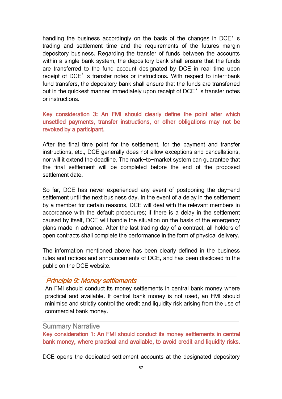handling the business accordingly on the basis of the changes in DCE's trading and settlement time and the requirements of the futures margin depository business. Regarding the transfer of funds between the accounts within a single bank system, the depository bank shall ensure that the funds are transferred to the fund account designated by DCE in real time upon receipt of DCE's transfer notes or instructions. With respect to inter-bank fund transfers, the depository bank shall ensure that the funds are transferred out in the quickest manner immediately upon receipt of DCE's transfer notes or instructions.

Key consideration 3: An FMI should clearly define the point after which unsettled payments, transfer instructions, or other obligations may not be revoked by a participant.

After the final time point for the settlement, for the payment and transfer instructions, etc., DCE generally does not allow exceptions and cancellations, nor will it extend the deadline. The mark-to-market system can guarantee that the final settlement will be completed before the end of the proposed settlement date.

So far, DCE has never experienced any event of postponing the day-end settlement until the next business day. In the event of a delay in the settlement by a member for certain reasons, DCE will deal with the relevant members in accordance with the default procedures; if there is a delay in the settlement caused by itself, DCE will handle the situation on the basis of the emergency plans made in advance. After the last trading day of a contract, all holders of open contracts shall complete the performance in the form of physical delivery.

The information mentioned above has been clearly defined in the business rules and notices and announcements of DCE, and has been disclosed to the public on the DCE website.

### Principle 9: Money settlements

An FMI should conduct its money settlements in central bank money where practical and available. If central bank money is not used, an FMI should minimise and strictly control the credit and liquidity risk arising from the use of commercial bank money.

#### Summary Narrative

Key consideration 1: An FMI should conduct its money settlements in central bank money, where practical and available, to avoid credit and liquidity risks.

DCE opens the dedicated settlement accounts at the designated depository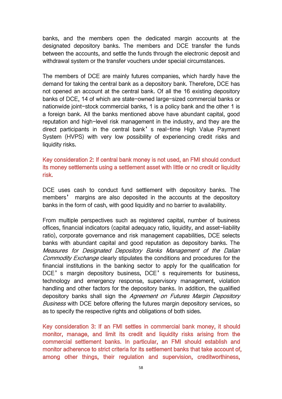banks, and the members open the dedicated margin accounts at the designated depository banks. The members and DCE transfer the funds between the accounts, and settle the funds through the electronic deposit and withdrawal system or the transfer vouchers under special circumstances.

The members of DCE are mainly futures companies, which hardly have the demand for taking the central bank as a depository bank. Therefore, DCE has not opened an account at the central bank. Of all the 16 existing depository banks of DCE, 14 of which are state-owned large-sized commercial banks or nationwide joint-stock commercial banks, 1 is a policy bank and the other 1 is a foreign bank. All the banks mentioned above have abundant capital, good reputation and high-level risk management in the industry, and they are the direct participants in the central bank's real-time High Value Payment System (HVPS) with very low possibility of experiencing credit risks and liquidity risks.

Key consideration 2: If central bank money is not used, an FMI should conduct its money settlements using a settlement asset with little or no credit or liquidity risk.

DCE uses cash to conduct fund settlement with depository banks. The members' margins are also deposited in the accounts at the depository banks in the form of cash, with good liquidity and no barrier to availability.

From multiple perspectives such as registered capital, number of business offices, financial indicators (capital adequacy ratio, liquidity, and asset-liability ratio), corporate governance and risk management capabilities, DCE selects banks with abundant capital and good reputation as depository banks. The Measures for Designated Depository Banks Management of the Dalian Commodity Exchange clearly stipulates the conditions and procedures for the financial institutions in the banking sector to apply for the qualification for DCE's margin depository business, DCE's requirements for business, technology and emergency response, supervisory management, violation handling and other factors for the depository banks. In addition, the qualified depository banks shall sign the Agreement on Futures Margin Depository Business with DCE before offering the futures margin depository services, so as to specify the respective rights and obligations of both sides.

Key consideration 3: If an FMI settles in commercial bank money, it should monitor, manage, and limit its credit and liquidity risks arising from the commercial settlement banks. In particular, an FMI should establish and monitor adherence to strict criteria for its settlement banks that take account of, among other things, their regulation and supervision, creditworthiness,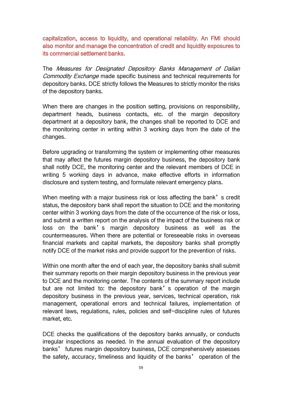capitalization, access to liquidity, and operational reliability. An FMI should also monitor and manage the concentration of credit and liquidity exposures to its commercial settlement banks.

The Measures for Designated Depository Banks Management of Dalian Commodity Exchange made specific business and technical requirements for depository banks. DCE strictly follows the Measures to strictly monitor the risks of the depository banks.

When there are changes in the position setting, provisions on responsibility, department heads, business contacts, etc. of the margin depository department at a depository bank, the changes shall be reported to DCE and the monitoring center in writing within 3 working days from the date of the changes.

Before upgrading or transforming the system or implementing other measures that may affect the futures margin depository business, the depository bank shall notify DCE, the monitoring center and the relevant members of DCE in writing 5 working days in advance, make effective efforts in information disclosure and system testing, and formulate relevant emergency plans.

When meeting with a major business risk or loss affecting the bank's credit status, the depository bank shall report the situation to DCE and the monitoring center within 3 working days from the date of the occurrence of the risk or loss, and submit a written report on the analysis of the impact of the business risk or loss on the bank's margin depository business as well as the countermeasures. When there are potential or foreseeable risks in overseas financial markets and capital markets, the depository banks shall promptly notify DCE of the market risks and provide support for the prevention of risks.

Within one month after the end of each year, the depository banks shall submit their summary reports on their margin depository business in the previous year to DCE and the monitoring center. The contents of the summary report include but are not limited to: the depository bank's operation of the margin depository business in the previous year, services, technical operation, risk management, operational errors and technical failures, implementation of relevant laws, regulations, rules, policies and self-discipline rules of futures market, etc.

DCE checks the qualifications of the depository banks annually, or conducts irregular inspections as needed. In the annual evaluation of the depository banks' futures margin depository business, DCE comprehensively assesses the safety, accuracy, timeliness and liquidity of the banks' operation of the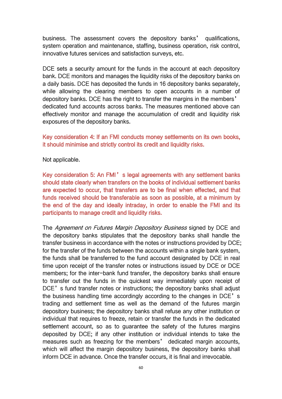business. The assessment covers the depository banks' qualifications, system operation and maintenance, staffing, business operation, risk control, innovative futures services and satisfaction surveys, etc.

DCE sets a security amount for the funds in the account at each depository bank. DCE monitors and manages the liquidity risks of the depository banks on a daily basis.DCE has deposited the funds in 16 depository banks separately, while allowing the clearing members to open accounts in a number of depository banks. DCE has the right to transfer the margins in the members' dedicated fund accounts across banks. The measures mentioned above can effectively monitor and manage the accumulation of credit and liquidity risk exposures of the depository banks.

Key consideration 4: If an FMI conducts money settlements on its own books, it should minimise and strictly control its credit and liquidity risks.

Not applicable.

Key consideration 5: An FMI's legal agreements with any settlement banks should state clearly when transfers on the books of individual settlement banks are expected to occur, that transfers are to be final when effected, and that funds received should be transferable as soon as possible, at a minimum by the end of the day and ideally intraday, in order to enable the FMI and its participants to manage credit and liquidity risks.

The Agreement on Futures Margin Depository Business signed by DCE and the depository banks stipulates that the depository banks shall handle the transfer business in accordance with the notes or instructions provided by DCE; for the transfer of the funds between the accounts within a single bank system, the funds shall be transferred to the fund account designated by DCE in real time upon receipt of the transfer notes or instructions issued by DCE or DCE members; for the inter-bank fund transfer, the depository banks shall ensure to transfer out the funds in the quickest way immediately upon receipt of DCE's fund transfer notes or instructions; the depository banks shall adjust the business handling time accordingly according to the changes in DCE's trading and settlement time as well as the demand of the futures margin depository business; the depository banks shall refuse any other institution or individual that requires to freeze, retain or transfer the funds in the dedicated settlement account, so as to guarantee the safety of the futures margins deposited by DCE; if any other institution or individual intends to take the measures such as freezing for the members' dedicated margin accounts, which will affect the margin depository business, the depository banks shall inform DCE in advance. Once the transfer occurs, it is final and irrevocable.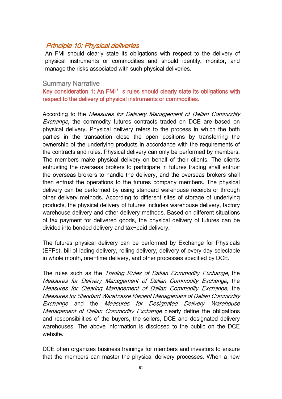## Principle 10: Physical deliveries

An FMI should clearly state its obligations with respect to the delivery of physical instruments or commodities and should identify, monitor, and manage the risks associated with such physical deliveries.

### Summary Narrative

Key consideration 1: An FMI's rules should clearly state its obligations with respect to the delivery of physical instruments or commodities.

According to the Measures for Delivery Management of Dalian Commodity Exchange, the commodity futures contracts traded on DCE are based on physical delivery. Physical delivery refers to the process in which the both parties in the transaction close the open positions by transferring the ownership of the underlying products in accordance with the requirements of the contracts and rules. Physical delivery can only be performed by members. The members make physical delivery on behalf of their clients. The clients entrusting the overseas brokers to participate in futures trading shall entrust the overseas brokers to handle the delivery, and the overseas brokers shall then entrust the operations to the futures company members. The physical delivery can be performed by using standard warehouse receipts or through other delivery methods. According to different sites of storage of underlying products, the physical delivery of futures includes warehouse delivery, factory warehouse delivery and other delivery methods. Based on different situations of tax payment for delivered goods, the physical delivery of futures can be divided into bonded delivery and tax-paid delivery.

The futures physical delivery can be performed by Exchange for Physicals (EFPs), bill of lading delivery, rolling delivery, delivery of every day selectable in whole month, one-time delivery, and other processes specified by DCE.

The rules such as the *Trading Rules of Dalian Commodity Exchange*, the Measures for Delivery Management of Dalian Commodity Exchange, the Measures for Clearing Management of Dalian Commodity Exchange, the Measures for Standard Warehouse Receipt Management of Dalian Commodity Exchange and the Measures for Designated Delivery Warehouse Management of Dalian Commodity Exchange clearly define the obligations and responsibilities of the buyers, the sellers, DCE and designated delivery warehouses. The above information is disclosed to the public on the DCE website.

DCE often organizes business trainings for members and investors to ensure that the members can master the physical delivery processes. When a new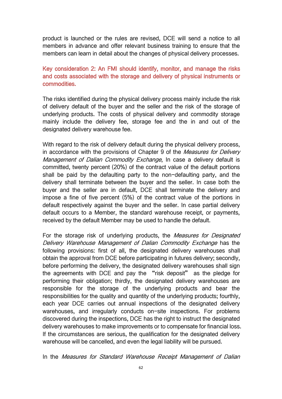product is launched or the rules are revised, DCE will send a notice to all members in advance and offer relevant business training to ensure that the members can learn in detail about the changes of physical delivery processes.

## Key consideration 2: An FMI should identify, monitor, and manage the risks and costs associated with the storage and delivery of physical instruments or commodities.

The risks identified during the physical delivery process mainly include the risk of delivery default of the buyer and the seller and the risk of the storage of underlying products. The costs of physical delivery and commodity storage mainly include the delivery fee, storage fee and the in and out of the designated delivery warehouse fee.

With regard to the risk of delivery default during the physical delivery process, in accordance with the provisions of Chapter 9 of the Measures for Delivery Management of Dalian Commodity Exchange, In case a delivery default is committed, twenty percent (20%) of the contract value of the default portions shall be paid by the defaulting party to the non-defaulting party, and the delivery shall terminate between the buyer and the seller. In case both the buyer and the seller are in default, DCE shall terminate the delivery and impose a fine of five percent (5%) of the contract value of the portions in default respectively against the buyer and the seller. In case partial delivery default occurs to a Member, the standard warehouse receipt, or payments, received by the default Member may be used to handle the default.

For the storage risk of underlying products, the *Measures for Designated* Delivery Warehouse Management of Dalian Commodity Exchange has the following provisions: first of all, the designated delivery warehouses shall obtain the approval from DCE before participating in futures delivery; secondly, before performing the delivery, the designated delivery warehouses shall sign the agreements with DCE and pay the "risk deposit" as the pledge for performing their obligation; thirdly, the designated delivery warehouses are responsible for the storage of the underlying products and bear the responsibilities for the quality and quantity of the underlying products; fourthly, each year DCE carries out annual inspections of the designated delivery warehouses, and irregularly conducts on-site inspections. For problems discovered during the inspections, DCE has the right to instruct the designated delivery warehouses to make improvements or to compensate for financial loss. If the circumstances are serious, the qualification for the designated delivery warehouse will be cancelled, and even the legal liability will be pursued.

In the Measures for Standard Warehouse Receipt Management of Dalian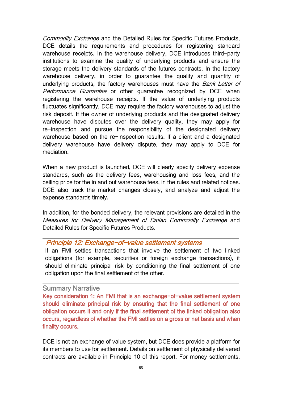Commodity Exchange and the Detailed Rules for Specific Futures Products, DCE details the requirements and procedures for registering standard warehouse receipts. In the warehouse delivery, DCE introduces third-party institutions to examine the quality of underlying products and ensure the storage meets the delivery standards of the futures contracts. In the factory warehouse delivery, in order to guarantee the quality and quantity of underlying products, the factory warehouses must have the Bank Letter of Performance Guarantee or other guarantee recognized by DCE when registering the warehouse receipts. If the value of underlying products fluctuates significantly, DCE may require the factory warehouses to adjust the risk deposit. If the owner of underlying products and the designated delivery warehouse have disputes over the delivery quality, they may apply for re-inspection and pursue the responsibility of the designated delivery warehouse based on the re-inspection results. If a client and a designated delivery warehouse have delivery dispute, they may apply to DCE for mediation.

When a new product is launched, DCE will clearly specify delivery expense standards, such as the delivery fees, warehousing and loss fees, and the ceiling price for the in and out warehouse fees, in the rules and related notices. DCE also track the market changes closely, and analyze and adjust the expense standards timely.

In addition, for the bonded delivery, the relevant provisions are detailed in the Measures for Delivery Management of Dalian Commodity Exchange and Detailed Rules for Specific Futures Products.

## Principle 12: Exchange-of-value settlement systems

If an FMI settles transactions that involve the settlement of two linked obligations (for example, securities or foreign exchange transactions), it should eliminate principal risk by conditioning the final settlement of one obligation upon the final settlement of the other.

### Summary Narrative

Key consideration 1: An FMI that is an exchange-of-value settlement system should eliminate principal risk by ensuring that the final settlement of one obligation occurs if and only if the final settlement of the linked obligation also occurs, regardless of whether the FMI settles on a gross or net basis and when finality occurs.

DCE is not an exchange of value system, but DCE does provide a platform for its members to use for settlement. Details on settlement of physically delivered contracts are available in Principle 10 of this report. For money settlements,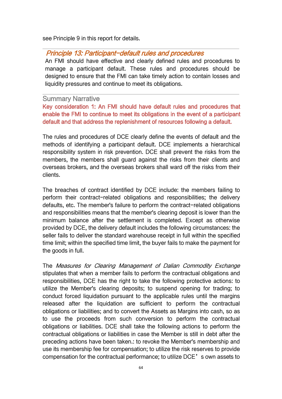see Principle 9 in this report for details.

# Principle 13: Participant-default rules and procedures

An FMI should have effective and clearly defined rules and procedures to manage a participant default. These rules and procedures should be designed to ensure that the FMI can take timely action to contain losses and liquidity pressures and continue to meet its obligations.

### Summary Narrative

Key consideration 1: An FMI should have default rules and procedures that enable the FMI to continue to meet its obligations in the event of a participant default and that address the replenishment of resources following a default.

The rules and procedures of DCE clearly define the events of default and the methods of identifying a participant default. DCE implements a hierarchical responsibility system in risk prevention. DCE shall prevent the risks from the members, the members shall guard against the risks from their clients and overseas brokers, and the overseas brokers shall ward off the risks from their clients.

The breaches of contract identified by DCE include: the members failing to perform their contract-related obligations and responsibilities; the delivery defaults, etc. The member's failure to perform the contract-related obligations and responsibilities means that the member's clearing deposit is lower than the minimum balance after the settlement is completed. Except as otherwise provided by DCE, the delivery default includes the following circumstances: the seller fails to deliver the standard warehouse receipt in full within the specified time limit; within the specified time limit, the buyer fails to make the payment for the goods in full.

The Measures for Clearing Management of Dalian Commodity Exchange stipulates that when a member fails to perform the contractual obligations and responsibilities, DCE has the right to take the following protective actions: to utilize the Member's clearing deposits; to suspend opening for trading; to conduct forced liquidation pursuant to the applicable rules until the margins released after the liquidation are sufficient to perform the contractual obligations or liabilities; and to convert the Assets as Margins into cash, so as to use the proceeds from such conversion to perform the contractual obligations or liabilities. DCE shall take the following actions to perform the contractual obligations or liabilities in case the Member is still in debt after the preceding actions have been taken.: to revoke the Member's membership and use its membership fee for compensation; to utilize the risk reserves to provide compensation for the contractual performance; to utilize DCE's own assets to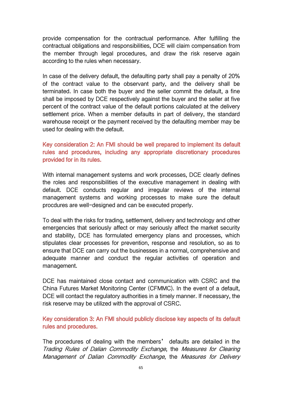provide compensation for the contractual performance. After fulfilling the contractual obligations and responsibilities, DCE will claim compensation from the member through legal procedures, and draw the risk reserve again according to the rules when necessary.

In case of the delivery default, the defaulting party shall pay a penalty of 20% of the contract value to the observant party, and the delivery shall be terminated. In case both the buyer and the seller commit the default, a fine shall be imposed by DCE respectively against the buyer and the seller at five percent of the contract value of the default portions calculated at the delivery settlement price. When a member defaults in part of delivery, the standard warehouse receipt or the payment received by the defaulting member may be used for dealing with the default.

## Key consideration 2: An FMI should be well prepared to implement its default rules and procedures, including any appropriate discretionary procedures provided for in its rules.

With internal management systems and work processes, DCE clearly defines the roles and responsibilities of the executive management in dealing with default. DCE conducts regular and irregular reviews of the internal management systems and working processes to make sure the default procdures are well-designed and can be executed properly.

To deal with the risks for trading, settlement, delivery and technology and other emergencies that seriously affect or may seriously affect the market security and stability, DCE has formulated emergency plans and processes, which stipulates clear processes for prevention, response and resolution, so as to ensure that DCE can carry out the businesses in a normal, comprehensive and adequate manner and conduct the regular activities of operation and management.

DCE has maintained close contact and communication with CSRC and the China Futures Market Monitoring Center (CFMMC). In the event of a default, DCE will contact the regulatory authorities in a timely manner. If necessary, the risk reserve may be utilized with the approval of CSRC.

Key consideration 3: An FMI should publicly disclose key aspects of its default rules and procedures.

The procedures of dealing with the members' defaults are detailed in the Trading Rules of Dalian Commodity Exchange, the Measures for Clearing Management of Dalian Commodity Exchange, the Measures for Delivery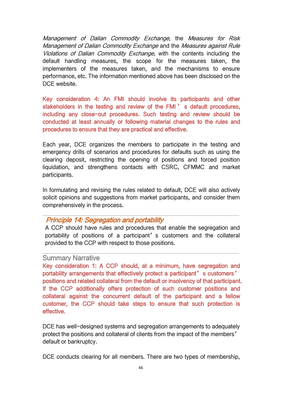Management of Dalian Commodity Exchange, the Measures for Risk Management of Dalian Commodity Exchange and the Measures against Rule Violations of Dalian Commodity Exchange, with the contents including the default handling measures, the scope for the measures taken, the implementers of the measures taken, and the mechanisms to ensure performance, etc. The information mentioned above has been disclosed on the DCF website.

Key consideration 4: An FMI should involve its participants and other stakeholders in the testing and review of the FMI ' s default procedures, including any close-out procedures. Such testing and review should be conducted at least annually or following material changes to the rules and procedures to ensure that they are practical and effective.

Each year, DCE organizes the members to participate in the testing and emergency drills of scenarios and procedures for defaults such as using the clearing deposit, restricting the opening of positions and forced position liquidation, and strengthens contacts with CSRC, CFMMC and market participants.

In formulating and revising the rules related to default, DCE will also actively solicit opinions and suggestions from market participants, and consider them comprehensively in the process.

## Principle 14: Segregation and portability

A CCP should have rules and procedures that enable the segregation and portability of positions of a participant' s customers and the collateral provided to the CCP with respect to those positions.

### Summary Narrative

Key consideration 1: A CCP should, at a minimum, have segregation and portability arrangements that effectively protect a participant's customers' positions and related collateral from the default or insolvency of that participant. If the CCP additionally offers protection of such customer positions and collateral against the concurrent default of the participant and a fellow customer, the CCP should take steps to ensure that such protection is effective.

DCE has well-designed systems and segregation arrangements to adequately protect the positions and collateral of clients from the impact of the members' default or bankruptcy.

DCE conducts clearing for all members. There are two types of membership,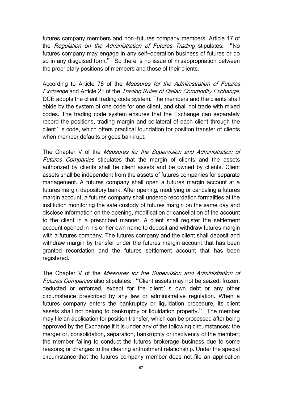futures company members and non-futures company members. Article 17 of the Regulation on the Administration of Futures Trading stipulates: "No futures company may engage in any self-operation business of futures or do so in any disguised form." So there is no issue of misappropriation between the proprietary positions of members and those of their clients.

According to Article 78 of the Measures for the Administration of Futures Exchange and Article 21 of the Trading Rules of Dalian Commodity Exchange, DCE adopts the client trading code system. The members and the clients shall abide by the system of one code for one client, and shall not trade with mixed codes. The trading code system ensures that the Exchange can separately record the positions, trading margin and collateral of each client through the client's code, which offers practical foundation for position transfer of clients when member defaults or goes bankrupt.

The Chapter V of the Measures for the Supervision and Administration of Futures Companies stipulates that the margin of clients and the assets authorized by clients shall be client assets and be owned by clients. Client assets shall be independent from the assets of futures companies for separate management. A futures company shall open a futures margin account at a futures margin depository bank. After opening, modifying or canceling a futures margin account, a futures company shall undergo recordation formalities at the institution monitoring the safe custody of futures margin on the same day and disclose information on the opening, modification or cancellation of the account to the client in a prescribed manner. A client shall register the settlement account opened in his or her own name to deposit and withdraw futures margin with a futures company. The futures company and the client shall deposit and withdraw margin by transfer under the futures margin account that has been granted recordation and the futures settlement account that has been registered.

The Chapter V of the Measures for the Supervision and Administration of Futures Companies also stipulates: "Client assets may not be seized, frozen, deducted or enforced, except for the client's own debt or any other circumstance prescribed by any law or administrative regulation. When a futures company enters the bankruptcy or liquidation procedure, its client assets shall not belong to bankruptcy or liquidation property." The member may file an application for position transfer, which can be processed after being approved by the Exchange if it is under any of the following circumstances: the merger or, consolidation, separation, bankruptcy or insolvency of the member; the member failing to conduct the futures brokerage business due to some reasons; or changes to the clearing entrustment relationship. Under the special circumstance that the futures company member does not file an application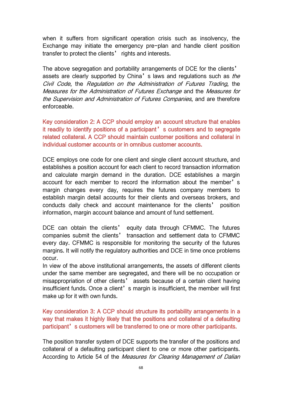when it suffers from significant operation crisis such as insolvency, the Exchange may initiate the emergency pre-plan and handle client position transfer to protect the clients' rights and interests.

The above segregation and portability arrangements of DCE for the clients' assets are clearly supported by China's laws and regulations such as the Civil Code, the Regulation on the Administration of Futures Trading, the Measures for the Administration of Futures Exchange and the Measures for the Supervision and Administration of Futures Companies, and are therefore enforceable.

Key consideration 2: A CCP should employ an account structure that enables it readily to identify positions of a participant' s customers and to segregate related collateral. A CCP should maintain customer positions and collateral in individual customer accounts or in omnibus customer accounts.

DCE employs one code for one client and single client account structure, and establishes a position account for each client to record transaction information and calculate margin demand in the duration. DCE establishes a margin account for each member to record the information about the member's margin changes every day, requires the futures company members to establish margin detail accounts for their clients and overseas brokers, and conducts daily check and account maintenance for the clients' position information, margin account balance and amount of fund settlement.

DCE can obtain the clients' equity data through CFMMC. The futures companies submit the clients' transaction and settlement data to CFMMC every day. CFMMC is responsible for monitoring the security of the futures margins. It will notify the regulatory authorities and DCE in time once problems occur.

In view of the above institutional arrangements, the assets of different clients under the same member are segregated, and there will be no occupation or misappropriation of other clients' assets because of a certain client having insufficient funds. Once a client's margin is insufficient, the member will first make up for it with own funds.

Key consideration 3: A CCP should structure its portability arrangements in a way that makes it highly likely that the positions and collateral of a defaulting participant's customers will be transferred to one or more other participants.

The position transfer system of DCE supports the transfer of the positions and collateral of a defaulting participant client to one or more other participants. According to Article 54 of the Measures for Clearing Management of Dalian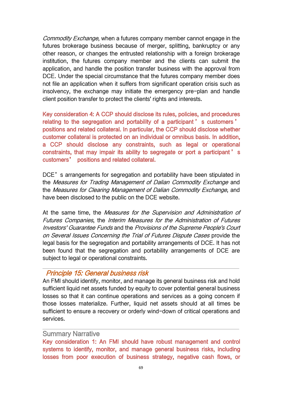Commodity Exchange, when a futures company member cannot engage in the futures brokerage business because of merger, splitting, bankruptcy or any other reason, or changes the entrusted relationship with a foreign brokerage institution, the futures company member and the clients can submit the application, and handle the position transfer business with the approval from DCE. Under the special circumstance that the futures company member does not file an application when it suffers from significant operation crisis such as insolvency, the exchange may initiate the emergency pre-plan and handle client position transfer to protect the clients' rights and interests.

Key consideration 4: A CCP should disclose its rules, policies, and procedures relating to the segregation and portability of a participant ' s customers ' positions and related collateral. In particular, the CCP should disclose whether customer collateral is protected on an individual or omnibus basis. In addition, a CCP should disclose any constraints, such as legal or operational constraints, that may impair its ability to segregate or port a participant' s customers' positions and related collateral.

DCE's arrangements for segregation and portability have been stipulated in the Measures for Trading Management of Dalian Commodity Exchange and the Measures for Clearing Management of Dalian Commodity Exchange, and have been disclosed to the public on the DCE website.

At the same time, the Measures for the Supervision and Administration of Futures Companies, the Interim Measures for the Administration of Futures Investors' Guarantee Funds and the Provisions of the Supreme People's Court on Several Issues Concerning the Trial of Futures Dispute Cases provide the legal basis for the segregation and portability arrangements of DCE. It has not been found that the segregation and portability arrangements of DCE are subject to legal or operational constraints.

## Principle 15: General business risk

An FMI should identify, monitor, and manage its general business risk and hold sufficient liquid net assets funded by equity to cover potential general business losses so that it can continue operations and services as a going concern if those losses materialize. Further, liquid net assets should at all times be sufficient to ensure a recovery or orderly wind-down of critical operations and services.

## Summary Narrative

Key consideration 1: An FMI should have robust management and control systems to identify, monitor, and manage general business risks, including losses from poor execution of business strategy, negative cash flows, or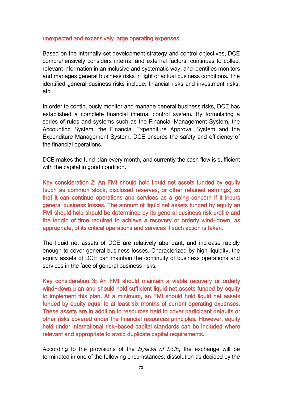#### unexpected and excessively large operating expenses.

Based on the internally set development strategy and control objectives, DCE comprehensively considers internal and external factors, continues to collect relevant information in an inclusive and systematic way, and identifies monitors and manages general business risks in light of actual business conditions. The identified general business risks include: financial risks and investment risks, etc.

In order to continuously monitor and manage general business risks, DCE has established a complete financial internal control system. By formulating a series of rules and systems such as the Financial Management System, the Accounting System, the Financial Expenditure Approval System and the Expenditure Management System, DCE ensures the safety and efficiency of the financial operations.

DCE makes the fund plan every month, and currently the cash flow is sufficient with the capital in good condition.

Key consideration 2: An FMI should hold liquid net assets funded by equity (such as common stock, disclosed reserves, or other retained earnings) so that it can continue operations and services as a going concern if it incurs general business losses. The amount of liquid net assets funded by equity an FMI should hold should be determined by its general business risk profile and the length of time required to achieve a recovery or orderly wind-down, as appropriate, of its critical operations and services if such action istaken.

The liquid net assets of DCE are relatively abundant, and increase rapidly enough to cover general business losses. Characterized by high liquidity, the equity assets of DCE can maintain the continuity of business operations and services in the face of general business risks.

Key consideration 3: An FMI should maintain a viable recovery or orderly wind-down plan and should hold sufficient liquid net assets funded by equity to implement this plan. At a minimum, an FMI should hold liquid net assets funded by equity equal to at least six months of current operating expenses. These assets are in addition to resources held to cover participant defaults or other risks covered under the financial resources principles. However, equity held under international risk-based capital standards can be included where relevant and appropriate to avoid duplicate capital requirements.

According to the provisions of the *Bylaws of DCE*, the exchange will be terminated in one of the following circumstances: dissolution as decided by the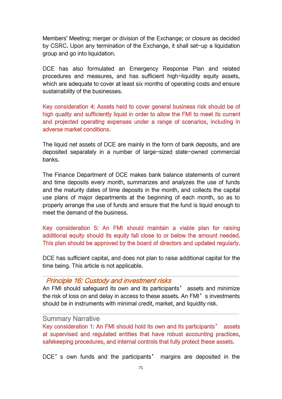Members' Meeting; merger or division of the Exchange; or closure as decided by CSRC. Upon any termination of the Exchange, it shall set-up a liquidation group and go into liquidation.

DCE has also formulated an Emergency Response Plan and related procedures and measures, and has sufficient high-liquidity equity assets, which are adequate to cover at least six months of operating costs and ensure sustainability of the businesses.

Key consideration 4: Assets held to cover general business risk should be of high quality and sufficiently liquid in order to allow the FMI to meet its current and projected operating expenses under a range of scenarios, including in adverse market conditions.

The liquid net assets of DCE are mainly in the form of bank deposits, and are deposited separately in a number of large-sized state-owned commercial banks.

The Finance Department of DCE makes bank balance statements of current and time deposits every month, summarizes and analyzes the use of funds and the maturity dates of time deposits in the month, and collects the capital use plans of major departments at the beginning of each month, so as to properly arrange the use of funds and ensure that the fund is liquid enough to meet the demand of the business.

Key consideration 5: An FMI should maintain a viable plan for raising additional equity should its equity fall close to or below the amount needed. This plan should be approved by the board of directors and updated regularly.

DCE has sufficient capital, and does not plan to raise additional capital for the time being. This article is not applicable.

### Principle 16: Custody and investment risks

An FMI should safeguard its own and its participants' assets and minimize the risk of loss on and delay in access to these assets. An FMI's investments should be in instruments with minimal credit, market, and liquidity risk.

#### Summary Narrative

Key consideration 1: An FMI should hold its own and its participants' assets at supervised and regulated entities that have robust accounting practices, safekeeping procedures, and internal controls that fully protect these assets.

DCE's own funds and the participants' margins are deposited in the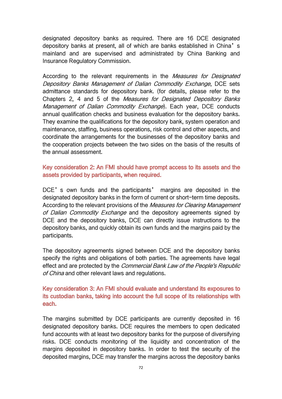designated depository banks as required. There are 16 DCE designated depository banks at present, all of which are banks established in China's mainland and are supervised and administrated by China Banking and Insurance Regulatory Commission.

According to the relevant requirements in the *Measures for Designated* Depository Banks Management of Dalian Commodity Exchange, DCE sets admittance standards for depository bank. (for details, please refer to the Chapters 2, 4 and 5 of the Measures for Designated Depository Banks Management of Dalian Commodity Exchange). Each year, DCE conducts annual qualification checks and business evaluation for the depository banks. They examine the qualifications for the depository bank, system operation and maintenance, staffing, business operations, risk control and other aspects, and coordinate the arrangements for the businesses of the depository banks and the cooperation projects between the two sides on the basis of the results of the annual assessment.

### Key consideration 2: An FMI should have prompt access to its assets and the assets provided by participants, when required.

DCE's own funds and the participants' margins are deposited in the designated depository banks in the form of current or short-term time deposits. According to the relevant provisions of the *Measures for Clearing Management* of Dalian Commodity Exchange and the depository agreements signed by DCE and the depository banks, DCE can directly issue instructions to the depository banks, and quickly obtain its own funds and the margins paid by the participants.

The depository agreements signed between DCE and the depository banks specify the rights and obligations of both parties. The agreements have legal effect and are protected by the Commercial Bank Law of the People's Republic of China and other relevant laws and regulations.

### Key consideration 3: An FMI should evaluate and understand its exposures to its custodian banks, taking into account the full scope of its relationships with each.

The margins submitted by DCE participants are currently deposited in 16 designated depository banks. DCE requires the members to open dedicated fund accounts with at least two depository banks for the purpose of diversifying risks. DCE conducts monitoring of the liquidity and concentration of the margins deposited in depository banks. In order to test the security of the deposited margins, DCE may transfer the margins across the depository banks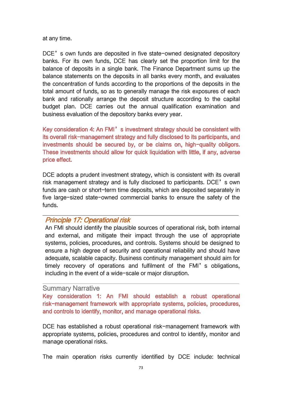at any time.

DCE's own funds are deposited in five state-owned designated depository banks. For its own funds, DCE has clearly set the proportion limit for the balance of deposits in a single bank. The Finance Department sums up the balance statements on the deposits in all banks every month, and evaluates the concentration of funds according to the proportions of the deposits in the total amount of funds, so as to generally manage the risk exposures of each bank and rationally arrange the deposit structure according to the capital budget plan. DCE carries out the annual qualification examination and business evaluation of the depository banks every year.

Key consideration 4: An FMI's investment strategy should be consistent with its overall risk-management strategy and fully disclosed to its participants, and investments should be secured by, or be claims on, high-quality obligors.<br>These investments should allow for quick liquidation with little, if any, adverse price effect.

DCE adopts a prudent investment strategy, which is consistent with its overall risk management strategy and is fully disclosed to participants. DCE's own funds are cash or short-term time deposits, which are deposited separately in five large-sized state-owned commercial banks to ensure the safety of the funds.

# Principle 17: Operational risk

An FMI should identify the plausible sources of operational risk, both internal and external, and mitigate their impact through the use of appropriate systems, policies, procedures, and controls. Systems should be designed to ensure a high degree of security and operational reliability and should have adequate, scalable capacity. Business continuity management should aim for timely recovery of operations and fulfilment of the FMI's obligations, including in the event of a wide-scale or major disruption.

### Summary Narrative

Key consideration 1: An FMI should establish a robust operational risk-management framework with appropriate systems, policies, procedures, and controls to identify, monitor, and manage operational risks.

DCE has established a robust operational risk-management framework with appropriate systems, policies, procedures and control to identify, monitor and manage operational risks.

The main operation risks currently identified by DCE include: technical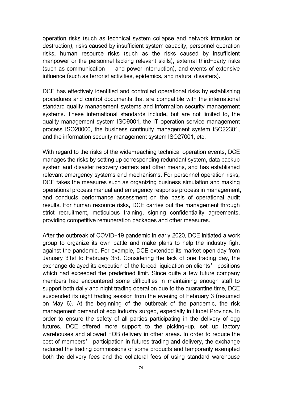operation risks (such as technical system collapse and network intrusion or destruction), risks caused by insufficient system capacity, personnel operation risks, human resource risks (such as the risks caused by insufficient manpower or the personnel lacking relevant skills), external third-party risks (such as communication and power interruption), and events of extensive influence (such as terrorist activities, epidemics, and natural disasters).

DCE has effectively identified and controlled operational risks by establishing procedures and control documents that are compatible with the international standard quality management systems and information security management systems. These international standards include, but are not limited to, the quality management system ISO9001, the IT operation service management process ISO20000, the business continuity management system ISO22301, and the information security management system ISO27001, etc.

With regard to the risks of the wide-reaching technical operation events, DCE manages the risks by setting up corresponding redundant system, data backup system and disaster recovery centers and other means, and has established relevant emergency systems and mechanisms. For personnel operation risks, DCE takes the measures such as organizing business simulation and making operational process manual and emergency response process in management, and conducts performance assessment on the basis of operational audit results. For human resource risks, DCE carries out the management through strict recruitment, meticulous training, signing confidentiality agreements, providing competitive remuneration packages and other measures.

After the outbreak of COVID-19 pandemic in early 2020, DCE initiated a work group to organize its own battle and make plans to help the industry fight against the pandemic. For example, DCE extended its market open day from January 31st to February 3rd. Considering the lack of one trading day, the exchange delayed its execution of the forced liquidation on clients' positions which had exceeded the predefined limit. Since quite a few future company members had encountered some difficulties in maintaining enough staff to support both daily and night trading operation due to the quarantine time, DCE suspended its night trading session from the evening of February 3 (resumed on May 6). At the beginning of the outbreak of the pandemic, the risk management demand of egg industry surged, especially in Hubei Province. In order to ensure the safety of all parties participating in the delivery of egg futures, DCE offered more support to the picking-up, set up factory warehouses and allowed FOB delivery in other areas. In order to reduce the cost of members' participation in futures trading and delivery, the exchange reduced the trading commissions of some products and temporarily exempted both the delivery fees and the collateral fees of using standard warehouse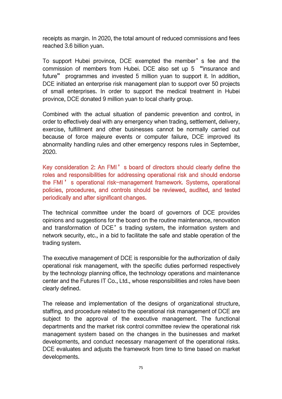receipts as margin. In 2020, the total amount of reduced commissions and fees reached 3.6 billion yuan.

To support Hubei province, DCE exempted the member's fee and the commission of members from Hubei. DCE also set up 5 "insurance and future" programmes and invested 5 million yuan to support it. In addition, DCE initiated an enterprise risk management plan to support over 50 projects of small enterprises. In order to support the medical treatment in Hubei province, DCE donated 9 million yuan to local charity group.

Combined with the actual situation of pandemic prevention and control, in order to effectively deal with any emergency when trading, settlement, delivery, exercise, fulfillment and other businesses cannot be normally carried out because of force majeure events or computer failure, DCE improved its abnormality handling rules and other emergency respons rules in September, 2020.

Key consideration 2: An FMI's board of directors should clearly define the roles and responsibilities for addressing operational risk and should endorse the FMI ' s operational risk-management framework. Systems, operational policies, procedures, and controls should be reviewed, audited, and tested periodically and after significant changes.

The technical committee under the board of governors of DCE provides opinions and suggestions for the board on the routine maintenance, renovation and transformation of DCE's trading system, the information system and network security, etc., in a bid to facilitate the safe and stable operation of the trading system.

The executive management of DCE is responsible for the authorization of daily operational risk management, with the specific duties performed respectively by the technology planning office, the technology operations and maintenance center and the Futures IT Co., Ltd., whose responsibilities and roles have been clearly defined.

The release and implementation of the designs of organizational structure, staffing, and procedure related to the operational risk management of DCE are subject to the approval of the executive management. The functional departments and the market risk control committee review the operational risk management system based on the changes in the businesses and market developments, and conduct necessary management of the operational risks. DCE evaluates and adjusts the framework from time to time based on market developments.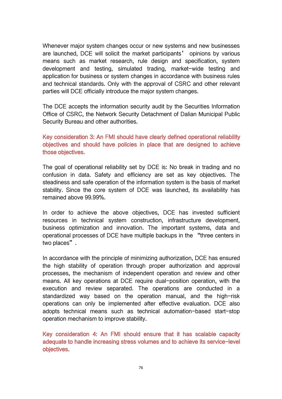Whenever major system changes occur or new systems and new businesses are launched, DCE will solicit the market participants' opinions by various means such as market research, rule design and specification, system development and testing, simulated trading, market-wide testing and application for business or system changes in accordance with business rules and technical standards. Only with the approval of CSRC and other relevant parties will DCE officially introduce the major system changes.

The DCE accepts the information security audit by the Securities Information Office of CSRC, the Network Security Detachment of Dalian Municipal Public Security Bureau and other authorities.

# Key consideration 3: An FMI should have clearly defined operational reliability objectives and should have policies in place that are designed to achieve those objectives.

The goal of operational reliability set by DCE is: No break in trading and no confusion in data. Safety and efficiency are set as key objectives. The steadiness and safe operation of the information system is the basis of market stability. Since the core system of DCE was launched, its availability has remained above 99.99%.

In order to achieve the above objectives, DCE has invested sufficient resources in technical system construction, infrastructure development, business optimization and innovation. The important systems, data and operational processes of DCE have multiple backups in the "three centers in two places".

In accordance with the principle of minimizing authorization, DCE has ensured the high stability of operation through proper authorization and approval processes, the mechanism of independent operation and review and other means. All key operations at DCE require dual-position operation, with the execution and review separated. The operations are conducted in a standardized way based on the operation manual, and the high-risk operations can only be implemented after effective evaluation. DCE also adopts technical means such as technical automation-based start-stop operation mechanism to improve stability.

Key consideration 4: An FMI should ensure that it has scalable capacity adequate to handle increasing stress volumes and to achieve its service-level objectives.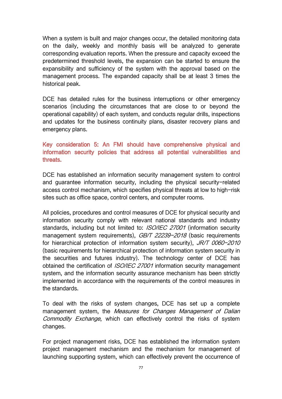When a system is built and major changes occur, the detailed monitoring data on the daily, weekly and monthly basis will be analyzed to generate corresponding evaluation reports. When the pressure and capacity exceed the predetermined threshold levels, the expansion can be started to ensure the expansibility and sufficiency of the system with the approval based on the management process. The expanded capacity shall be at least 3 times the historical peak.

DCE has detailed rules for the business interruptions or other emergency scenarios (including the circumstances that are close to or beyond the operational capability) of each system, and conducts regular drills, inspections and updates for the business continuity plans, disaster recovery plans and emergency plans.

# Key consideration 5: An FMI should have comprehensive physical and information security policies that address all potential vulnerabilities and threats.

DCE has established an information security management system to control and guarantee information security, including the physical security-related access control mechanism, which specifies physical threats at low to high-risk sites such as office space, control centers, and computer rooms.

All policies, procedures and control measures of DCE for physical security and information security comply with relevant national standards and industry standards, including but not limited to: *ISO/IEC 27001* (information security management system requirements), *GB/T 22239-2018* (basic requirements for hierarchical protection of information system security), JR/T 0060-2010 (basic requirements for hierarchical protection of information system security in the securities and futures industry). The technology center of DCE has obtained the certification of *ISO/IEC 27001* information security management system, and the information security assurance mechanism has been strictly implemented in accordance with the requirements of the control measures in the standards.

To deal with the risks of system changes, DCE has set up a complete management system, the Measures for Changes Management of Dalian Commodity Exchange, which can effectively control the risks of system changes.

For project management risks, DCE has established the information system project management mechanism and the mechanism for management of launching supporting system, which can effectively prevent the occurrence of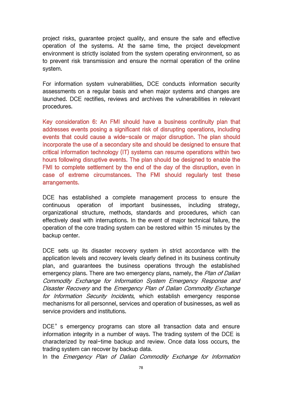project risks, guarantee project quality, and ensure the safe and effective operation of the systems. At the same time, the project development environment is strictly isolated from the system operating environment, so as to prevent risk transmission and ensure the normal operation of the online system.

For information system vulnerabilities, DCE conducts information security assessments on a regular basis and when major systems and changes are launched. DCE rectifies, reviews and archives the vulnerabilities in relevant procedures.

Key consideration 6: An FMI should have a business continuity plan that addresses events posing a significant risk of disrupting operations, including events that could cause a wide-scale or major disruption. The plan should incorporate the use of a secondary site and should be designed to ensure that critical information technology (IT) systems can resume operations within two hours following disruptive events. The plan should be designed to enable the FMI to complete settlement by the end of the day of the disruption, even in case of extreme circumstances. The FMI should regularly test these arrangements.

DCE has established a complete management process to ensure the continuous operation of important businesses, including strategy, organizational structure, methods, standards and procedures, which can effectively deal with interruptions. In the event of major technical failure, the operation of the core trading system can be restored within 15 minutes by the backup center.

DCE sets up its disaster recovery system in strict accordance with the application levels and recovery levels clearly defined in its business continuity plan, and guarantees the business operations through the established emergency plans. There are two emergency plans, namely, the Plan of Dalian Commodity Exchange for Information System Emergency Response and Disaster Recovery and the Emergency Plan of Dalian Commodity Exchange for Information Security Incidents, which establish emergency response mechanisms for all personnel, services and operation of businesses, as well as service providers and institutions.<br>DCE's emergency programs can store all transaction data and ensure

information integrity in a number of ways. The trading system of the DCE is characterized by real-time backup and review. Once data loss occurs, the trading system can recover by backup data.

In the Emergency Plan of Dalian Commodity Exchange for Information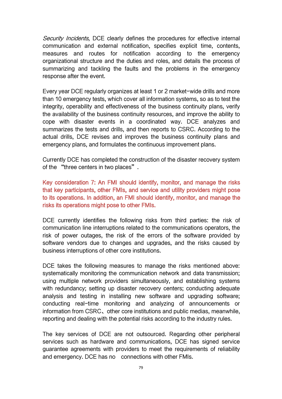Security Incidents, DCE clearly defines the procedures for effective internal communication and external notification, specifies explicit time, contents, measures and routes for notification according to the emergency organizational structure and the duties and roles, and details the process of summarizing and tackling the faults and the problems in the emergency response after the event.

Every year DCE regularly organizes at least 1 or 2 market-wide drills and more than 10 emergency tests, which cover all information systems, so as to test the integrity, operability and effectiveness of the business continuity plans, verify the availability of the business continuity resources, and improve the ability to cope with disaster events in a coordinated way. DCE analyzes and summarizes the tests and drills, and then reports to CSRC. According to the actual drills, DCE revises and improves the business continuity plans and emergency plans, and formulates the continuous improvement plans.

Currently DCE has completed the construction of the disaster recovery system of the "three centers in two places".

Key consideration 7: An FMI should identify, monitor, and manage the risks that key participants, other FMIs, and service and utility providers might pose to its operations. In addition, an FMI should identify, monitor, and manage the risks its operations might pose to other FMIs.

DCE currently identifies the following risks from third parties: the risk of communication line interruptions related to the communications operators, the risk of power outages, the risk of the errors of the software provided by software vendors due to changes and upgrades, and the risks caused by business interruptions of other core institutions.

DCE takes the following measures to manage the risks mentioned above: systematically monitoring the communication network and data transmission; using multiple network providers simultaneously, and establishing systems with redundancy; setting up disaster recovery centers; conducting adequate analysis and testing in installing new software and upgrading software; conducting real-time monitoring and analyzing of announcements or information from CSRC、other core institutions and public medias, meanwhile, reporting and dealing with the potential risks according to the industry rules.

The key services of DCE are not outsourced. Regarding other peripheral services such as hardware and communications, DCE has signed service guarantee agreements with providers to meet the requirements of reliability and emergency. DCE has no connections with other FMIs.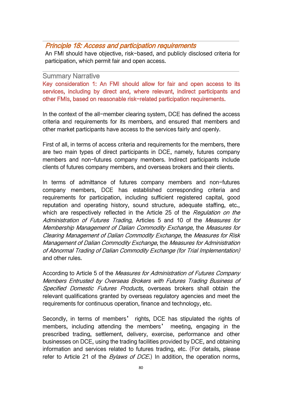# Principle 18: Access and participation requirements

An FMI should have objective, risk-based, and publicly disclosed criteria for participation, which permit fair and open access.

#### Summary Narrative

Key consideration 1: An FMI should allow for fair and open access to its services, including by direct and, where relevant, indirect participants and other FMIs, based on reasonable risk-related participation requirements.

In the context of the all-member clearing system, DCE has defined the access criteria and requirements for its members, and ensured that members and other market participants have access to the services fairly and openly.

First of all, in terms of access criteria and requirements for the members, there are two main types of direct participants in DCE, namely, futures company members and non-futures company members. Indirect participants include clients of futures company members, and overseas brokers and their clients.

In terms of admittance of futures company members and non-futures company members, DCE has established corresponding criteria and requirements for participation, including sufficient registered capital, good reputation and operating history, sound structure, adequate staffing, etc., which are respectively reflected in the Article 25 of the Regulation on the Administration of Futures Trading, Articles 5 and 10 of the Measures for Membership Management of Dalian Commodity Exchange, the Measures for Clearing Management of Dalian Commodity Exchange, the Measures for Risk Management of Dalian Commodity Exchange, the Measures for Administration of Abnormal Trading of Dalian Commodity Exchange (for Trial Implementation) and other rules.

According to Article 5 of the Measures for Administration of Futures Company Members Entrusted by Overseas Brokers with Futures Trading Business of Specified Domestic Futures Products, overseas brokers shall obtain the relevant qualifications granted by overseas regulatory agencies and meet the requirements for continuous operation, finance and technology, etc.

Secondly, in terms of members' rights, DCE has stipulated the rights of members, including attending the members' meeting, engaging in the prescribed trading, settlement, delivery, exercise, performance and other businesses on DCE, using the trading facilities provided by DCE, and obtaining information and services related to futures trading, etc. (For details, please refer to Article 21 of the *Bylaws of DCE*.) In addition, the operation norms,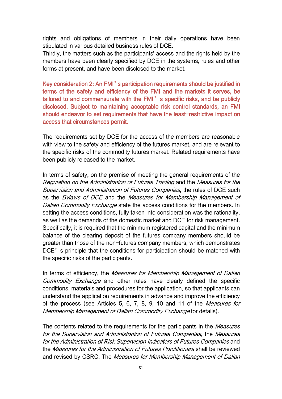rights and obligations of members in their daily operations have been stipulated in various detailed business rules of DCE.

Thirdly, the matters such as the participants' access and the rights held by the members have been clearly specified by DCE in the systems, rules and other forms at present, and have been disclosed to the market.

Key consideration 2: An FMI's participation requirements should be justified in terms of the safety and efficiency of the FMI and the markets it serves, be tailored to and commensurate with the FMI's specific risks, and be publicly disclosed. Subject to maintaining acceptable risk control standards, an FMI should endeavor to set requirements that have the least-restrictive impact on access that circumstances permit.

The requirements set by DCE for the access of the members are reasonable with view to the safety and efficiency of the futures market, and are relevant to the specific risks of the commodity futures market. Related requirements have been publicly released to the market.

In terms of safety, on the premise of meeting the general requirements of the Regulation on the Administration of Futures Trading and the Measures for the Supervision and Administration of Futures Companies, the rules of DCE such as the Bylaws of DCE and the Measures for Membership Management of Dalian Commodity Exchange state the access conditions for the members. In setting the access conditions, fully taken into consideration was the rationality, as well as the demands of the domestic market and DCE for risk management. Specifically, it is required that the minimum registered capital and the minimum balance of the clearing deposit of the futures company members should be greater than those of the non-futures company members, which demonstrates DCE's principle that the conditions for participation should be matched with the specific risks of the participants.

In terms of efficiency, the *Measures for Membership Management of Dalian* Commodity Exchange and other rules have clearly defined the specific conditions, materials and procedures for the application, so that applicants can understand the application requirements in advance and improve the efficiency of the process (see Articles 5, 6, 7, 8, 9, 10 and 11 of the Measures for Membership Management of Dalian Commodity Exchange for details).

The contents related to the requirements for the participants in the Measures for the Supervision and Administration of Futures Companies, the Measures for the Administration of Risk Supervision Indicators of Futures Companies and the Measures for the Administration of Futures Practitioners shall be reviewed and revised by CSRC. The Measures for Membership Management of Dalian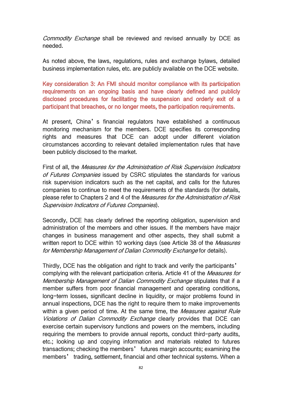Commodity Exchange shall be reviewed and revised annually by DCE as needed.

As noted above, the laws, regulations, rules and exchange bylaws, detailed business implementation rules, etc. are publicly available on the DCE website.

Key consideration 3: An FMI should monitor compliance with its participation requirements on an ongoing basis and have clearly defined and publicly disclosed procedures for facilitating the suspension and orderly exit of a participant that breaches, or no longer meets, the participation requirements.

At present, China's financial regulators have established a continuous monitoring mechanism for the members. DCE specifies its corresponding rights and measures that DCE can adopt under different violation circumstances according to relevant detailed implementation rules that have been publicly disclosed to the market.<br>First of all, the *Measures for the Administration of Risk Supervision Indicators* 

of Futures Companies issued by CSRC stipulates the standards for various risk supervision indicators such as the net capital, and calls for the futures companies to continue to meet the requirements of the standards (for details, please refer to Chapters 2 and 4 of the Measures for the Administration of Risk Supervision Indicators of Futures Companies).

Secondly, DCE has clearly defined the reporting obligation, supervision and administration of the members and other issues. If the members have major changes in business management and other aspects, they shall submit a written report to DCE within 10 working days (see Article 38 of the *Measures* for Membership Management of Dalian Commodity Exchange for details).

Thirdly, DCE has the obligation and right to track and verify the participants' complying with the relevant participation criteria. Article 41 of the Measures for Membership Management of Dalian Commodity Exchange stipulates that if a member suffers from poor financial management and operating conditions, long-term losses, significant decline in liquidity, or major problems found in annual inspections, DCE has the right to require them to make improvements within a given period of time. At the same time, the Measures against Rule Violations of Dalian Commodity Exchange clearly provides that DCE can exercise certain supervisory functions and powers on the members, including requiring the members to provide annual reports, conduct third-party audits, etc.; looking up and copying information and materials related to futures transactions; checking the members' futures margin accounts; examining the members' trading, settlement, financial and other technical systems. When a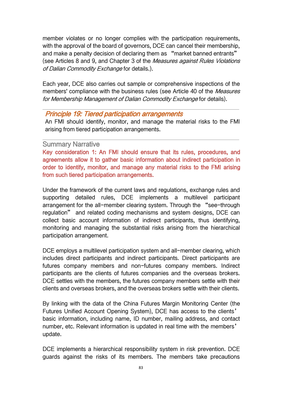member violates or no longer complies with the participation requirements, with the approval of the board of governors, DCE can cancel their membership, and make a penalty decision of declaring them as "market banned entrants" (see Articles 8 and 9, and Chapter 3 of the Measures against Rules Violations of Dalian Commodity Exchange for details.).

Each year, DCE also carries out sample or comprehensive inspections of the members' compliance with the business rules (see Article 40 of the Measures for Membership Management of Dalian Commodity Exchange for details).

### Principle 19: Tiered participation arrangements

An FMI should identify, monitor, and manage the material risks to the FMI arising from tiered participation arrangements.

### Summary Narrative

Key consideration 1: An FMI should ensure that its rules, procedures, and agreements allow it to gather basic information about indirect participation in order to identify, monitor, and manage any material risks to the FMI arising from such tiered participation arrangements.

Under the framework of the current laws and regulations, exchange rules and supporting detailed rules, DCE implements a multilevel participant arrangement for the all-member clearing system. Through the "see-through regulation" and related coding mechanisms and system designs, DCE can collect basic account information of indirect participants, thus identifying, monitoring and managing the substantial risks arising from the hierarchical participation arrangement.

DCE employs a multilevel participation system and all-member clearing, which includes direct participants and indirect participants. Direct participants are futures company members and non-futures company members. Indirect participants are the clients of futures companies and the overseas brokers. DCE settles with the members, the futures company members settle with their clients and overseas brokers, and the overseas brokers settle with their clients.

By linking with the data of the China Futures Margin Monitoring Center (the Futures Unified Account Opening System), DCE has access to the clients' basic information, including name, ID number, mailing address, and contact number, etc. Relevant information is updated in real time with the members' update.

DCE implements a hierarchical responsibility system in risk prevention. DCE guards against the risks of its members. The members take precautions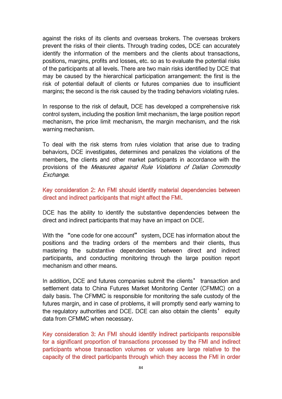against the risks of its clients and overseas brokers. The overseas brokers prevent the risks of their clients. Through trading codes, DCE can accurately identify the information of the members and the clients about transactions, positions, margins, profits and losses, etc.so as to evaluate the potential risks of the participants at all levels. There are two main risks identified by DCE that may be caused by the hierarchical participation arrangement: the first is the risk of potential default of clients or futures companies due to insufficient margins; the second is the risk caused by the trading behaviors violating rules.

In response to the risk of default, DCE has developed a comprehensive risk control system, including the position limit mechanism, the large position report mechanism, the price limit mechanism, the margin mechanism, and the risk warning mechanism.

To deal with the risk stems from rules violation that arise due to trading behaviors, DCE investigates, determines and penalizes the violations of the members, the clients and other market participants in accordance with the provisions of the Measures against Rule Violations of Dalian Commodity Exchange.

Key consideration 2: An FMI should identify material dependencies between direct and indirect participants that might affect the FMI.

DCE has the ability to identify the substantive dependencies between the direct and indirect participants that may have an impact on DCE.

With the "one code for one account" system, DCE has information about the positions and the trading orders of the members and their clients, thus mastering the substantive dependencies between direct and indirect participants, and conducting monitoring through the large position report mechanism and other means.

In addition, DCE and futures companies submit the clients' transaction and settlement data to China Futures Market Monitoring Center (CFMMC) on a daily basis. The CFMMC is responsible for monitoring the safe custody of the futures margin, and in case of problems, it will promptly send early warning to the regulatory authorities and DCE. DCE can also obtain the clients' equity data from CFMMC when necessary.

Key consideration 3: An FMI should identify indirect participants responsible for a significant proportion of transactions processed by the FMI and indirect participants whose transaction volumes or values are large relative to the capacity of the direct participants through which they access the FMI in order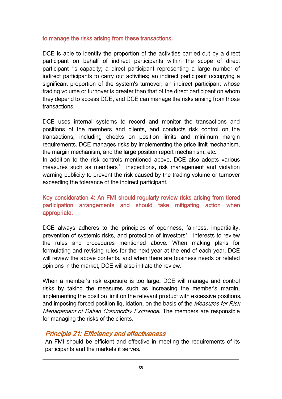### to manage the risks arising from these transactions.

DCE is able to identify the proportion of the activities carried out by a direct participant on behalf of indirect participants within the scope of direct participant 's capacity; a direct participant representing a large number of indirect participants to carry out activities; an indirect participant occupying a significant proportion of the system's turnover; an indirect participant whose trading volume or turnover is greater than that of the direct participant on whom they depend to access DCE, and DCE can manage the risks arising from those transactions.

DCE uses internal systems to record and monitor the transactions and positions of the members and clients, and conducts risk control on the transactions, including checks on position limits and minimum margin requirements. DCE manages risks by implementing the price limit mechanism, the margin mechanism, and the large position report mechanism, etc.

In addition to the risk controls mentioned above, DCE also adopts various measures such as members' inspections, risk management and violation warning publicity to prevent the risk caused by the trading volume or turnover exceeding the tolerance of the indirect participant.

# Key consideration 4: An FMI should regularly review risks arising from tiered participation arrangements and should take mitigating action when appropriate.

DCE always adheres to the principles of openness, fairness, impartiality, prevention of systemic risks, and protection of investors' interests to review the rules and procedures mentioned above. When making plans for formulating and revising rules for the next year at the end of each year, DCE will review the above contents, and when there are business needs or related opinions in the market, DCE will also initiate the review.

When a member's risk exposure is too large, DCE will manage and control risks by taking the measures such as increasing the member's margin, implementing the position limit on the relevant product with excessive positions, and imposing forced position liquidation, on the basis of the *Measures for Risk* Management of Dalian Commodity Exchange. The members are responsible for managing the risks of the clients.

# Principle 21: Efficiency and effectiveness

An FMI should be efficient and effective in meeting the requirements of its participants and the markets it serves.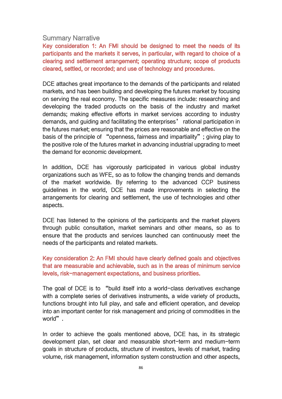#### Summary Narrative

Key consideration 1: An FMI should be designed to meet the needs of its participants and the markets it serves, in particular, with regard to choice of a clearing and settlement arrangement; operating structure; scope of products cleared, settled, or recorded; and use of technology and procedures.

DCE attaches great importance to the demands of the participants and related markets, and has been building and developing the futures market by focusing on serving the real economy. The specific measures include: researching and developing the traded products on the basis of the industry and market demands; making effective efforts in market services according to industry demands, and guiding and facilitating the enterprises' rational participation in the futures market; ensuring that the prices are reasonable and effective on the basis of the principle of "openness, fairness and impartiality"; giving play to the positive role of the futures market in advancing industrial upgrading to meet the demand for economic development.

In addition, DCE has vigorously participated in various global industry organizations such as WFE, so as to follow the changing trends and demands of the market worldwide. By referring to the advanced CCP business guidelines in the world, DCE has made improvements in selecting the arrangements for clearing and settlement, the use of technologies and other aspects.

DCE has listened to the opinions of the participants and the market players through public consultation, market seminars and other means, so as to ensure that the products and services launched can continuously meet the needs of the participants and related markets.

Key consideration 2: An FMI should have clearly defined goals and objectives that are measurable and achievable, such as in the areas of minimum service levels, risk-management expectations, and business priorities.

The goal of DCE is to "build itself into a world-class derivatives exchange with a complete series of derivatives instruments, a wide variety of products, functions brought into full play, and safe and efficient operation, and develop into an important center for risk management and pricing of commodities in the world".

In order to achieve the goals mentioned above, DCE has, in its strategic development plan, set clear and measurable short-term and medium-term goals in structure of products, structure of investors, levels of market, trading volume, risk management, information system construction and other aspects,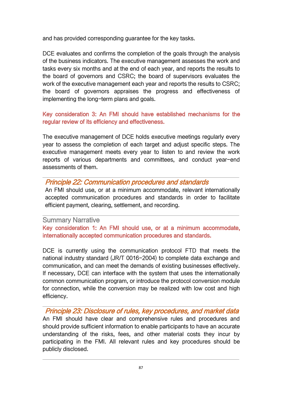and has provided corresponding guarantee for the key tasks.

DCE evaluates and confirms the completion of the goals through the analysis of the business indicators. The executive management assesses the work and tasks every six months and at the end of each year, and reports the results to the board of governors and CSRC; the board of supervisors evaluates the work of the executive management each year and reports the results to CSRC; the board of governors appraises the progress and effectiveness of implementing the long-term plans and goals.

# Key consideration 3: An FMI should have established mechanisms for the regular review of its efficiency and effectiveness.

The executive management of DCE holds executive meetings regularly every year to assess the completion of each target and adjust specific steps. The executive management meets every year to listen to and review the work reports of various departments and committees, and conduct year-end assessments of them.

# Principle 22: Communication procedures and standards

An FMI should use, or at a minimum accommodate, relevant internationally accepted communication procedures and standards in order to facilitate efficient payment, clearing, settlement, and recording.

# Summary Narrative

Key consideration 1: An FMI should use, or at a minimum accommodate, internationally accepted communication procedures and standards.

DCE is currently using the communication protocol FTD that meets the national industry standard (JR/T 0016-2004) to complete data exchange and communication, and can meet the demands of existing businesses effectively. If necessary, DCE can interface with the system that uses the internationally common communication program, or introduce the protocol conversion module for connection, while the conversion may be realized with low cost and high efficiency.

Principle 23: Disclosure of rules, key procedures, and market data An FMI should have clear and comprehensive rules and procedures and should provide sufficient information to enable participants to have an accurate understanding of the risks, fees, and other material costs they incur by participating in the FMI. All relevant rules and key procedures should be publicly disclosed.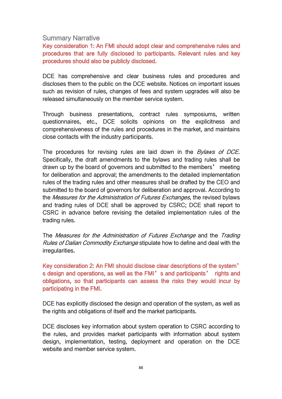#### Summary Narrative

Key consideration 1: An FMI should adopt clear and comprehensive rules and procedures that are fully disclosed to participants. Relevant rules and key procedures should also be publicly disclosed.

DCE has comprehensive and clear business rules and procedures and discloses them to the public on the DCE website. Notices on important issues such as revision of rules, changes of fees and system upgrades will also be released simultaneously on the member service system.

Through business presentations, contract rules symposiums, written questionnaires, etc., DCE solicits opinions on the explicitness and comprehensiveness of the rules and procedures in the market, and maintains close contacts with the industry participants.

The procedures for revising rules are laid down in the *Bylaws of DCE*. Specifically, the draft amendments to the bylaws and trading rules shall be drawn up by the board of governors and submitted to the members' meeting for deliberation and approval; the amendments to the detailed implementation rules of the trading rules and other measures shall be drafted by the CEO and submitted to the board of governors for deliberation and approval. According to the Measures for the Administration of Futures Exchanges, the revised bylaws and trading rules of DCE shall be approved by CSRC; DCE shall report to CSRC in advance before revising the detailed implementation rules of the trading rules.

The Measures for the Administration of Futures Exchange and the Trading Rules of Dalian Commodity Exchange stipulate how to define and deal with the irregularities.

Key consideration 2: An FMI should disclose clear descriptions of the system' s design and operations, as well as the FMI's and participants' rights and obligations, so that participants can assess the risks they would incur by participating in the FMI.

DCE has explicitly disclosed the design and operation of the system, as well as the rights and obligations of itself and the market participants.

DCE discloses key information about system operation to CSRC according to the rules, and provides market participants with information about system design, implementation, testing, deployment and operation on the DCE website and member service system.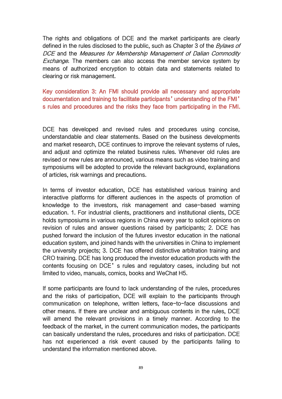The rights and obligations of DCE and the market participants are clearly defined in the rules disclosed to the public, such as Chapter 3 of the *Bylaws of* DCE and the Measures for Membership Management of Dalian Commodity Exchange. The members can also access the member service system by means of authorized encryption to obtain data and statements related to clearing or risk management.

Key consideration 3: An FMI should provide all necessary and appropriate documentation and training to facilitate participants'understanding of the FMI' s rules and procedures and the risks they face from participating in the FMI.

DCE has developed and revised rules and procedures using concise, understandable and clear statements. Based on the business developments and market research, DCE continues to improve the relevant systems of rules, and adjust and optimize the related business rules. Whenever old rules are revised or new rules are announced, various means such as video training and symposiums will be adopted to provide the relevant background, explanations of articles, risk warnings and precautions.

In terms of investor education, DCE has established various training and interactive platforms for different audiences in the aspects of promotion of knowledge to the investors, risk management and case-based warning education. 1. For industrial clients, practitioners and institutional clients, DCE holds symposiums in various regions in China every year to solicit opinions on revision of rules and answer questions raised by participants; 2. DCE has pushed forward the inclusion of the futures investor education in the national education system, and joined hands with the universities in China to implement the university projects; 3. DCE has offered distinctive arbitration training and CRO training. DCE has long produced the investor education products with the contents focusing on DCE's rules and regulatory cases, including but not limited to video, manuals, comics, books and WeChat H5.

If some participants are found to lack understanding of the rules, procedures and the risks of participation, DCE will explain to the participants through communication on telephone, written letters, face-to-face discussions and other means. If there are unclear and ambiguous contents in the rules, DCE will amend the relevant provisions in a timely manner. According to the feedback of the market, in the current communication modes, the participants can basically understand the rules, procedures and risks of participation. DCE has not experienced a risk event caused by the participants failing to understand the information mentioned above.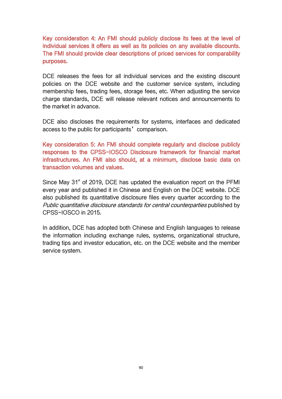Key consideration 4: An FMI should publicly disclose its fees at the level of individual services it offers as well as its policies on any available discounts. The FMI should provide clear descriptions of priced services for comparability purposes.

DCE releases the fees for all individual services and the existing discount policies on the DCE website and the customer service system, including membership fees, trading fees, storage fees, etc. When adjusting the service charge standards, DCE will release relevant notices and announcements to the market in advance.

DCE also discloses the requirements for systems, interfaces and dedicated access to the public for participants' comparison.

Key consideration 5: An FMI should complete regularly and disclose publicly responses to the CPSS-IOSCO Disclosure framework for financial market infrastructures. An FMI also should, at a minimum, disclose basic data on transaction volumes and values.

Since May 31<sup>st</sup> of 2019, DCE has updated the evaluation report on the PFMI every year and published it in Chinese and English on the DCE website. DCE also published its quantitative disclosure files every quarter according to the Public quantitative disclosure standards for central counterparties published by CPSS-IOSCO in 2015.

In addition, DCE has adopted both Chinese and English languages to release the information including exchange rules, systems, organizational structure, trading tips and investor education, etc. on the DCE website and the member service system.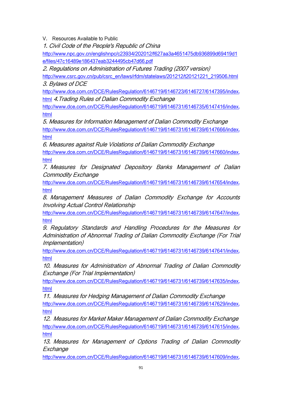V. Resources Available to Public

1. Civil Code of the People's Republic of China

[http://www.npc.gov.cn/englishnpc/c23934/202012/f627aa3a4651475db936899d69419d1](http://www.npc.gov.cn/englishnpc/c23934/202012/f627aa3a4651475db936899d69419d1e/files/47c16489e186437eab3244495cb47d66.pdf) e/files/47c16489e186437eab3244495cb47d66.pdf

2. Regulations on Administration of Futures Trading (2007 version)

[http://www.csrc.gov.cn/pub/csrc\\_en/laws/rfdm/statelaws/201212/t20121221\\_219506.html](http://www.csrc.gov.cn/pub/csrc_en/laws/rfdm/statelaws/201212/t20121221_219506.html) 3. Bylaws of DCE

[http://www.dce.com.cn/DCE/RulesRegulation/6146719/6146723/6146727/6147395/index.](http://www.dce.com.cn/DCE/RulesRegulation/6146719/6146723/6146727/6147395/index.html) html 4. Trading Rules of Dalian Commodity Exchange

[http://www.dce.com.cn/DCE/RulesRegulation/6146719/6146731/6146735/6147416/index.](http://www.dce.com.cn/DCE/RulesRegulation/6146719/6146731/6146735/6147416/index.html) html

5. Measures for Information Management of Dalian Commodity Exchange [http://www.dce.com.cn/DCE/RulesRegulation/6146719/6146731/6146739/6147666/index.](http://www.dce.com.cn/DCE/RulesRegulation/6146719/6146731/6146739/6147666/index.html) html

6. Measures against Rule Violations of Dalian Commodity Exchange [http://www.dce.com.cn/DCE/RulesRegulation/6146719/6146731/6146739/6147660/index.](http://www.dce.com.cn/DCE/RulesRegulation/6146719/6146731/6146739/6147660/index.html) html

7. Measures for Designated Depository Banks Management of Dalian Commodity Exchange

[http://www.dce.com.cn/DCE/RulesRegulation/6146719/6146731/6146739/6147654/index.](http://www.dce.com.cn/DCE/RulesRegulation/6146719/6146731/6146739/6147654/index.html) html

8. Management Measures of Dalian Commodity Exchange for Accounts Involving Actual Control Relationship

[http://www.dce.com.cn/DCE/RulesRegulation/6146719/6146731/6146739/6147647/index.](http://www.dce.com.cn/DCE/RulesRegulation/6146719/6146731/6146739/6147647/index.html) html

9. Regulatory Standards and Handling Procedures for the Measures for Administration of Abnormal Trading of Dalian Commodity Exchange (For Trial Implementation)

[http://www.dce.com.cn/DCE/RulesRegulation/6146719/6146731/6146739/6147641/index.](http://www.dce.com.cn/DCE/RulesRegulation/6146719/6146731/6146739/6147641/index.html) html

10. Measures for Administration of Abnormal Trading of Dalian Commodity Exchange (For Trial Implementation)

[http://www.dce.com.cn/DCE/RulesRegulation/6146719/6146731/6146739/6147635/index.](http://www.dce.com.cn/DCE/RulesRegulation/6146719/6146731/6146739/6147635/index.html) html

11. Measures for Hedging Management of Dalian Commodity Exchange [http://www.dce.com.cn/DCE/RulesRegulation/6146719/6146731/6146739/6147629/index.](http://www.dce.com.cn/DCE/RulesRegulation/6146719/6146731/6146739/6147629/index.html) html

12. Measures for Market Maker Management of Dalian Commodity Exchange [http://www.dce.com.cn/DCE/RulesRegulation/6146719/6146731/6146739/6147615/index.](http://www.dce.com.cn/DCE/RulesRegulation/6146719/6146731/6146739/6147615/index.html) html

13. Measures for Management of Options Trading of Dalian Commodity **Exchange** 

[http://www.dce.com.cn/DCE/RulesRegulation/6146719/6146731/6146739/6147609/index.](http://www.dce.com.cn/DCE/RulesRegulation/6146719/6146731/6146739/6147609/index.html)